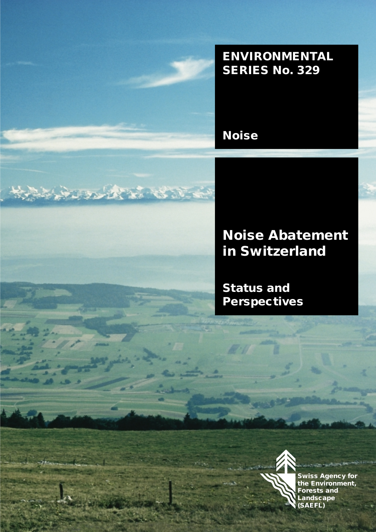

# **ENVIRONMENTAL SERIES No. 329**

**Noise**

# JOY STATES AND STATES

# **Noise Abatement in Switzerland**

**Status and Perspectives**



**Swiss Agency for the Environment, Forests and Landscape (SAEFL)**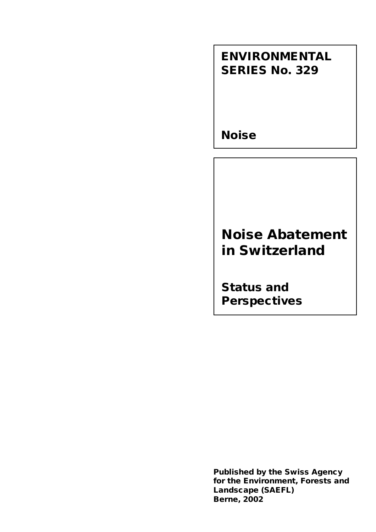# **ENVIRONMENTAL SERIES No. 329**

**Noise**

# **Noise Abatement in Switzerland**

**Status and Perspectives**

**Published by the Swiss Agency for the Environment, Forests and Landscape (SAEFL) Berne, 2002**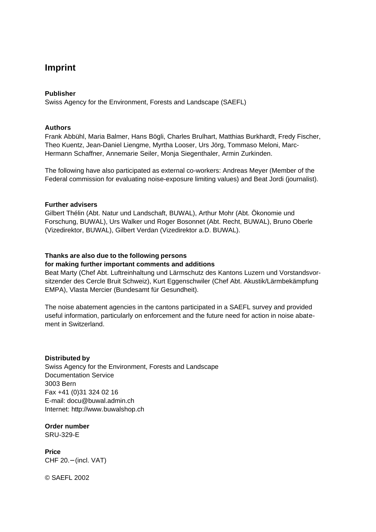### **Imprint**

#### **Publisher**

Swiss Agency for the Environment, Forests and Landscape (SAEFL)

#### **Authors**

Frank Abbühl, Maria Balmer, Hans Bögli, Charles Brulhart, Matthias Burkhardt, Fredy Fischer, Theo Kuentz, Jean-Daniel Liengme, Myrtha Looser, Urs Jörg, Tommaso Meloni, Marc-Hermann Schaffner, Annemarie Seiler, Monja Siegenthaler, Armin Zurkinden.

The following have also participated as external co-workers: Andreas Meyer (Member of the Federal commission for evaluating noise-exposure limiting values) and Beat Jordi (journalist).

#### **Further advisers**

Gilbert Thélin (Abt. Natur und Landschaft, BUWAL), Arthur Mohr (Abt. Ökonomie und Forschung, BUWAL), Urs Walker und Roger Bosonnet (Abt. Recht, BUWAL), Bruno Oberle (Vizedirektor, BUWAL), Gilbert Verdan (Vizedirektor a.D. BUWAL).

#### **Thanks are also due to the following persons**

#### **for making further important comments and additions**

Beat Marty (Chef Abt. Luftreinhaltung und Lärmschutz des Kantons Luzern und Vorstandsvorsitzender des Cercle Bruit Schweiz), Kurt Eggenschwiler (Chef Abt. Akustik/Lärmbekämpfung EMPA), Vlasta Mercier (Bundesamt für Gesundheit).

The noise abatement agencies in the cantons participated in a SAEFL survey and provided useful information, particularly on enforcement and the future need for action in noise abatement in Switzerland.

#### **Distributed by**

Swiss Agency for the Environment, Forests and Landscape Documentation Service 3003 Bern Fax +41 (0)31 324 02 16 E-mail: docu@buwal.admin.ch Internet: http://www.buwalshop.ch

**Order number**

SRU-329-E

**Price** CHF 20.− (incl. VAT)

© SAEFL 2002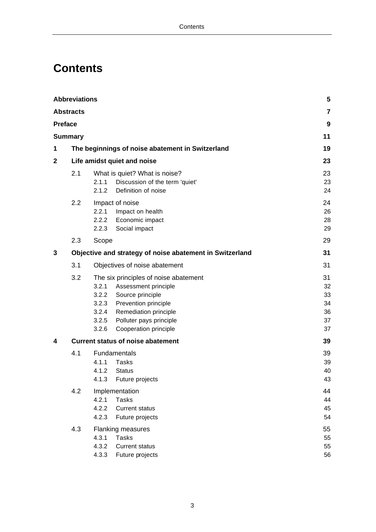# **Contents**

|                | <b>Abbreviations</b> |                                                                                                                                                                                                                                                            | 5                                      |
|----------------|----------------------|------------------------------------------------------------------------------------------------------------------------------------------------------------------------------------------------------------------------------------------------------------|----------------------------------------|
|                | <b>Abstracts</b>     |                                                                                                                                                                                                                                                            | $\overline{7}$                         |
| <b>Preface</b> |                      |                                                                                                                                                                                                                                                            | 9                                      |
|                | Summary              |                                                                                                                                                                                                                                                            | 11                                     |
| 1              |                      | The beginnings of noise abatement in Switzerland                                                                                                                                                                                                           | 19                                     |
| 2              |                      | Life amidst quiet and noise                                                                                                                                                                                                                                | 23                                     |
|                | 2.1                  | What is quiet? What is noise?<br>Discussion of the term 'quiet'<br>2.1.1<br>2.1.2<br>Definition of noise                                                                                                                                                   | 23<br>23<br>24                         |
|                | 2.2                  | Impact of noise<br>2.2.1<br>Impact on health<br>2.2.2 Economic impact<br>2.2.3 Social impact                                                                                                                                                               | 24<br>26<br>28<br>29                   |
|                | 2.3                  | Scope                                                                                                                                                                                                                                                      | 29                                     |
| 3              |                      | Objective and strategy of noise abatement in Switzerland                                                                                                                                                                                                   | 31                                     |
|                | 3.1                  | Objectives of noise abatement                                                                                                                                                                                                                              | 31                                     |
|                | 3.2                  | The six principles of noise abatement<br>3.2.1<br>Assessment principle<br>Source principle<br>3.2.2<br>3.2.3<br><b>Prevention principle</b><br><b>Remediation principle</b><br>3.2.4<br>Polluter pays principle<br>3.2.5<br>3.2.6<br>Cooperation principle | 31<br>32<br>33<br>34<br>36<br>37<br>37 |
| 4              |                      | <b>Current status of noise abatement</b>                                                                                                                                                                                                                   | 39                                     |
|                | 4.1                  | Fundamentals<br>4.1.1<br>Tasks<br>4.1.2<br><b>Status</b><br>4.1.3<br>Future projects                                                                                                                                                                       | 39<br>39<br>40<br>43                   |
|                | 4.2                  | Implementation<br>4.2.1<br><b>Tasks</b><br>4.2.2<br><b>Current status</b><br>4.2.3<br>Future projects                                                                                                                                                      | 44<br>44<br>45<br>54                   |
|                | 4.3                  | <b>Flanking measures</b><br>4.3.1<br><b>Tasks</b><br>4.3.2<br><b>Current status</b><br>4.3.3<br>Future projects                                                                                                                                            | 55<br>55<br>55<br>56                   |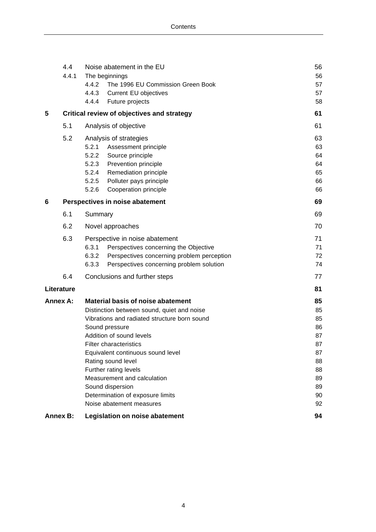|                 | 4.4<br>4.4.1    |                | Noise abatement in the EU<br>The beginnings       | 56<br>56 |
|-----------------|-----------------|----------------|---------------------------------------------------|----------|
|                 |                 | 4.4.2          | The 1996 EU Commission Green Book                 | 57       |
|                 |                 | 4.4.3          | Current EU objectives                             | 57       |
|                 |                 | 4.4.4          | Future projects                                   | 58       |
| 5               |                 |                | <b>Critical review of objectives and strategy</b> | 61       |
|                 | 5.1             |                | Analysis of objective                             | 61       |
|                 | 5.2             |                | Analysis of strategies                            | 63       |
|                 |                 | 5.2.1          | Assessment principle                              | 63       |
|                 |                 | 5.2.2          | Source principle                                  | 64       |
|                 |                 | 5.2.3          | Prevention principle                              | 64       |
|                 |                 | 5.2.4          | Remediation principle                             | 65       |
|                 |                 | 5.2.5<br>5.2.6 | Polluter pays principle<br>Cooperation principle  | 66<br>66 |
|                 |                 |                |                                                   |          |
| 6               |                 |                | Perspectives in noise abatement                   | 69       |
|                 | 6.1             | Summary        |                                                   | 69       |
|                 | 6.2             |                | Novel approaches                                  | 70       |
|                 | 6.3             |                | Perspective in noise abatement                    | 71       |
|                 |                 | 6.3.1          | Perspectives concerning the Objective             | 71       |
|                 |                 | 6.3.2          | Perspectives concerning problem perception        | 72       |
|                 |                 | 6.3.3          | Perspectives concerning problem solution          | 74       |
|                 | 6.4             |                | Conclusions and further steps                     | 77       |
|                 | Literature      |                |                                                   | 81       |
| <b>Annex A:</b> |                 |                | <b>Material basis of noise abatement</b>          | 85       |
|                 |                 |                | Distinction between sound, quiet and noise        | 85       |
|                 |                 |                | Vibrations and radiated structure born sound      | 85       |
|                 |                 |                | Sound pressure<br>Addition of sound levels        | 86<br>87 |
|                 |                 |                | <b>Filter characteristics</b>                     | 87       |
|                 |                 |                | Equivalent continuous sound level                 | 87       |
|                 |                 |                | Rating sound level                                | 88       |
|                 |                 |                | Further rating levels                             | 88       |
|                 |                 |                | Measurement and calculation                       | 89       |
|                 |                 |                | Sound dispersion                                  | 89       |
|                 |                 |                | Determination of exposure limits                  | 90       |
|                 |                 |                | Noise abatement measures                          | 92       |
|                 | <b>Annex B:</b> |                | Legislation on noise abatement                    | 94       |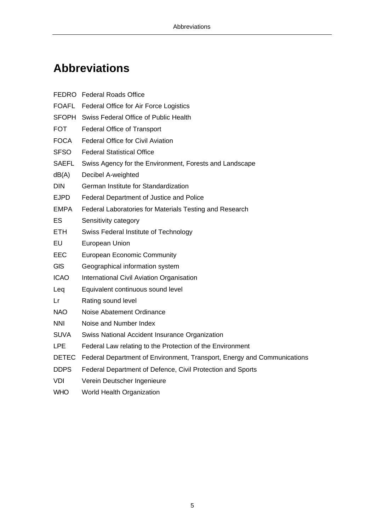# **Abbreviations**

|              | FEDRO Federal Roads Office                                              |
|--------------|-------------------------------------------------------------------------|
|              | FOAFL Federal Office for Air Force Logistics                            |
|              | SFOPH Swiss Federal Office of Public Health                             |
| <b>FOT</b>   | <b>Federal Office of Transport</b>                                      |
| <b>FOCA</b>  | <b>Federal Office for Civil Aviation</b>                                |
| SFSO         | <b>Federal Statistical Office</b>                                       |
| SAEFL        | Swiss Agency for the Environment, Forests and Landscape                 |
| dB(A)        | Decibel A-weighted                                                      |
| DIN          | German Institute for Standardization                                    |
| <b>EJPD</b>  | Federal Department of Justice and Police                                |
| <b>EMPA</b>  | Federal Laboratories for Materials Testing and Research                 |
| <b>ES</b>    | Sensitivity category                                                    |
| ETH.         | Swiss Federal Institute of Technology                                   |
| EU           | European Union                                                          |
| <b>EEC</b>   | <b>European Economic Community</b>                                      |
| <b>GIS</b>   | Geographical information system                                         |
| <b>ICAO</b>  | International Civil Aviation Organisation                               |
| Leq          | Equivalent continuous sound level                                       |
| Lr           | Rating sound level                                                      |
| <b>NAO</b>   | Noise Abatement Ordinance                                               |
| <b>NNI</b>   | Noise and Number Index                                                  |
| <b>SUVA</b>  | Swiss National Accident Insurance Organization                          |
| <b>LPE</b>   | Federal Law relating to the Protection of the Environment               |
| <b>DETEC</b> | Federal Department of Environment, Transport, Energy and Communications |
| <b>DDPS</b>  | Federal Department of Defence, Civil Protection and Sports              |
| <b>VDI</b>   | Verein Deutscher Ingenieure                                             |
| <b>WHO</b>   | World Health Organization                                               |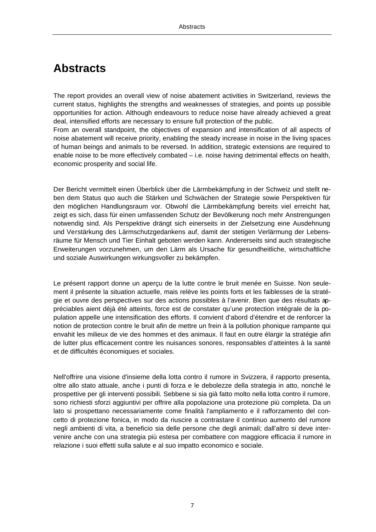### **Abstracts**

The report provides an overall view of noise abatement activities in Switzerland, reviews the current status, highlights the strengths and weaknesses of strategies, and points up possible opportunities for action. Although endeavours to reduce noise have already achieved a great deal, intensified efforts are necessary to ensure full protection of the public.

From an overall standpoint, the objectives of expansion and intensification of all aspects of noise abatement will receive priority, enabling the steady increase in noise in the living spaces of human beings and animals to be reversed. In addition, strategic extensions are required to enable noise to be more effectively combated – i.e. noise having detrimental effects on health, economic prosperity and social life.

Der Bericht vermittelt einen Überblick über die Lärmbekämpfung in der Schweiz und stellt neben dem Status quo auch die Stärken und Schwächen der Strategie sowie Perspektiven für den möglichen Handlungsraum vor. Obwohl die Lärmbekämpfung bereits viel erreicht hat, zeigt es sich, dass für einen umfassenden Schutz der Bevölkerung noch mehr Anstrengungen notwendig sind. Als Perspektive drängt sich einerseits in der Zielsetzung eine Ausdehnung und Verstärkung des Lärmschutzgedankens auf, damit der stetigen Verlärmung der Lebensräume für Mensch und Tier Einhalt geboten werden kann. Andererseits sind auch strategische Erweiterungen vorzunehmen, um den Lärm als Ursache für gesundheitliche, wirtschaftliche und soziale Auswirkungen wirkungsvoller zu bekämpfen.

Le présent rapport donne un aperçu de la lutte contre le bruit menée en Suisse. Non seulement il présente la situation actuelle, mais relève les points forts et les faiblesses de la stratégie et ouvre des perspectives sur des actions possibles à l'avenir. Bien que des résultats appréciables aient déjà été atteints, force est de constater qu'une protection intégrale de la population appelle une intensification des efforts. Il convient d'abord d'étendre et de renforcer la notion de protection contre le bruit afin de mettre un frein à la pollution phonique rampante qui envahit les milieux de vie des hommes et des animaux. Il faut en outre élargir la stratégie afin de lutter plus efficacement contre les nuisances sonores, responsables d'atteintes à la santé et de difficultés économiques et sociales.

Nell'offrire una visione d'insieme della lotta contro il rumore in Svizzera, il rapporto presenta, oltre allo stato attuale, anche i punti di forza e le debolezze della strategia in atto, nonché le prospettive per gli interventi possibili. Sebbene si sia già fatto molto nella lotta contro il rumore, sono richiesti sforzi aggiuntivi per offrire alla popolazione una protezione più completa. Da un lato si prospettano necessariamente come finalità l'ampliamento e il rafforzamento del concetto di protezione fonica, in modo da riuscire a contrastare il continuo aumento del rumore negli ambienti di vita, a beneficio sia delle persone che degli animali; dall'altro si deve intervenire anche con una strategia più estesa per combattere con maggiore efficacia il rumore in relazione i suoi effetti sulla salute e al suo impatto economico e sociale.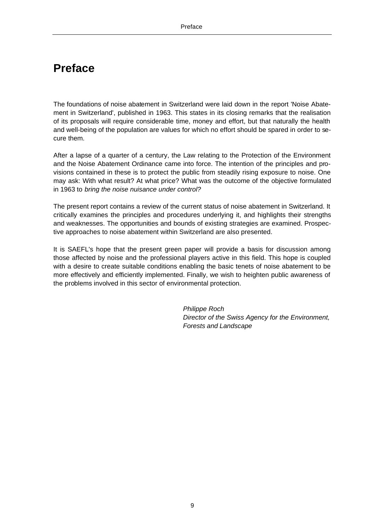### **Preface**

The foundations of noise abatement in Switzerland were laid down in the report 'Noise Abatement in Switzerland', published in 1963. This states in its closing remarks that the realisation of its proposals will require considerable time, money and effort, but that naturally the health and well-being of the population are values for which no effort should be spared in order to secure them.

After a lapse of a quarter of a century, the Law relating to the Protection of the Environment and the Noise Abatement Ordinance came into force. The intention of the principles and provisions contained in these is to protect the public from steadily rising exposure to noise. One may ask: With what result? At what price? What was the outcome of the objective formulated in 1963 to *bring the noise nuisance under control?*

The present report contains a review of the current status of noise abatement in Switzerland. It critically examines the principles and procedures underlying it, and highlights their strengths and weaknesses. The opportunities and bounds of existing strategies are examined. Prospective approaches to noise abatement within Switzerland are also presented.

It is SAEFL's hope that the present green paper will provide a basis for discussion among those affected by noise and the professional players active in this field. This hope is coupled with a desire to create suitable conditions enabling the basic tenets of noise abatement to be more effectively and efficiently implemented. Finally, we wish to heighten public awareness of the problems involved in this sector of environmental protection.

> *Philippe Roch Director of the Swiss Agency for the Environment, Forests and Landscape*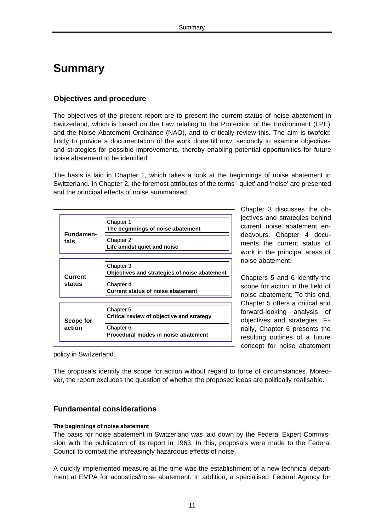### **Summary**

#### **Objectives and procedure**

The objectives of the present report are to present the current status of noise abatement in Switzerland, which is based on the Law relating to the Protection of the Environment (LPE) and the Noise Abatement Ordinance (NAO), and to critically review this. The aim is twofold: firstly to provide a documentation of the work done till now; secondly to examine objectives and strategies for possible improvements, thereby enabling potential opportunities for future noise abatement to be identified.

The basis is laid in Chapter 1, which takes a look at the beginnings of noise abatement in Switzerland. In Chapter 2, the foremost attributes of the terms ' quiet' and 'noise' are presented and the principal effects of noise summarised.

| Fundamen- | Chapter 1<br>The beginnings of noise abatement            |
|-----------|-----------------------------------------------------------|
| tals      | Chapter 2<br>Life amidst quiet and noise                  |
| Current   | Chapter 3<br>Objectives and strategies of noise abatement |
| status    | Chapter 4<br><b>Current status of noise abatement</b>     |
|           |                                                           |
| Scope for | Chapter 5<br>Critical review of objective and strategy    |
| action    | Chapter 6<br>Procedural modes in noise abatement          |

Chapter 3 discusses the objectives and strategies behind current noise abatement endeavours. Chapter 4 documents the current status of work in the principal areas of noise abatement.

Chapters 5 and 6 identify the scope for action in the field of noise abatement. To this end, Chapter 5 offers a critical and forward-looking analysis of objectives and strategies. Finally, Chapter 6 presents the resulting outlines of a future concept for noise abatement

policy in Switzerland.

The proposals identify the scope for action without regard to force of circumstances. Moreover, the report excludes the question of whether the proposed ideas are politically realisable.

#### **Fundamental considerations**

#### **The beginnings of noise abatement**

The basis for noise abatement in Switzerland was laid down by the Federal Expert Commission with the publication of its report in 1963. In this, proposals were made to the Federal Council to combat the increasingly hazardous effects of noise.

A quickly implemented measure at the time was the establishment of a new technical department at EMPA for acoustics/noise abatement. In addition, a specialised Federal Agency for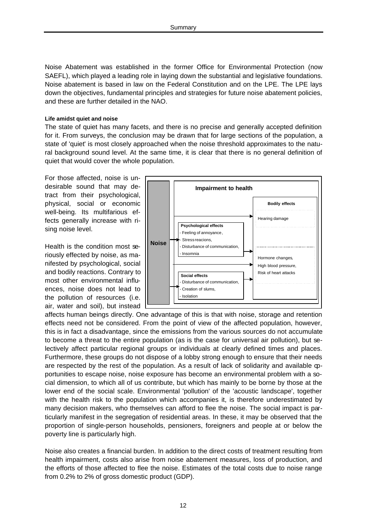Noise Abatement was established in the former Office for Environmental Protection (now SAEFL), which played a leading role in laying down the substantial and legislative foundations. Noise abatement is based in law on the Federal Constitution and on the LPE. The LPE lays down the objectives, fundamental principles and strategies for future noise abatement policies, and these are further detailed in the NAO.

#### **Life amidst quiet and noise**

The state of quiet has many facets, and there is no precise and generally accepted definition for it. From surveys, the conclusion may be drawn that for large sections of the population, a state of 'quiet' is most closely approached when the noise threshold approximates to the natural background sound level. At the same time, it is clear that there is no general definition of quiet that would cover the whole population.

For those affected, noise is undesirable sound that may detract from their psychological, physical, social or economic well-being. Its multifarious effects generally increase with rising noise level.

Health is the condition most seriously effected by noise, as manifested by psychological, social and bodily reactions. Contrary to most other environmental influences, noise does not lead to the pollution of resources (i.e. air, water and soil), but instead



affects human beings directly. One advantage of this is that with noise, storage and retention effects need not be considered. From the point of view of the affected population, however, this is in fact a disadvantage, since the emissions from the various sources do not accumulate to become a threat to the entire population (as is the case for universal air pollution), but selectively affect particular regional groups or individuals at clearly defined times and places. Furthermore, these groups do not dispose of a lobby strong enough to ensure that their needs are respected by the rest of the population. As a result of lack of solidarity and available opportunities to escape noise, noise exposure has become an environmental problem with a social dimension, to which all of us contribute, but which has mainly to be borne by those at the lower end of the social scale. Environmental 'pollution' of the 'acoustic landscape', together with the health risk to the population which accompanies it, is therefore underestimated by many decision makers, who themselves can afford to flee the noise. The social impact is particularly manifest in the segregation of residential areas. In these, it may be observed that the proportion of single-person households, pensioners, foreigners and people at or below the poverty line is particularly high.

Noise also creates a financial burden. In addition to the direct costs of treatment resulting from health impairment, costs also arise from noise abatement measures, loss of production, and the efforts of those affected to flee the noise. Estimates of the total costs due to noise range from 0.2% to 2% of gross domestic product (GDP).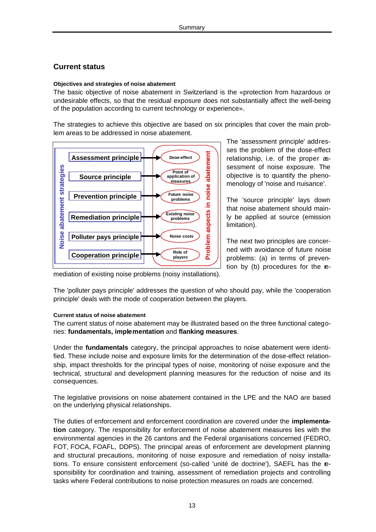#### **Current status**

#### **Objectives and strategies of noise abatement**

The basic objective of noise abatement in Switzerland is the «protection from hazardous or undesirable effects, so that the residual exposure does not substantially affect the well-being of the population according to current technology or experience».

The strategies to achieve this objective are based on six principles that cover the main problem areas to be addressed in noise abatement.



The 'assessment principle' addresses the problem of the dose-effect relationship, i.e. of the proper assessment of noise exposure. The objective is to quantify the phenomenology of 'noise and nuisance'.

The 'source principle' lays down that noise abatement should mainly be applied at source (emission limitation).

The next two principles are concerned with avoidance of future noise problems: (a) in terms of prevention by (b) procedures for the re-

mediation of existing noise problems (noisy installations).

The 'polluter pays principle' addresses the question of who should pay, while the 'cooperation principle' deals with the mode of cooperation between the players.

#### **Current status of noise abatement**

The current status of noise abatement may be illustrated based on the three functional categories: **fundamentals, implementation** and **flanking measures**.

Under the **fundamentals** category, the principal approaches to noise abatement were identified. These include noise and exposure limits for the determination of the dose-effect relationship, impact thresholds for the principal types of noise, monitoring of noise exposure and the technical, structural and development planning measures for the reduction of noise and its consequences.

The legislative provisions on noise abatement contained in the LPE and the NAO are based on the underlying physical relationships.

The duties of enforcement and enforcement coordination are covered under the **implementation** category. The responsibility for enforcement of noise abatement measures lies with the environmental agencies in the 26 cantons and the Federal organisations concerned (FEDRO, FOT, FOCA, FOAFL, DDPS). The principal areas of enforcement are development planning and structural precautions, monitoring of noise exposure and remediation of noisy installations. To ensure consistent enforcement (so-called 'unité de doctrine'), SAEFL has the responsibility for coordination and training, assessment of remediation projects and controlling tasks where Federal contributions to noise protection measures on roads are concerned.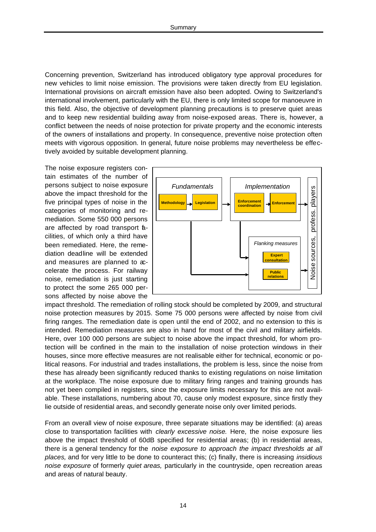Concerning prevention, Switzerland has introduced obligatory type approval procedures for new vehicles to limit noise emission. The provisions were taken directly from EU legislation. International provisions on aircraft emission have also been adopted. Owing to Switzerland's international involvement, particularly with the EU, there is only limited scope for manoeuvre in this field. Also, the objective of development planning precautions is to preserve quiet areas and to keep new residential building away from noise-exposed areas. There is, however, a conflict between the needs of noise protection for private property and the economic interests of the owners of installations and property. In consequence, preventive noise protection often meets with vigorous opposition. In general, future noise problems may nevertheless be effectively avoided by suitable development planning.

The noise exposure registers contain estimates of the number of persons subject to noise exposure above the impact threshold for the five principal types of noise in the categories of monitoring and remediation. Some 550 000 persons are affected by road transport **a**cilities, of which only a third have been remediated. Here, the remediation deadline will be extended and measures are planned to accelerate the process. For railway noise, remediation is just starting to protect the some 265 000 persons affected by noise above the



impact threshold. The remediation of rolling stock should be completed by 2009, and structural noise protection measures by 2015. Some 75 000 persons were affected by noise from civil firing ranges. The remediation date is open until the end of 2002, and no extension to this is intended. Remediation measures are also in hand for most of the civil and military airfields. Here, over 100 000 persons are subject to noise above the impact threshold, for whom protection will be confined in the main to the installation of noise protection windows in their houses, since more effective measures are not realisable either for technical, economic or political reasons. For industrial and trades installations, the problem is less, since the noise from these has already been significantly reduced thanks to existing regulations on noise limitation at the workplace. The noise exposure due to military firing ranges and training grounds has not yet been compiled in registers, since the exposure limits necessary for this are not available. These installations, numbering about 70, cause only modest exposure, since firstly they lie outside of residential areas, and secondly generate noise only over limited periods.

From an overall view of noise exposure, three separate situations may be identified: (a) areas close to transportation facilities with *clearly excessive noise.* Here, the noise exposure lies above the impact threshold of 60dB specified for residential areas; (b) in residential areas, there is a general tendency for the *noise exposure to approach the impact thresholds at all places,* and for very little to be done to counteract this; (c) finally, there is increasing *insidious noise exposure* of formerly *quiet areas,* particularly in the countryside, open recreation areas and areas of natural beauty.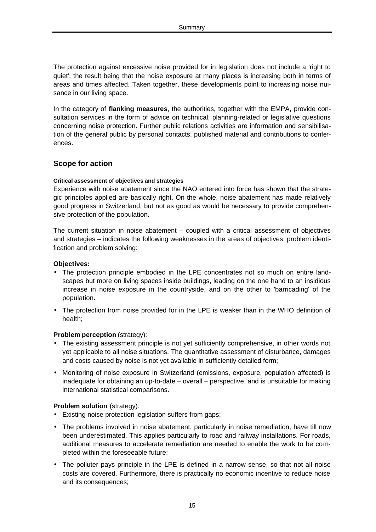The protection against excessive noise provided for in legislation does not include a 'right to quiet', the result being that the noise exposure at many places is increasing both in terms of areas and times affected. Taken together, these developments point to increasing noise nuisance in our living space.

In the category of **flanking measures**, the authorities, together with the EMPA, provide consultation services in the form of advice on technical, planning-related or legislative questions concerning noise protection. Further public relations activities are information and sensibilisation of the general public by personal contacts, published material and contributions to conferences.

#### **Scope for action**

#### **Critical assessment of objectives and strategies**

Experience with noise abatement since the NAO entered into force has shown that the strategic principles applied are basically right. On the whole, noise abatement has made relatively good progress in Switzerland, but not as good as would be necessary to provide comprehensive protection of the population.

The current situation in noise abatement – coupled with a critical assessment of objectives and strategies – indicates the following weaknesses in the areas of objectives, problem identification and problem solving:

#### **Objectives:**

- The protection principle embodied in the LPE concentrates not so much on entire landscapes but more on living spaces inside buildings, leading on the one hand to an insidious increase in noise exposure in the countryside, and on the other to 'barricading' of the population.
- The protection from noise provided for in the LPE is weaker than in the WHO definition of health;

#### **Problem perception** (strategy):

- The existing assessment principle is not yet sufficiently comprehensive, in other words not yet applicable to all noise situations. The quantitative assessment of disturbance, damages and costs caused by noise is not yet available in sufficiently detailed form;
- Monitoring of noise exposure in Switzerland (emissions, exposure, population affected) is inadequate for obtaining an up-to-date – overall – perspective, and is unsuitable for making international statistical comparisons.

#### **Problem solution** (strategy):

- Existing noise protection legislation suffers from gaps;
- The problems involved in noise abatement, particularly in noise remediation, have till now been underestimated. This applies particularly to road and railway installations. For roads, additional measures to accelerate remediation are needed to enable the work to be completed within the foreseeable future;
- The polluter pays principle in the LPE is defined in a narrow sense, so that not all noise costs are covered. Furthermore, there is practically no economic incentive to reduce noise and its consequences;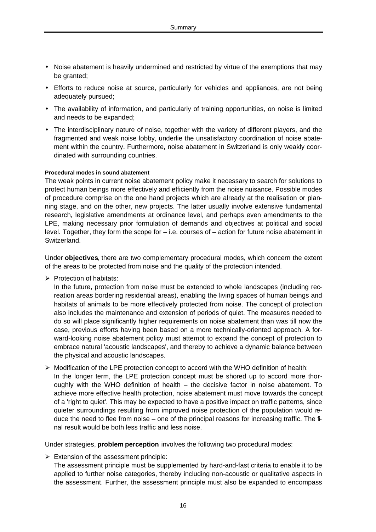- Noise abatement is heavily undermined and restricted by virtue of the exemptions that may be granted;
- Efforts to reduce noise at source, particularly for vehicles and appliances, are not being adequately pursued;
- The availability of information, and particularly of training opportunities, on noise is limited and needs to be expanded;
- The interdisciplinary nature of noise, together with the variety of different players, and the fragmented and weak noise lobby, underlie the unsatisfactory coordination of noise abatement within the country. Furthermore, noise abatement in Switzerland is only weakly coordinated with surrounding countries.

#### **Procedural modes in sound abatement**

The weak points in current noise abatement policy make it necessary to search for solutions to protect human beings more effectively and efficiently from the noise nuisance. Possible modes of procedure comprise on the one hand projects which are already at the realisation or planning stage, and on the other, new projects. The latter usually involve extensive fundamental research, legislative amendments at ordinance level, and perhaps even amendments to the LPE, making necessary prior formulation of demands and objectives at political and social level. Together, they form the scope for – i.e. courses of – action for future noise abatement in Switzerland.

Under **objectives**, there are two complementary procedural modes, which concern the extent of the areas to be protected from noise and the quality of the protection intended.

 $\triangleright$  Protection of habitats:

In the future, protection from noise must be extended to whole landscapes (including recreation areas bordering residential areas), enabling the living spaces of human beings and habitats of animals to be more effectively protected from noise. The concept of protection also includes the maintenance and extension of periods of quiet. The measures needed to do so will place significantly higher requirements on noise abatement than was till now the case, previous efforts having been based on a more technically-oriented approach. A forward-looking noise abatement policy must attempt to expand the concept of protection to embrace natural 'acoustic landscapes', and thereby to achieve a dynamic balance between the physical and acoustic landscapes.

 $\triangleright$  Modification of the LPE protection concept to accord with the WHO definition of health: In the longer term, the LPE protection concept must be shored up to accord more thoroughly with the WHO definition of health – the decisive factor in noise abatement. To achieve more effective health protection, noise abatement must move towards the concept of a 'right to quiet'. This may be expected to have a positive impact on traffic patterns, since quieter surroundings resulting from improved noise protection of the population would reduce the need to flee from noise – one of the principal reasons for increasing traffic. The final result would be both less traffic and less noise.

Under strategies, **problem perception** involves the following two procedural modes:

- $\triangleright$  Extension of the assessment principle:
	- The assessment principle must be supplemented by hard-and-fast criteria to enable it to be applied to further noise categories, thereby including non-acoustic or qualitative aspects in the assessment. Further, the assessment principle must also be expanded to encompass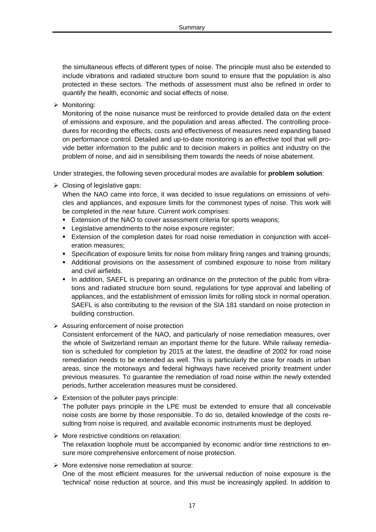the simultaneous effects of different types of noise. The principle must also be extended to include vibrations and radiated structure born sound to ensure that the population is also protected in these sectors. The methods of assessment must also be refined in order to quantify the health, economic and social effects of noise.

 $\triangleright$  Monitoring:

Monitoring of the noise nuisance must be reinforced to provide detailed data on the extent of emissions and exposure, and the population and areas affected. The controlling procedures for recording the effects, costs and effectiveness of measures need expanding based on performance control. Detailed and up-to-date monitoring is an effective tool that will provide better information to the public and to decision makers in politics and industry on the problem of noise, and aid in sensibilising them towards the needs of noise abatement.

Under strategies, the following seven procedural modes are available for **problem solution**:

 $\triangleright$  Closing of legislative gaps:

When the NAO came into force, it was decided to issue regulations on emissions of vehicles and appliances, and exposure limits for the commonest types of noise. This work will be completed in the near future. Current work comprises:

- **Extension of the NAO to cover assessment criteria for sports weapons;**
- **EXECTE:** Legislative amendments to the noise exposure register;
- **Extension of the completion dates for road noise remediation in conjunction with accel**eration measures;
- **Specification of exposure limits for noise from military firing ranges and training grounds;**
- **Additional provisions on the assessment of combined exposure to noise from military** and civil airfields.
- **IF In addition, SAEFL is preparing an ordinance on the protection of the public from vibra**tions and radiated structure born sound, regulations for type approval and labelling of appliances, and the establishment of emission limits for rolling stock in normal operation. SAEFL is also contributing to the revision of the SIA 181 standard on noise protection in building construction.
- $\triangleright$  Assuring enforcement of noise protection

Consistent enforcement of the NAO, and particularly of noise remediation measures, over the whole of Switzerland remain an important theme for the future. While railway remediation is scheduled for completion by 2015 at the latest, the deadline of 2002 for road noise remediation needs to be extended as well. This is particularly the case for roads in urban areas, since the motorways and federal highways have received priority treatment under previous measures. To guarantee the remediation of road noise within the newly extended periods, further acceleration measures must be considered.

 $\triangleright$  Extension of the polluter pays principle:

The polluter pays principle in the LPE must be extended to ensure that all conceivable noise costs are borne by those responsible. To do so, detailed knowledge of the costs resulting from noise is required, and available economic instruments must be deployed.

- $\triangleright$  More restrictive conditions on relaxation: The relaxation loophole must be accompanied by economic and/or time restrictions to ensure more comprehensive enforcement of noise protection.
- $\triangleright$  More extensive noise remediation at source:

One of the most efficient measures for the universal reduction of noise exposure is the 'technical' noise reduction at source, and this must be increasingly applied. In addition to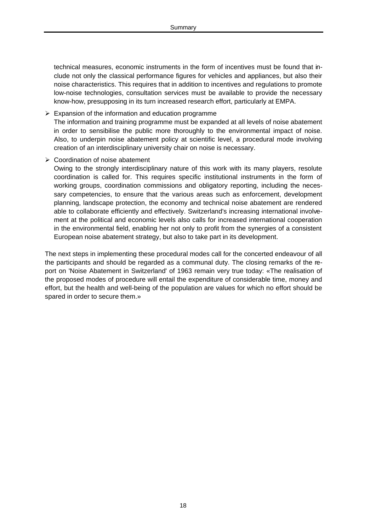technical measures, economic instruments in the form of incentives must be found that include not only the classical performance figures for vehicles and appliances, but also their noise characteristics. This requires that in addition to incentives and regulations to promote low-noise technologies, consultation services must be available to provide the necessary know-how, presupposing in its turn increased research effort, particularly at EMPA.

- $\triangleright$  Expansion of the information and education programme The information and training programme must be expanded at all levels of noise abatement in order to sensibilise the public more thoroughly to the environmental impact of noise. Also, to underpin noise abatement policy at scientific level, a procedural mode involving creation of an interdisciplinary university chair on noise is necessary.
- $\triangleright$  Coordination of noise abatement

Owing to the strongly interdisciplinary nature of this work with its many players, resolute coordination is called for. This requires specific institutional instruments in the form of working groups, coordination commissions and obligatory reporting, including the necessary competencies, to ensure that the various areas such as enforcement, development planning, landscape protection, the economy and technical noise abatement are rendered able to collaborate efficiently and effectively. Switzerland's increasing international involvement at the political and economic levels also calls for increased international cooperation in the environmental field, enabling her not only to profit from the synergies of a consistent European noise abatement strategy, but also to take part in its development.

The next steps in implementing these procedural modes call for the concerted endeavour of all the participants and should be regarded as a communal duty. The closing remarks of the report on 'Noise Abatement in Switzerland' of 1963 remain very true today: «The realisation of the proposed modes of procedure will entail the expenditure of considerable time, money and effort, but the health and well-being of the population are values for which no effort should be spared in order to secure them.»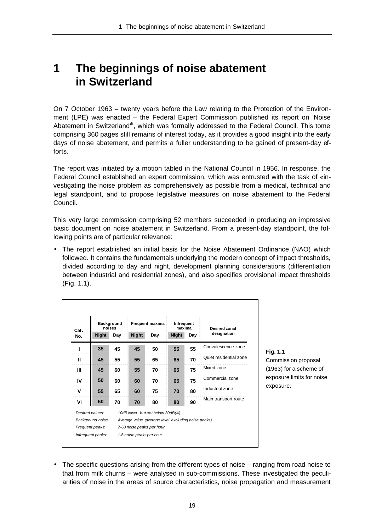## **1 The beginnings of noise abatement in Switzerland**

On 7 October 1963 – twenty years before the Law relating to the Protection of the Environment (LPE) was enacted – the Federal Expert Commission published its report on 'Noise Abatement in Switzerland'<sup>8</sup>, which was formally addressed to the Federal Council. This tome comprising 360 pages still remains of interest today, as it provides a good insight into the early days of noise abatement, and permits a fuller understanding to be gained of present-day efforts.

The report was initiated by a motion tabled in the National Council in 1956. In response, the Federal Council established an expert commission, which was entrusted with the task of «investigating the noise problem as comprehensively as possible from a medical, technical and legal standpoint, and to propose legislative measures on noise abatement to the Federal Council.

This very large commission comprising 52 members succeeded in producing an impressive basic document on noise abatement in Switzerland. From a present-day standpoint, the following points are of particular relevance:

• The report established an initial basis for the Noise Abatement Ordinance (NAO) which followed. It contains the fundamentals underlying the modern concept of impact thresholds, divided according to day and night, development planning considerations (differentiation between industrial and residential zones), and also specifies provisional impact thresholds (Fig. 1.1).

| Cat.<br>No. | <b>Night</b>      | <b>Background</b><br>noises<br>Day | <b>Night</b> | Frequent maxima<br>Day                               | Infrequent<br>maxima<br><b>Night</b> | Day | <b>Desired zonal</b><br>designation |
|-------------|-------------------|------------------------------------|--------------|------------------------------------------------------|--------------------------------------|-----|-------------------------------------|
|             | 35                | 45                                 | 45           | 50                                                   | 55                                   | 55  | Convalescence zone                  |
| Ш           | 45                | 55                                 | 55           | 65                                                   | 65                                   | 70  | Quiet residential zone              |
| Ш           | 45                | 60                                 | 55           | 70                                                   | 65                                   | 75  | Mixed zone                          |
| IV          | 50                | 60                                 | 60           | 70                                                   | 65                                   | 75  | Commercial zone                     |
| v           | 55                | 65                                 | 60           | 75                                                   | 70                                   | 80  | Industrial zone                     |
| VI          | 60                | 70                                 | 70           | 80                                                   | 80                                   | 90  | Main transport route                |
|             | Desired values:   |                                    |              | 10dB lower, but not below 30dB(A).                   |                                      |     |                                     |
|             | Background noise: |                                    |              | Average value (average level excluding noise peaks). |                                      |     |                                     |

#### **Fig. 1.1**

Commission proposal (1963) for a scheme of exposure limits for noise exposure.

• The specific questions arising from the different types of noise – ranging from road noise to that from milk churns – were analysed in sub-commissions. These investigated the peculiarities of noise in the areas of source characteristics, noise propagation and measurement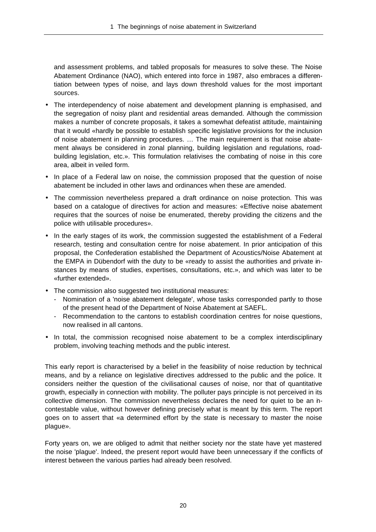and assessment problems, and tabled proposals for measures to solve these. The Noise Abatement Ordinance (NAO), which entered into force in 1987, also embraces a differentiation between types of noise, and lays down threshold values for the most important sources.

- The interdependency of noise abatement and development planning is emphasised, and the segregation of noisy plant and residential areas demanded. Although the commission makes a number of concrete proposals, it takes a somewhat defeatist attitude, maintaining that it would «hardly be possible to establish specific legislative provisions for the inclusion of noise abatement in planning procedures. … The main requirement is that noise abatement always be considered in zonal planning, building legislation and regulations, roadbuilding legislation, etc.». This formulation relativises the combating of noise in this core area, albeit in veiled form.
- In place of a Federal law on noise, the commission proposed that the question of noise abatement be included in other laws and ordinances when these are amended.
- The commission nevertheless prepared a draft ordinance on noise protection. This was based on a catalogue of directives for action and measures: «Effective noise abatement requires that the sources of noise be enumerated, thereby providing the citizens and the police with utilisable procedures».
- In the early stages of its work, the commission suggested the establishment of a Federal research, testing and consultation centre for noise abatement. In prior anticipation of this proposal, the Confederation established the Department of Acoustics/Noise Abatement at the EMPA in Dübendorf with the duty to be «ready to assist the authorities and private instances by means of studies, expertises, consultations, etc.», and which was later to be «further extended».
- The commission also suggested two institutional measures:
	- Nomination of a 'noise abatement delegate', whose tasks corresponded partly to those of the present head of the Department of Noise Abatement at SAEFL.
	- Recommendation to the cantons to establish coordination centres for noise questions, now realised in all cantons.
- In total, the commission recognised noise abatement to be a complex interdisciplinary problem, involving teaching methods and the public interest.

This early report is characterised by a belief in the feasibility of noise reduction by technical means, and by a reliance on legislative directives addressed to the public and the police. It considers neither the question of the civilisational causes of noise, nor that of quantitative growth, especially in connection with mobility. The polluter pays principle is not perceived in its collective dimension. The commission nevertheless declares the need for quiet to be an incontestable value, without however defining precisely what is meant by this term. The report goes on to assert that «a determined effort by the state is necessary to master the noise plague».

Forty years on, we are obliged to admit that neither society nor the state have yet mastered the noise 'plague'. Indeed, the present report would have been unnecessary if the conflicts of interest between the various parties had already been resolved.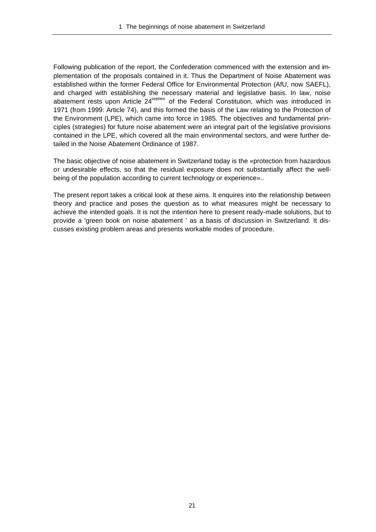Following publication of the report, the Confederation commenced with the extension and implementation of the proposals contained in it. Thus the Department of Noise Abatement was established within the former Federal Office for Environmental Protection (AfU, now SAEFL), and charged with establishing the necessary material and legislative basis. In law, noise abatement rests upon Article 24<sup>septies</sup> of the Federal Constitution, which was introduced in 1971 (from 1999: Article 74), and this formed the basis of the Law relating to the Protection of the Environment (LPE), which came into force in 1985. The objectives and fundamental principles (strategies) for future noise abatement were an integral part of the legislative provisions contained in the LPE, which covered all the main environmental sectors, and were further detailed in the Noise Abatement Ordinance of 1987.

The basic objective of noise abatement in Switzerland today is the «protection from hazardous or undesirable effects, so that the residual exposure does not substantially affect the wellbeing of the population according to current technology or experience»..

The present report takes a critical look at these aims. It enquires into the relationship between theory and practice and poses the question as to what measures might be necessary to achieve the intended goals. It is not the intention here to present ready-made solutions, but to provide a 'green book on noise abatement ' as a basis of discussion in Switzerland. It discusses existing problem areas and presents workable modes of procedure.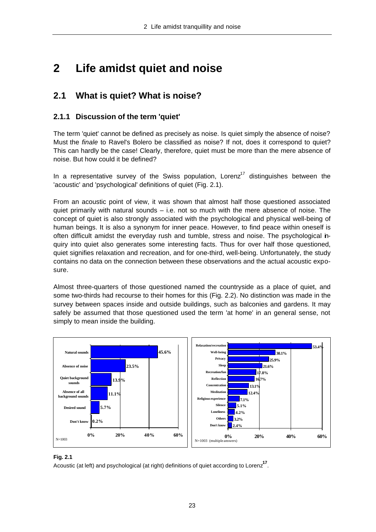# **2 Life amidst quiet and noise**

### **2.1 What is quiet? What is noise?**

#### **2.1.1 Discussion of the term 'quiet'**

The term 'quiet' cannot be defined as precisely as noise. Is quiet simply the absence of noise? Must the *finale* to Ravel's Bolero be classified as noise? If not, does it correspond to quiet? This can hardly be the case! Clearly, therefore, quiet must be more than the mere absence of noise. But how could it be defined?

In a representative survey of the Swiss population, Lorenz<sup>17</sup> distinguishes between the 'acoustic' and 'psychological' definitions of quiet (Fig. 2.1).

From an acoustic point of view, it was shown that almost half those questioned associated quiet primarily with natural sounds – i.e. not so much with the mere absence of noise. The concept of quiet is also strongly associated with the psychological and physical well-being of human beings. It is also a synonym for inner peace. However, to find peace within oneself is often difficult amidst the everyday rush and tumble, stress and noise. The psychological inquiry into quiet also generates some interesting facts. Thus for over half those questioned, quiet signifies relaxation and recreation, and for one-third, well-being. Unfortunately, the study contains no data on the connection between these observations and the actual acoustic exposure.

Almost three-quarters of those questioned named the countryside as a place of quiet, and some two-thirds had recourse to their homes for this (Fig. 2.2). No distinction was made in the survey between spaces inside and outside buildings, such as balconies and gardens. It may safely be assumed that those questioned used the term 'at home' in an general sense, not simply to mean inside the building.



#### **Fig. 2.1**

Acoustic (at left) and psychological (at right) definitions of quiet according to Lorenz**<sup>17</sup>** .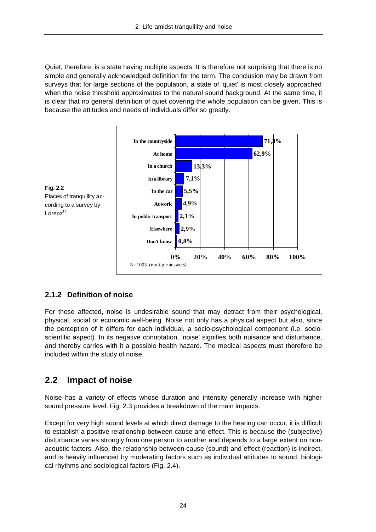Quiet, therefore, is a state having multiple aspects. It is therefore not surprising that there is no simple and generally acknowledged definition for the term. The conclusion may be drawn from surveys that for large sections of the population, a state of 'quiet' is most closely approached when the noise threshold approximates to the natural sound background. At the same time, it is clear that no general definition of quiet covering the whole population can be given. This is because the attitudes and needs of individuals differ so greatly.



#### **2.1.2 Definition of noise**

For those affected, noise is undesirable sound that may detract from their psychological, physical, social or economic well-being. Noise not only has a physical aspect but also, since the perception of it differs for each individual, a socio-psychological component (i.e. socioscientific aspect). In its negative connotation, 'noise' signifies both nuisance and disturbance, and thereby carries with it a possible health hazard. The medical aspects must therefore be included within the study of noise.

### **2.2 Impact of noise**

Noise has a variety of effects whose duration and intensity generally increase with higher sound pressure level. Fig. 2.3 provides a breakdown of the main impacts.

Except for very high sound levels at which direct damage to the hearing can occur, it is difficult to establish a positive relationship between cause and effect. This is because the (subjective) disturbance varies strongly from one person to another and depends to a large extent on nonacoustic factors. Also, the relationship between cause (sound) and effect (reaction) is indirect, and is heavily influenced by moderating factors such as individual attitudes to sound, biological rhythms and sociological factors (Fig. 2.4).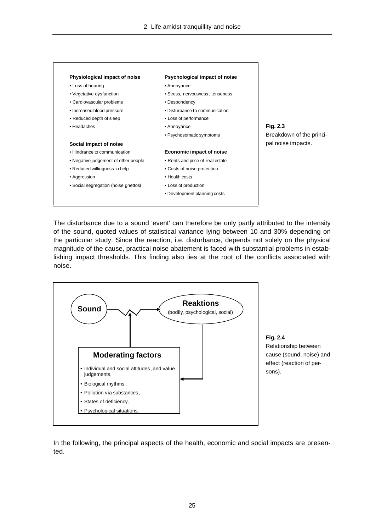

The disturbance due to a sound 'event' can therefore be only partly attributed to the intensity of the sound, quoted values of statistical variance lying between 10 and 30% depending on the particular study. Since the reaction, i.e. disturbance, depends not solely on the physical magnitude of the cause, practical noise abatement is faced with substantial problems in establishing impact thresholds. This finding also lies at the root of the conflicts associated with noise.



**Fig. 2.4** Relationship between cause (sound, noise) and effect (reaction of persons).

In the following, the principal aspects of the health, economic and social impacts are presented.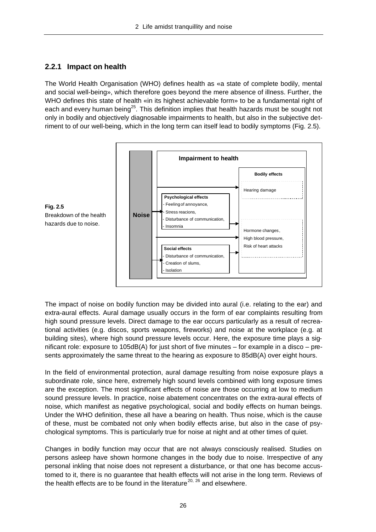#### **2.2.1 Impact on health**

The World Health Organisation (WHO) defines health as «a state of complete bodily, mental and social well-being», which therefore goes beyond the mere absence of illness. Further, the WHO defines this state of health «in its highest achievable form» to be a fundamental right of each and every human being<sup>25</sup>. This definition implies that health hazards must be sought not only in bodily and objectively diagnosable impairments to health, but also in the subjective detriment to of our well-being, which in the long term can itself lead to bodily symptoms (Fig. 2.5).



The impact of noise on bodily function may be divided into aural (i.e. relating to the ear) and extra-aural effects. Aural damage usually occurs in the form of ear complaints resulting from high sound pressure levels. Direct damage to the ear occurs particularly as a result of recreational activities (e.g. discos, sports weapons, fireworks) and noise at the workplace (e.g. at building sites), where high sound pressure levels occur. Here, the exposure time plays a significant role: exposure to 105dB(A) for just short of five minutes – for example in a disco – presents approximately the same threat to the hearing as exposure to 85dB(A) over eight hours.

In the field of environmental protection, aural damage resulting from noise exposure plays a subordinate role, since here, extremely high sound levels combined with long exposure times are the exception. The most significant effects of noise are those occurring at low to medium sound pressure levels. In practice, noise abatement concentrates on the extra-aural effects of noise, which manifest as negative psychological, social and bodily effects on human beings. Under the WHO definition, these all have a bearing on health. Thus noise, which is the cause of these, must be combated not only when bodily effects arise, but also in the case of psychological symptoms. This is particularly true for noise at night and at other times of quiet.

Changes in bodily function may occur that are not always consciously realised. Studies on persons asleep have shown hormone changes in the body due to noise. Irrespective of any personal inkling that noise does not represent a disturbance, or that one has become accustomed to it, there is no guarantee that health effects will not arise in the long term. Reviews of the health effects are to be found in the literature<sup>20, 26</sup> and elsewhere.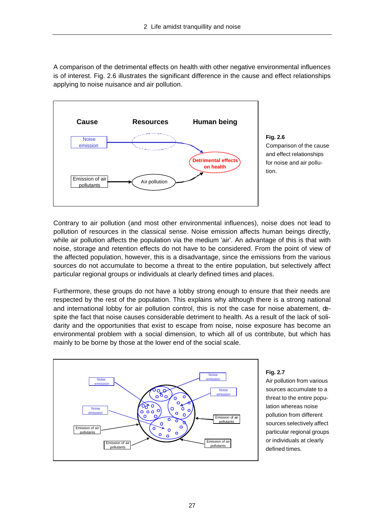A comparison of the detrimental effects on health with other negative environmental influences is of interest. Fig. 2.6 illustrates the significant difference in the cause and effect relationships applying to noise nuisance and air pollution.



**Fig. 2.6** Comparison of the cause and effect relationships for noise and air pollution.

Contrary to air pollution (and most other environmental influences), noise does not lead to pollution of resources in the classical sense. Noise emission affects human beings directly, while air pollution affects the population via the medium 'air'. An advantage of this is that with noise, storage and retention effects do not have to be considered. From the point of view of the affected population, however, this is a disadvantage, since the emissions from the various sources do not accumulate to become a threat to the entire population, but selectively affect particular regional groups or individuals at clearly defined times and places.

Furthermore, these groups do not have a lobby strong enough to ensure that their needs are respected by the rest of the population. This explains why although there is a strong national and international lobby for air pollution control, this is not the case for noise abatement, despite the fact that noise causes considerable detriment to health. As a result of the lack of solidarity and the opportunities that exist to escape from noise, noise exposure has become an environmental problem with a social dimension, to which all of us contribute, but which has mainly to be borne by those at the lower end of the social scale.



#### **Fig. 2.7**

Air pollution from various sources accumulate to a threat to the entire population whereas noise pollution from different sources selectively affect particular regional groups or individuals at clearly defined times.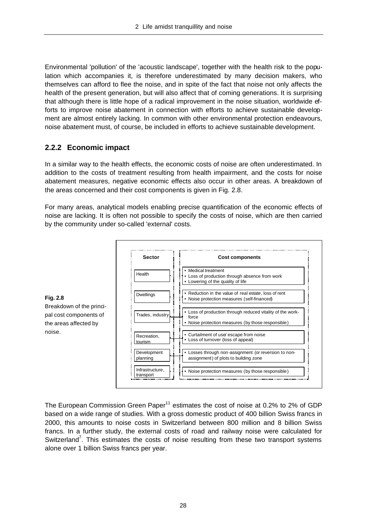Environmental 'pollution' of the 'acoustic landscape', together with the health risk to the population which accompanies it, is therefore underestimated by many decision makers, who themselves can afford to flee the noise, and in spite of the fact that noise not only affects the health of the present generation, but will also affect that of coming generations. It is surprising that although there is little hope of a radical improvement in the noise situation, worldwide efforts to improve noise abatement in connection with efforts to achieve sustainable development are almost entirely lacking. In common with other environmental protection endeavours, noise abatement must, of course, be included in efforts to achieve sustainable development.

#### **2.2.2 Economic impact**

In a similar way to the health effects, the economic costs of noise are often underestimated. In addition to the costs of treatment resulting from health impairment, and the costs for noise abatement measures, negative economic effects also occur in other areas. A breakdown of the areas concerned and their cost components is given in Fig. 2.8.

For many areas, analytical models enabling precise quantification of the economic effects of noise are lacking. It is often not possible to specify the costs of noise, which are then carried by the community under so-called 'external' costs.





The European Commission Green Paper $11$  estimates the cost of noise at 0.2% to 2% of GDP based on a wide range of studies. With a gross domestic product of 400 billion Swiss francs in 2000, this amounts to noise costs in Switzerland between 800 million and 8 billion Swiss francs. In a further study, the external costs of road and railway noise were calculated for Switzerland<sup>7</sup>. This estimates the costs of noise resulting from these two transport systems alone over 1 billion Swiss francs per year.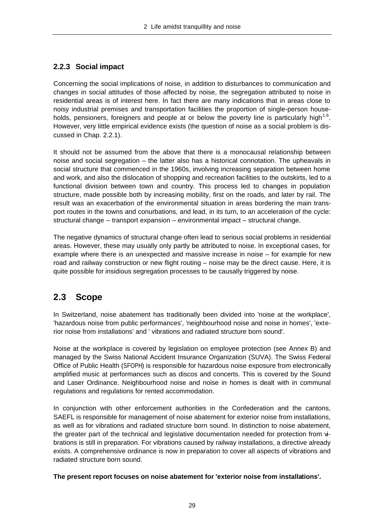#### **2.2.3 Social impact**

Concerning the social implications of noise, in addition to disturbances to communication and changes in social attitudes of those affected by noise, the segregation attributed to noise in residential areas is of interest here. In fact there are many indications that in areas close to noisy industrial premises and transportation facilities the proportion of single-person households, pensioners, foreigners and people at or below the poverty line is particularly high<sup>1,6</sup>. However, very little empirical evidence exists (the question of noise as a social problem is discussed in Chap. 2.2.1).

It should not be assumed from the above that there is a monocausal relationship between noise and social segregation – the latter also has a historical connotation. The upheavals in social structure that commenced in the 1960s, involving increasing separation between home and work, and also the dislocation of shopping and recreation facilities to the outskirts, led to a functional division between town and country. This process led to changes in population structure, made possible both by increasing mobility, first on the roads, and later by rail. The result was an exacerbation of the environmental situation in areas bordering the main transport routes in the towns and conurbations, and lead, in its turn, to an acceleration of the cycle: structural change – transport expansion – environmental impact – structural change.

The negative dynamics of structural change often lead to serious social problems in residential areas. However, these may usually only partly be attributed to noise. In exceptional cases, for example where there is an unexpected and massive increase in noise – for example for new road and railway construction or new flight routing – noise may be the direct cause. Here, it is quite possible for insidious segregation processes to be causally triggered by noise.

### **2.3 Scope**

In Switzerland, noise abatement has traditionally been divided into 'noise at the workplace', 'hazardous noise from public performances', 'neighbourhood noise and noise in homes', 'exterior noise from installations' and ' vibrations and radiated structure born sound'.

Noise at the workplace is covered by legislation on employee protection (see Annex B) and managed by the Swiss National Accident Insurance Organization (SUVA). The Swiss Federal Office of Public Health (SFOPH) is responsible for hazardous noise exposure from electronically amplified music at performances such as discos and concerts. This is covered by the Sound and Laser Ordinance. Neighbourhood noise and noise in homes is dealt with in communal regulations and regulations for rented accommodation.

In conjunction with other enforcement authorities in the Confederation and the cantons, SAEFL is responsible for management of noise abatement for exterior noise from installations, as well as for vibrations and radiated structure born sound. In distinction to noise abatement, the greater part of the technical and legislative documentation needed for protection from vibrations is still in preparation. For vibrations caused by railway installations, a directive already exists. A comprehensive ordinance is now in preparation to cover all aspects of vibrations and radiated structure born sound.

#### **The present report focuses on noise abatement for 'exterior noise from installations'.**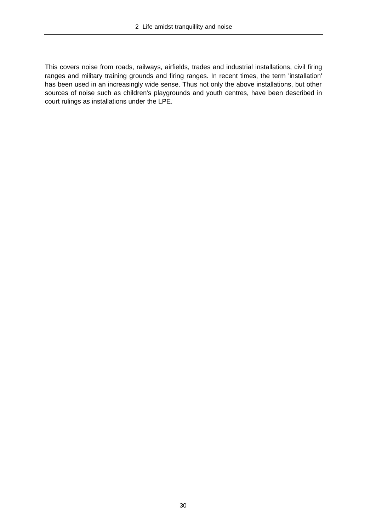This covers noise from roads, railways, airfields, trades and industrial installations, civil firing ranges and military training grounds and firing ranges. In recent times, the term 'installation' has been used in an increasingly wide sense. Thus not only the above installations, but other sources of noise such as children's playgrounds and youth centres, have been described in court rulings as installations under the LPE.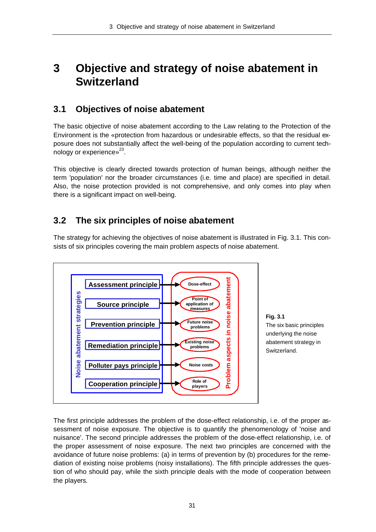## **3 Objective and strategy of noise abatement in Switzerland**

### **3.1 Objectives of noise abatement**

The basic objective of noise abatement according to the Law relating to the Protection of the Environment is the «protection from hazardous or undesirable effects, so that the residual exposure does not substantially affect the well-being of the population according to current technology or experience $v^{23}$ .

This objective is clearly directed towards protection of human beings, although neither the term 'population' nor the broader circumstances (i.e. time and place) are specified in detail. Also, the noise protection provided is not comprehensive, and only comes into play when there is a significant impact on well-being.

### **3.2 The six principles of noise abatement**

The strategy for achieving the objectives of noise abatement is illustrated in Fig. 3.1. This consists of six principles covering the main problem aspects of noise abatement.





The first principle addresses the problem of the dose-effect relationship, i.e. of the proper assessment of noise exposure. The objective is to quantify the phenomenology of 'noise and nuisance'. The second principle addresses the problem of the dose-effect relationship, i.e. of the proper assessment of noise exposure. The next two principles are concerned with the avoidance of future noise problems: (a) in terms of prevention by (b) procedures for the remediation of existing noise problems (noisy installations). The fifth principle addresses the question of who should pay, while the sixth principle deals with the mode of cooperation between the players.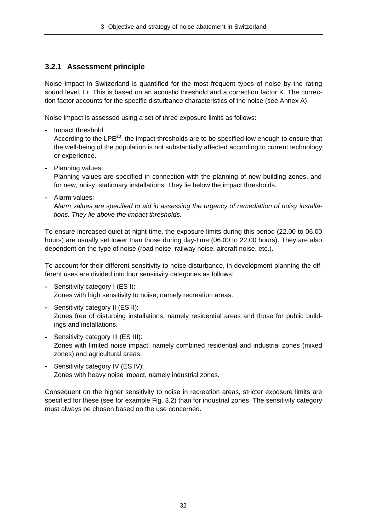#### **3.2.1 Assessment principle**

Noise impact in Switzerland is quantified for the most frequent types of noise by the rating sound level, Lr. This is based on an acoustic threshold and a correction factor K. The correction factor accounts for the specific disturbance characteristics of the noise (see Annex A).

Noise impact is assessed using a set of three exposure limits as follows:

**-** Impact threshold:

According to the  $\text{LPE}^{23}$ , the impact thresholds are to be specified low enough to ensure that the well-being of the population is not substantially affected according to current technology or experience.

**-** Planning values:

Planning values are specified in connection with the planning of new building zones, and for new, noisy, stationary installations. They lie below the impact thresholds.

**-** Alarm values:

A*larm values are specified to aid in assessing the urgency of remediation of noisy installations. They lie above the impact thresholds.*

To ensure increased quiet at night-time, the exposure limits during this period (22.00 to 06.00 hours) are usually set lower than those during day-time (06.00 to 22.00 hours). They are also dependent on the type of noise (road noise, railway noise, aircraft noise, etc.).

To account for their different sensitivity to noise disturbance, in development planning the different uses are divided into four sensitivity categories as follows:

- **-** Sensitivity category I (ES I): Zones with high sensitivity to noise, namely recreation areas.
- **-** Sensitivity category II (ES II): Zones free of disturbing installations, namely residential areas and those for public buildings and installations.
- **-** Sensitivity category III (ES III): Zones with limited noise impact, namely combined residential and industrial zones (mixed zones) and agricultural areas.
- **-** Sensitivity category IV (ES IV): Zones with heavy noise impact, namely industrial zones.

Consequent on the higher sensitivity to noise in recreation areas, stricter exposure limits are specified for these (see for example Fig. 3.2) than for industrial zones. The sensitivity category must always be chosen based on the use concerned.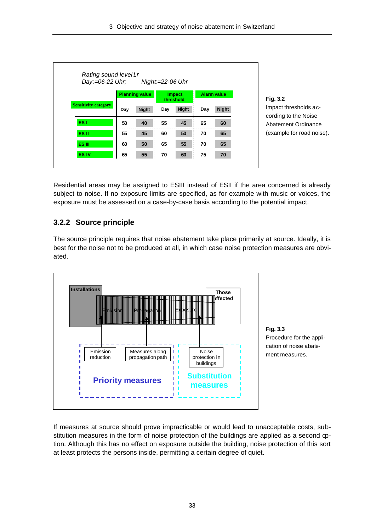3 Objective and strategy of noise abatement in Switzerland

|                             | Day:=06-22 Uhr;       |              | Night=22-06 Uhr            |              |     |                    |
|-----------------------------|-----------------------|--------------|----------------------------|--------------|-----|--------------------|
|                             | <b>Planning value</b> |              | <b>Impact</b><br>threshold |              |     | <b>Alarm value</b> |
| <b>Sensitivity category</b> | Day                   | <b>Night</b> | Day                        | <b>Night</b> | Day | <b>Night</b>       |
| ES <sub>1</sub>             | 50                    | 40           | 55                         | 45           | 65  | 60                 |
| ES II                       | 55                    | 45           | 60                         | 50           | 70  | 65                 |
| ES III                      | 60                    | 50           | 65                         | 55           | 70  | 65                 |
| <b>ES IV</b>                | 65                    | 55           | 70                         | 60           | 75  | 70                 |

**Fig. 3.2** pact thresholds acrding to the Noise atement Ordinance xample for road noise).

Residential areas may be assigned to ESIII instead of ESII if the area concerned is already subject to noise. If no exposure limits are specified, as for example with music or voices, the exposure must be assessed on a case-by-case basis according to the potential impact.

#### **3.2.2 Source principle**

The source principle requires that noise abatement take place primarily at source. Ideally, it is best for the noise not to be produced at all, in which case noise protection measures are obviated.





If measures at source should prove impracticable or would lead to unacceptable costs, substitution measures in the form of noise protection of the buildings are applied as a second option. Although this has no effect on exposure outside the building, noise protection of this sort at least protects the persons inside, permitting a certain degree of quiet.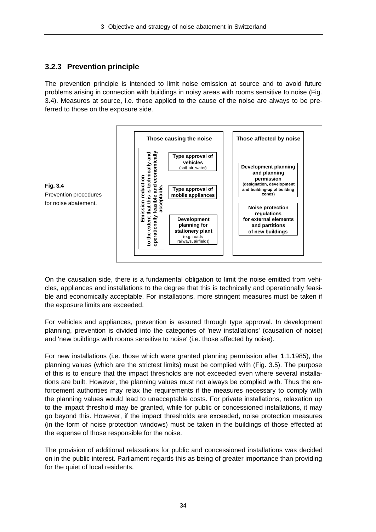#### **3.2.3 Prevention principle**

The prevention principle is intended to limit noise emission at source and to avoid future problems arising in connection with buildings in noisy areas with rooms sensitive to noise (Fig. 3.4). Measures at source, i.e. those applied to the cause of the noise are always to be preferred to those on the exposure side.



On the causation side, there is a fundamental obligation to limit the noise emitted from vehicles, appliances and installations to the degree that this is technically and operationally feasible and economically acceptable. For installations, more stringent measures must be taken if the exposure limits are exceeded.

For vehicles and appliances, prevention is assured through type approval. In development planning, prevention is divided into the categories of 'new installations' (causation of noise) and 'new buildings with rooms sensitive to noise' (i.e. those affected by noise).

For new installations (i.e. those which were granted planning permission after 1.1.1985), the planning values (which are the strictest limits) must be complied with (Fig. 3.5). The purpose of this is to ensure that the impact thresholds are not exceeded even where several installations are built. However, the planning values must not always be complied with. Thus the enforcement authorities may relax the requirements if the measures necessary to comply with the planning values would lead to unacceptable costs. For private installations, relaxation up to the impact threshold may be granted, while for public or concessioned installations, it may go beyond this. However, if the impact thresholds are exceeded, noise protection measures (in the form of noise protection windows) must be taken in the buildings of those effected at the expense of those responsible for the noise.

The provision of additional relaxations for public and concessioned installations was decided on in the public interest. Parliament regards this as being of greater importance than providing for the quiet of local residents.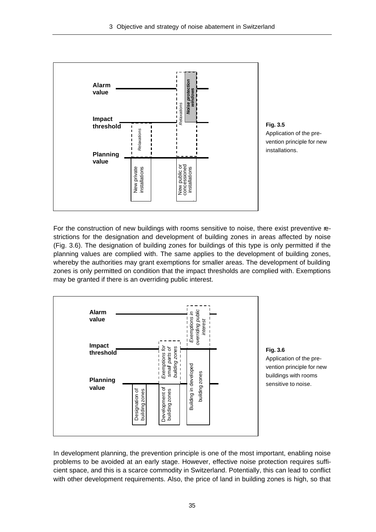

**Fig. 3.5** Application of the prevention principle for new installations.

For the construction of new buildings with rooms sensitive to noise, there exist preventive restrictions for the designation and development of building zones in areas affected by noise (Fig. 3.6). The designation of building zones for buildings of this type is only permitted if the planning values are complied with. The same applies to the development of building zones, whereby the authorities may grant exemptions for smaller areas. The development of building zones is only permitted on condition that the impact thresholds are complied with. Exemptions may be granted if there is an overriding public interest.



#### **Fig. 3.6**

Application of the prevention principle for new buildings with rooms sensitive to noise.

In development planning, the prevention principle is one of the most important, enabling noise problems to be avoided at an early stage. However, effective noise protection requires sufficient space, and this is a scarce commodity in Switzerland. Potentially, this can lead to conflict with other development requirements. Also, the price of land in building zones is high, so that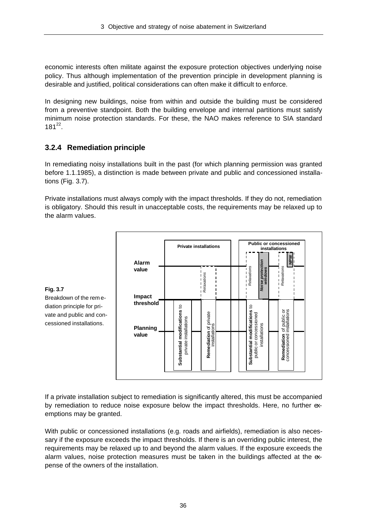economic interests often militate against the exposure protection objectives underlying noise policy. Thus although implementation of the prevention principle in development planning is desirable and justified, political considerations can often make it difficult to enforce.

In designing new buildings, noise from within and outside the building must be considered from a preventive standpoint. Both the building envelope and internal partitions must satisfy minimum noise protection standards. For these, the NAO makes reference to SIA standard  $181^{22}$ .

## **3.2.4 Remediation principle**

In remediating noisy installations built in the past (for which planning permission was granted before 1.1.1985), a distinction is made between private and public and concessioned installations (Fig. 3.7).

Private installations must always comply with the impact thresholds. If they do not, remediation is obligatory. Should this result in unacceptable costs, the requirements may be relaxed up to the alarm values.





If a private installation subject to remediation is significantly altered, this must be accompanied by remediation to reduce noise exposure below the impact thresholds. Here, no further exemptions may be granted.

With public or concessioned installations (e.g. roads and airfields), remediation is also necessary if the exposure exceeds the impact thresholds. If there is an overriding public interest, the requirements may be relaxed up to and beyond the alarm values. If the exposure exceeds the alarm values, noise protection measures must be taken in the buildings affected at the expense of the owners of the installation.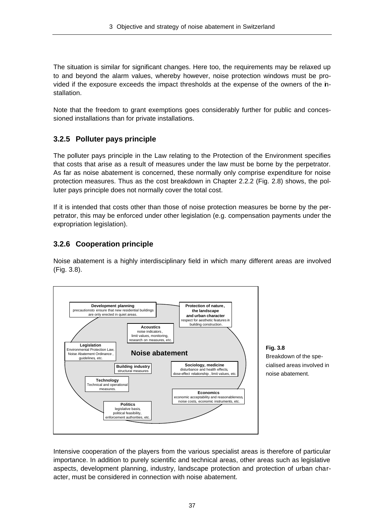The situation is similar for significant changes. Here too, the requirements may be relaxed up to and beyond the alarm values, whereby however, noise protection windows must be provided if the exposure exceeds the impact thresholds at the expense of the owners of the installation.

Note that the freedom to grant exemptions goes considerably further for public and concessioned installations than for private installations.

## **3.2.5 Polluter pays principle**

The polluter pays principle in the Law relating to the Protection of the Environment specifies that costs that arise as a result of measures under the law must be borne by the perpetrator. As far as noise abatement is concerned, these normally only comprise expenditure for noise protection measures. Thus as the cost breakdown in Chapter 2.2.2 (Fig. 2.8) shows, the polluter pays principle does not normally cover the total cost.

If it is intended that costs other than those of noise protection measures be borne by the perpetrator, this may be enforced under other legislation (e.g. compensation payments under the expropriation legislation).

#### **3.2.6 Cooperation principle**

Noise abatement is a highly interdisciplinary field in which many different areas are involved (Fig. 3.8).



**Fig. 3.8** Breakdown of the specialised areas involved in noise abatement.

Intensive cooperation of the players from the various specialist areas is therefore of particular importance. In addition to purely scientific and technical areas, other areas such as legislative aspects, development planning, industry, landscape protection and protection of urban character, must be considered in connection with noise abatement.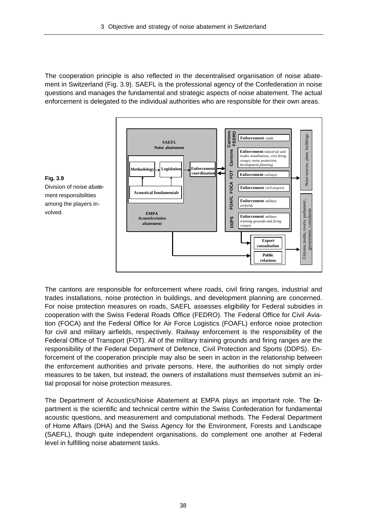The cooperation principle is also reflected in the decentralised organisation of noise abatement in Switzerland (Fig. 3.9). SAEFL is the professional agency of the Confederation in noise questions and manages the fundamental and strategic aspects of noise abatement. The actual enforcement is delegated to the individual authorities who are responsible for their own areas.



The cantons are responsible for enforcement where roads, civil firing ranges, industrial and trades installations, noise protection in buildings, and development planning are concerned. For noise protection measures on roads, SAEFL assesses eligibility for Federal subsidies in cooperation with the Swiss Federal Roads Office (FEDRO). The Federal Office for Civil Aviation (FOCA) and the Federal Office for Air Force Logistics (FOAFL) enforce noise protection for civil and military airfields, respectively. Railway enforcement is the responsibility of the Federal Office of Transport (FOT). All of the military training grounds and firing ranges are the responsibility of the Federal Department of Defence, Civil Protection and Sports (DDPS). Enforcement of the cooperation principle may also be seen in action in the relationship between the enforcement authorities and private persons. Here, the authorities do not simply order measures to be taken, but instead, the owners of installations must themselves submit an initial proposal for noise protection measures.

The Department of Acoustics/Noise Abatement at EMPA plays an important role. The Department is the scientific and technical centre within the Swiss Confederation for fundamental acoustic questions, and measurement and computational methods. The Federal Department of Home Affairs (DHA) and the Swiss Agency for the Environment, Forests and Landscape (SAEFL), though quite independent organisations, do complement one another at Federal level in fulfilling noise abatement tasks.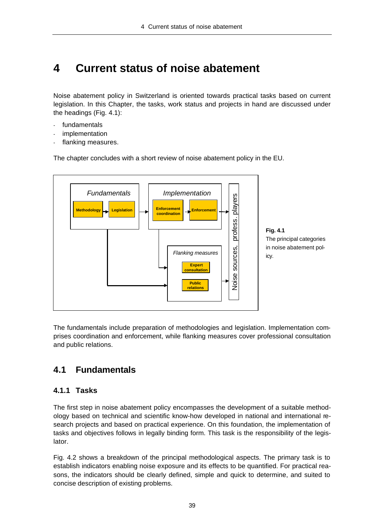# **4 Current status of noise abatement**

Noise abatement policy in Switzerland is oriented towards practical tasks based on current legislation. In this Chapter, the tasks, work status and projects in hand are discussed under the headings (Fig. 4.1):

- fundamentals
- implementation
- flanking measures.

The chapter concludes with a short review of noise abatement policy in the EU.



**Fig. 4.1** The principal categories in noise abatement policy.

The fundamentals include preparation of methodologies and legislation. Implementation comprises coordination and enforcement, while flanking measures cover professional consultation and public relations.

## **4.1 Fundamentals**

## **4.1.1 Tasks**

The first step in noise abatement policy encompasses the development of a suitable methodology based on technical and scientific know-how developed in national and international research projects and based on practical experience. On this foundation, the implementation of tasks and objectives follows in legally binding form. This task is the responsibility of the legislator.

Fig. 4.2 shows a breakdown of the principal methodological aspects. The primary task is to establish indicators enabling noise exposure and its effects to be quantified. For practical reasons, the indicators should be clearly defined, simple and quick to determine, and suited to concise description of existing problems.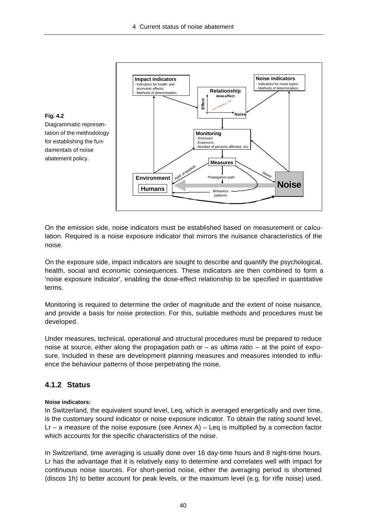

On the emission side, noise indicators must be established based on measurement or calculation. Required is a noise exposure indicator that mirrors the nuisance characteristics of the noise.

On the exposure side, impact indicators are sought to describe and quantify the psychological, health, social and economic consequences. These indicators are then combined to form a 'noise exposure indicator', enabling the dose-effect relationship to be specified in quantitative terms.

Monitoring is required to determine the order of magnitude and the extent of noise nuisance, and provide a basis for noise protection. For this, suitable methods and procedures must be developed.

Under measures, technical, operational and structural procedures must be prepared to reduce noise at source, either along the propagation path or – as *ultima ratio* – at the point of exposure. Included in these are development planning measures and measures intended to influence the behaviour patterns of those perpetrating the noise.

#### **4.1.2 Status**

#### **Noise indicators:**

In Switzerland, the equivalent sound level, Leq, which is averaged energetically and over time, is the customary sound indicator or noise exposure indicator. To obtain the rating sound level,  $Lr - a$  measure of the noise exposure (see Annex A) – Leq is multiplied by a correction factor which accounts for the specific characteristics of the noise.

In Switzerland, time averaging is usually done over 16 day-time hours and 8 night-time hours. Lr has the advantage that it is relatively easy to determine and correlates well with impact for continuous noise sources. For short-period noise, either the averaging period is shortened (discos 1h) to better account for peak levels, or the maximum level (e.g. for rifle noise) used.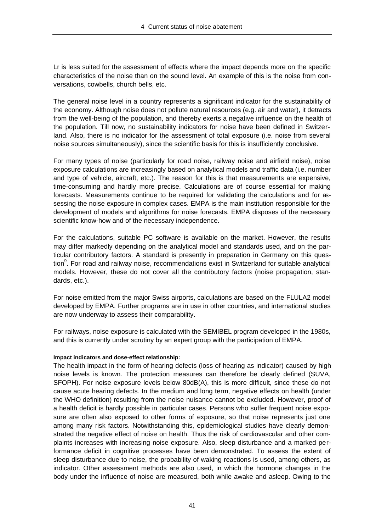Lr is less suited for the assessment of effects where the impact depends more on the specific characteristics of the noise than on the sound level. An example of this is the noise from conversations, cowbells, church bells, etc.

The general noise level in a country represents a significant indicator for the sustainability of the economy. Although noise does not pollute natural resources (e.g. air and water), it detracts from the well-being of the population, and thereby exerts a negative influence on the health of the population. Till now, no sustainability indicators for noise have been defined in Switzerland. Also, there is no indicator for the assessment of total exposure (i.e. noise from several noise sources simultaneously), since the scientific basis for this is insufficiently conclusive.

For many types of noise (particularly for road noise, railway noise and airfield noise), noise exposure calculations are increasingly based on analytical models and traffic data (i.e. number and type of vehicle, aircraft, etc.). The reason for this is that measurements are expensive, time-consuming and hardly more precise. Calculations are of course essential for making forecasts. Measurements continue to be required for validating the calculations and for assessing the noise exposure in complex cases. EMPA is the main institution responsible for the development of models and algorithms for noise forecasts. EMPA disposes of the necessary scientific know-how and of the necessary independence.

For the calculations, suitable PC software is available on the market. However, the results may differ markedly depending on the analytical model and standards used, and on the particular contributory factors. A standard is presently in preparation in Germany on this question<sup>9</sup>. For road and railway noise, recommendations exist in Switzerland for suitable analytical models. However, these do not cover all the contributory factors (noise propagation, standards, etc.).

For noise emitted from the major Swiss airports, calculations are based on the FLULA2 model developed by EMPA. Further programs are in use in other countries, and international studies are now underway to assess their comparability.

For railways, noise exposure is calculated with the SEMIBEL program developed in the 1980s, and this is currently under scrutiny by an expert group with the participation of EMPA.

#### **Impact indicators and dose-effect relationship:**

The health impact in the form of hearing defects (loss of hearing as indicator) caused by high noise levels is known. The protection measures can therefore be clearly defined (SUVA, SFOPH). For noise exposure levels below 80dB(A), this is more difficult, since these do not cause acute hearing defects. In the medium and long term, negative effects on health (under the WHO definition) resulting from the noise nuisance cannot be excluded. However, proof of a health deficit is hardly possible in particular cases. Persons who suffer frequent noise exposure are often also exposed to other forms of exposure, so that noise represents just one among many risk factors. Notwithstanding this, epidemiological studies have clearly demonstrated the negative effect of noise on health. Thus the risk of cardiovascular and other complaints increases with increasing noise exposure. Also, sleep disturbance and a marked performance deficit in cognitive processes have been demonstrated. To assess the extent of sleep disturbance due to noise, the probability of waking reactions is used, among others, as indicator. Other assessment methods are also used, in which the hormone changes in the body under the influence of noise are measured, both while awake and asleep. Owing to the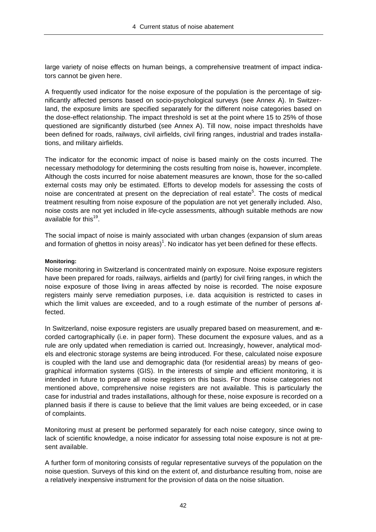large variety of noise effects on human beings, a comprehensive treatment of impact indicators cannot be given here.

A frequently used indicator for the noise exposure of the population is the percentage of significantly affected persons based on socio-psychological surveys (see Annex A). In Switzerland, the exposure limits are specified separately for the different noise categories based on the dose-effect relationship. The impact threshold is set at the point where 15 to 25% of those questioned are significantly disturbed (see Annex A). Till now, noise impact thresholds have been defined for roads, railways, civil airfields, civil firing ranges, industrial and trades installations, and military airfields.

The indicator for the economic impact of noise is based mainly on the costs incurred. The necessary methodology for determining the costs resulting from noise is, however, incomplete. Although the costs incurred for noise abatement measures are known, those for the so-called external costs may only be estimated. Efforts to develop models for assessing the costs of noise are concentrated at present on the depreciation of real estate<sup>5</sup>. The costs of medical treatment resulting from noise exposure of the population are not yet generally included. Also, noise costs are not yet included in life-cycle assessments, although suitable methods are now available for this<sup>19</sup>.

The social impact of noise is mainly associated with urban changes (expansion of slum areas and formation of ghettos in noisy areas)<sup>1</sup>. No indicator has yet been defined for these effects.

#### **Monitoring:**

Noise monitoring in Switzerland is concentrated mainly on exposure. Noise exposure registers have been prepared for roads, railways, airfields and (partly) for civil firing ranges, in which the noise exposure of those living in areas affected by noise is recorded. The noise exposure registers mainly serve remediation purposes, i.e. data acquisition is restricted to cases in which the limit values are exceeded, and to a rough estimate of the number of persons affected.

In Switzerland, noise exposure registers are usually prepared based on measurement, and recorded cartographically (i.e. in paper form). These document the exposure values, and as a rule are only updated when remediation is carried out. Increasingly, however, analytical models and electronic storage systems are being introduced. For these, calculated noise exposure is coupled with the land use and demographic data (for residential areas) by means of geographical information systems (GIS). In the interests of simple and efficient monitoring, it is intended in future to prepare all noise registers on this basis. For those noise categories not mentioned above, comprehensive noise registers are not available. This is particularly the case for industrial and trades installations, although for these, noise exposure is recorded on a planned basis if there is cause to believe that the limit values are being exceeded, or in case of complaints.

Monitoring must at present be performed separately for each noise category, since owing to lack of scientific knowledge, a noise indicator for assessing total noise exposure is not at present available.

A further form of monitoring consists of regular representative surveys of the population on the noise question. Surveys of this kind on the extent of, and disturbance resulting from, noise are a relatively inexpensive instrument for the provision of data on the noise situation.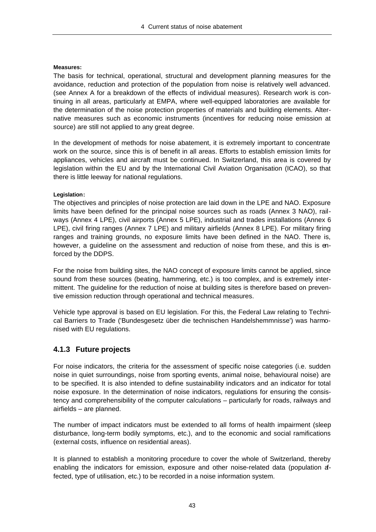#### **Measures:**

The basis for technical, operational, structural and development planning measures for the avoidance, reduction and protection of the population from noise is relatively well advanced. (see Annex A for a breakdown of the effects of individual measures). Research work is continuing in all areas, particularly at EMPA, where well-equipped laboratories are available for the determination of the noise protection properties of materials and building elements. Alternative measures such as economic instruments (incentives for reducing noise emission at source) are still not applied to any great degree.

In the development of methods for noise abatement, it is extremely important to concentrate work on the source, since this is of benefit in all areas. Efforts to establish emission limits for appliances, vehicles and aircraft must be continued. In Switzerland, this area is covered by legislation within the EU and by the International Civil Aviation Organisation (ICAO), so that there is little leeway for national regulations.

#### **Legislation:**

The objectives and principles of noise protection are laid down in the LPE and NAO. Exposure limits have been defined for the principal noise sources such as roads (Annex 3 NAO), railways (Annex 4 LPE), civil airports (Annex 5 LPE), industrial and trades installations (Annex 6 LPE), civil firing ranges (Annex 7 LPE) and military airfields (Annex 8 LPE). For military firing ranges and training grounds, no exposure limits have been defined in the NAO. There is, however, a guideline on the assessment and reduction of noise from these, and this is enforced by the DDPS.

For the noise from building sites, the NAO concept of exposure limits cannot be applied, since sound from these sources (beating, hammering, etc.) is too complex, and is extremely intermittent. The guideline for the reduction of noise at building sites is therefore based on preventive emission reduction through operational and technical measures.

Vehicle type approval is based on EU legislation. For this, the Federal Law relating to Technical Barriers to Trade ('Bundesgesetz über die technischen Handelshemmnisse') was harmonised with EU regulations.

#### **4.1.3 Future projects**

For noise indicators, the criteria for the assessment of specific noise categories (i.e. sudden noise in quiet surroundings, noise from sporting events, animal noise, behavioural noise) are to be specified. It is also intended to define sustainability indicators and an indicator for total noise exposure. In the determination of noise indicators, regulations for ensuring the consistency and comprehensibility of the computer calculations – particularly for roads, railways and airfields – are planned.

The number of impact indicators must be extended to all forms of health impairment (sleep disturbance, long-term bodily symptoms, etc.), and to the economic and social ramifications (external costs, influence on residential areas).

It is planned to establish a monitoring procedure to cover the whole of Switzerland, thereby enabling the indicators for emission, exposure and other noise-related data (population affected, type of utilisation, etc.) to be recorded in a noise information system.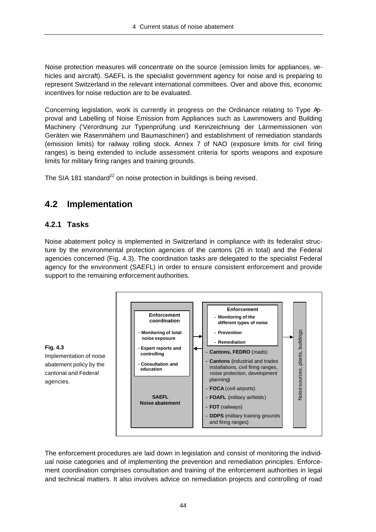Noise protection measures will concentrate on the source (emission limits for appliances, vehicles and aircraft). SAEFL is the specialist government agency for noise and is preparing to represent Switzerland in the relevant international committees. Over and above this, economic incentives for noise reduction are to be evaluated.

Concerning legislation, work is currently in progress on the Ordinance relating to Type Approval and Labelling of Noise Emission from Appliances such as Lawnmowers and Building Machinery ('Verordnung zur Typenprüfung und Kennzeichnung der Lärmemissionen von Geräten wie Rasenmähern und Baumaschinen') and establishment of remediation standards (emission limits) for railway rolling stock. Annex 7 of NAO (exposure limits for civil firing ranges) is being extended to include assessment criteria for sports weapons and exposure limits for military firing ranges and training grounds.

The SIA 181 standard<sup>22</sup> on noise protection in buildings is being revised.

## **4.2 Implementation**

#### **4.2.1 Tasks**

Noise abatement policy is implemented in Switzerland in compliance with its federalist structure by the environmental protection agencies of the cantons (26 in total) and the Federal agencies concerned (Fig. 4.3). The coordination tasks are delegated to the specialist Federal agency for the environment (SAEFL) in order to ensure consistent enforcement and provide support to the remaining enforcement authorities.



The enforcement procedures are laid down in legislation and consist of monitoring the individual noise categories and of implementing the prevention and remediation principles. Enforcement coordination comprises consultation and training of the enforcement authorities in legal and technical matters. It also involves advice on remediation projects and controlling of road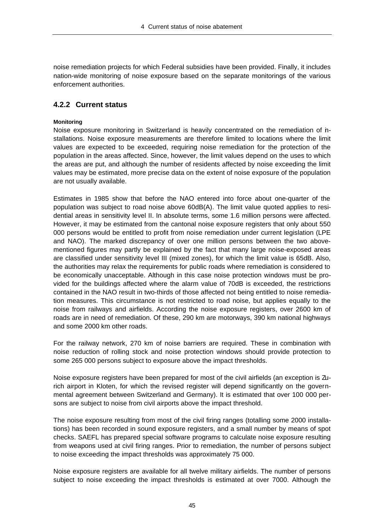noise remediation projects for which Federal subsidies have been provided. Finally, it includes nation-wide monitoring of noise exposure based on the separate monitorings of the various enforcement authorities.

#### **4.2.2 Current status**

#### **Monitoring**

Noise exposure monitoring in Switzerland is heavily concentrated on the remediation of installations. Noise exposure measurements are therefore limited to locations where the limit values are expected to be exceeded, requiring noise remediation for the protection of the population in the areas affected. Since, however, the limit values depend on the uses to which the areas are put, and although the number of residents affected by noise exceeding the limit values may be estimated, more precise data on the extent of noise exposure of the population are not usually available.

Estimates in 1985 show that before the NAO entered into force about one-quarter of the population was subject to road noise above 60dB(A). The limit value quoted applies to residential areas in sensitivity level II. In absolute terms, some 1.6 million persons were affected. However, it may be estimated from the cantonal noise exposure registers that only about 550 000 persons would be entitled to profit from noise remediation under current legislation (LPE and NAO). The marked discrepancy of over one million persons between the two abovementioned figures may partly be explained by the fact that many large noise-exposed areas are classified under sensitivity level III (mixed zones), for which the limit value is 65dB. Also, the authorities may relax the requirements for public roads where remediation is considered to be economically unacceptable. Although in this case noise protection windows must be provided for the buildings affected where the alarm value of 70dB is exceeded, the restrictions contained in the NAO result in two-thirds of those affected not being entitled to noise remediation measures. This circumstance is not restricted to road noise, but applies equally to the noise from railways and airfields. According the noise exposure registers, over 2600 km of roads are in need of remediation. Of these, 290 km are motorways, 390 km national highways and some 2000 km other roads.

For the railway network, 270 km of noise barriers are required. These in combination with noise reduction of rolling stock and noise protection windows should provide protection to some 265 000 persons subject to exposure above the impact thresholds.

Noise exposure registers have been prepared for most of the civil airfields (an exception is Zurich airport in Kloten, for which the revised register will depend significantly on the governmental agreement between Switzerland and Germany). It is estimated that over 100 000 persons are subject to noise from civil airports above the impact threshold.

The noise exposure resulting from most of the civil firing ranges (totalling some 2000 installations) has been recorded in sound exposure registers, and a small number by means of spot checks. SAEFL has prepared special software programs to calculate noise exposure resulting from weapons used at civil firing ranges. Prior to remediation, the number of persons subject to noise exceeding the impact thresholds was approximately 75 000.

Noise exposure registers are available for all twelve military airfields. The number of persons subject to noise exceeding the impact thresholds is estimated at over 7000. Although the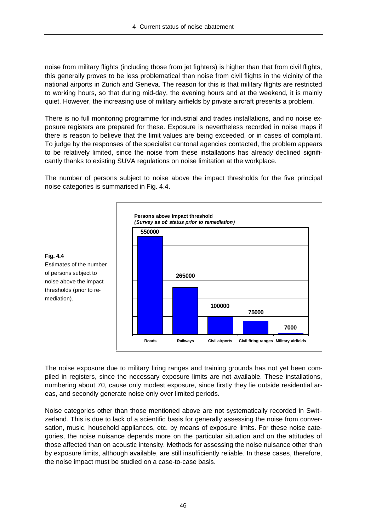noise from military flights (including those from jet fighters) is higher than that from civil flights, this generally proves to be less problematical than noise from civil flights in the vicinity of the national airports in Zurich and Geneva. The reason for this is that military flights are restricted to working hours, so that during mid-day, the evening hours and at the weekend, it is mainly quiet. However, the increasing use of military airfields by private aircraft presents a problem.

There is no full monitoring programme for industrial and trades installations, and no noise exposure registers are prepared for these. Exposure is nevertheless recorded in noise maps if there is reason to believe that the limit values are being exceeded, or in cases of complaint. To judge by the responses of the specialist cantonal agencies contacted, the problem appears to be relatively limited, since the noise from these installations has already declined significantly thanks to existing SUVA regulations on noise limitation at the workplace.

The number of persons subject to noise above the impact thresholds for the five principal noise categories is summarised in Fig. 4.4.



The noise exposure due to military firing ranges and training grounds has not yet been compiled in registers, since the necessary exposure limits are not available. These installations, numbering about 70, cause only modest exposure, since firstly they lie outside residential areas, and secondly generate noise only over limited periods.

Noise categories other than those mentioned above are not systematically recorded in Switzerland. This is due to lack of a scientific basis for generally assessing the noise from conversation, music, household appliances, etc. by means of exposure limits. For these noise categories, the noise nuisance depends more on the particular situation and on the attitudes of those affected than on acoustic intensity. Methods for assessing the noise nuisance other than by exposure limits, although available, are still insufficiently reliable. In these cases, therefore, the noise impact must be studied on a case-to-case basis.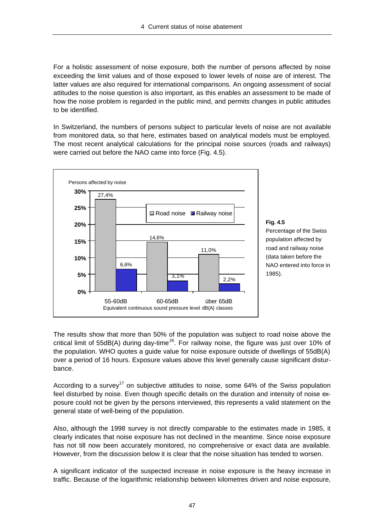For a holistic assessment of noise exposure, both the number of persons affected by noise exceeding the limit values and of those exposed to lower levels of noise are of interest. The latter values are also required for international comparisons. An ongoing assessment of social attitudes to the noise question is also important, as this enables an assessment to be made of how the noise problem is regarded in the public mind, and permits changes in public attitudes to be identified.

In Switzerland, the numbers of persons subject to particular levels of noise are not available from monitored data, so that here, estimates based on analytical models must be employed. The most recent analytical calculations for the principal noise sources (roads and railways) were carried out before the NAO came into force (Fig. 4.5).



**Fig. 4.5** Percentage of the Swiss population affected by road and railway noise (data taken before the NAO entered into force in 1985).

The results show that more than 50% of the population was subject to road noise above the critical limit of 55dB(A) during day-time<sup>26</sup>. For railway noise, the figure was just over 10% of the population. WHO quotes a guide value for noise exposure outside of dwellings of 55dB(A) over a period of 16 hours. Exposure values above this level generally cause significant disturbance.

According to a survey<sup>17</sup> on subjective attitudes to noise, some 64% of the Swiss population feel disturbed by noise. Even though specific details on the duration and intensity of noise exposure could not be given by the persons interviewed, this represents a valid statement on the general state of well-being of the population.

Also, although the 1998 survey is not directly comparable to the estimates made in 1985, it clearly indicates that noise exposure has not declined in the meantime. Since noise exposure has not till now been accurately monitored, no comprehensive or exact data are available. However, from the discussion below it is clear that the noise situation has tended to worsen.

A significant indicator of the suspected increase in noise exposure is the heavy increase in traffic. Because of the logarithmic relationship between kilometres driven and noise exposure,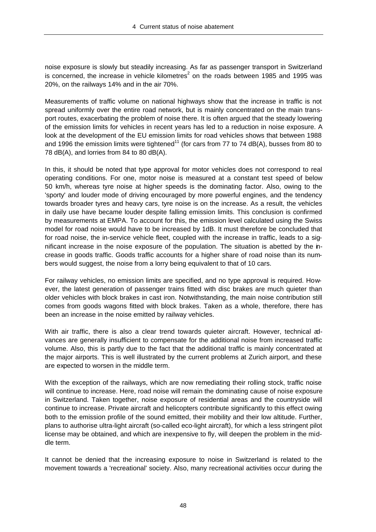noise exposure is slowly but steadily increasing. As far as passenger transport in Switzerland is concerned, the increase in vehicle kilometres<sup>2</sup> on the roads between 1985 and 1995 was 20%, on the railways 14% and in the air 70%.

Measurements of traffic volume on national highways show that the increase in traffic is not spread uniformly over the entire road network, but is mainly concentrated on the main transport routes, exacerbating the problem of noise there. It is often argued that the steady lowering of the emission limits for vehicles in recent years has led to a reduction in noise exposure. A look at the development of the EU emission limits for road vehicles shows that between 1988 and 1996 the emission limits were tightened<sup>11</sup> (for cars from 77 to 74 dB(A), busses from 80 to 78 dB(A), and lorries from 84 to 80 dB(A).

In this, it should be noted that type approval for motor vehicles does not correspond to real operating conditions. For one, motor noise is measured at a constant test speed of below 50 km/h, whereas tyre noise at higher speeds is the dominating factor. Also, owing to the 'sporty' and louder mode of driving encouraged by more powerful engines, and the tendency towards broader tyres and heavy cars, tyre noise is on the increase. As a result, the vehicles in daily use have became louder despite falling emission limits. This conclusion is confirmed by measurements at EMPA. To account for this, the emission level calculated using the Swiss model for road noise would have to be increased by 1dB. It must therefore be concluded that for road noise, the in-service vehicle fleet, coupled with the increase in traffic, leads to a significant increase in the noise exposure of the population. The situation is abetted by the increase in goods traffic. Goods traffic accounts for a higher share of road noise than its numbers would suggest, the noise from a lorry being equivalent to that of 10 cars.

For railway vehicles, no emission limits are specified, and no type approval is required. However, the latest generation of passenger trains fitted with disc brakes are much quieter than older vehicles with block brakes in cast iron. Notwithstanding, the main noise contribution still comes from goods wagons fitted with block brakes. Taken as a whole, therefore, there has been an increase in the noise emitted by railway vehicles.

With air traffic, there is also a clear trend towards quieter aircraft. However, technical advances are generally insufficient to compensate for the additional noise from increased traffic volume. Also, this is partly due to the fact that the additional traffic is mainly concentrated at the major airports. This is well illustrated by the current problems at Zurich airport, and these are expected to worsen in the middle term.

With the exception of the railways, which are now remediating their rolling stock, traffic noise will continue to increase. Here, road noise will remain the dominating cause of noise exposure in Switzerland. Taken together, noise exposure of residential areas and the countryside will continue to increase. Private aircraft and helicopters contribute significantly to this effect owing both to the emission profile of the sound emitted, their mobility and their low altitude. Further, plans to authorise ultra-light aircraft (so-called eco-light aircraft), for which a less stringent pilot license may be obtained, and which are inexpensive to fly, will deepen the problem in the middle term.

It cannot be denied that the increasing exposure to noise in Switzerland is related to the movement towards a 'recreational' society. Also, many recreational activities occur during the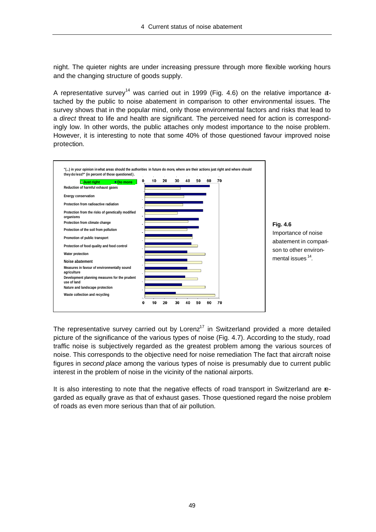night. The quieter nights are under increasing pressure through more flexible working hours and the changing structure of goods supply.

A representative survey<sup>14</sup> was carried out in 1999 (Fig. 4.6) on the relative importance atached by the public to noise abatement in comparison to other environmental issues. The survey shows that in the popular mind, only those environmental factors and risks that lead to a *direct* threat to life and health are significant. The perceived need for action is correspondingly low. In other words, the public attaches only modest importance to the noise problem. However, it is interesting to note that some 40% of those questioned favour improved noise protection.





The representative survey carried out by  $Lorenz<sup>17</sup>$  in Switzerland provided a more detailed picture of the significance of the various types of noise (Fig. 4.7). According to the study, road traffic noise is subjectively regarded as the greatest problem among the various sources of noise. This corresponds to the objective need for noise remediation The fact that aircraft noise figures in *second place* among the various types of noise is presumably due to current public interest in the problem of noise in the vicinity of the national airports.

It is also interesting to note that the negative effects of road transport in Switzerland are regarded as equally grave as that of exhaust gases. Those questioned regard the noise problem of roads as even more serious than that of air pollution.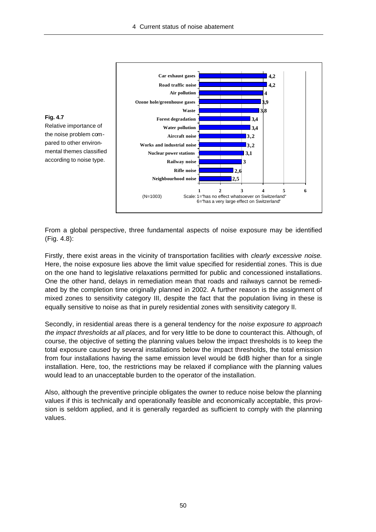

From a global perspective, three fundamental aspects of noise exposure may be identified (Fig. 4.8):

Firstly, there exist areas in the vicinity of transportation facilities with *clearly excessive noise.* Here, the noise exposure lies above the limit value specified for residential zones. This is due on the one hand to legislative relaxations permitted for public and concessioned installations. One the other hand, delays in remediation mean that roads and railways cannot be remediated by the completion time originally planned in 2002. A further reason is the assignment of mixed zones to sensitivity category III, despite the fact that the population living in these is equally sensitive to noise as that in purely residential zones with sensitivity category II.

Secondly, in residential areas there is a general tendency for the *noise exposure to approach the impact thresholds at all places,* and for very little to be done to counteract this. Although, of course, the objective of setting the planning values below the impact thresholds is to keep the total exposure caused by several installations below the impact thresholds, the total emission from four installations having the same emission level would be 6dB higher than for a single installation. Here, too, the restrictions may be relaxed if compliance with the planning values would lead to an unacceptable burden to the operator of the installation.

Also, although the preventive principle obligates the owner to reduce noise below the planning values if this is technically and operationally feasible and economically acceptable, this provision is seldom applied, and it is generally regarded as sufficient to comply with the planning values.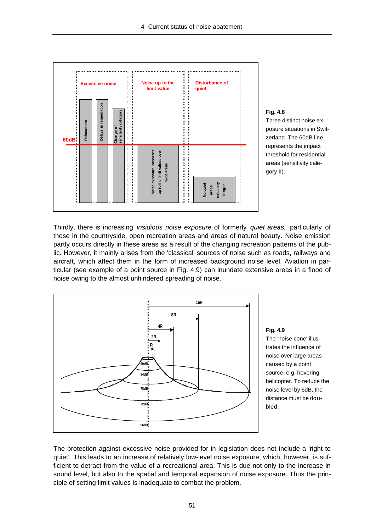

#### **Fig. 4.8**

Three distinct noise exposure situations in Switzerland. The 60dB line represents the impact threshold for residential areas (sensitivity category II).

Thirdly, there is increasing *insidious noise exposure* of formerly *quiet areas,* particularly of those in the countryside, open recreation areas and areas of natural beauty. Noise emission partly occurs directly in these areas as a result of the changing recreation patterns of the public. However, it mainly arises from the 'classical' sources of noise such as roads, railways and aircraft, which affect them in the form of increased background noise level. Aviation in particular (see example of a point source in Fig. 4.9) can inundate extensive areas in a flood of noise owing to the almost unhindered spreading of noise.



**Fig. 4.9** The 'noise cone' illustrates the influence of noise over large areas caused by a point source, e.g. hovering helicopter. To reduce the noise level by 6dB, the distance must be doubled.

The protection against excessive noise provided for in legislation does not include a 'right to quiet'. This leads to an increase of relatively low-level noise exposure, which, however, is sufficient to detract from the value of a recreational area. This is due not only to the increase in sound level, but also to the spatial and temporal expansion of noise exposure. Thus the principle of setting limit values is inadequate to combat the problem.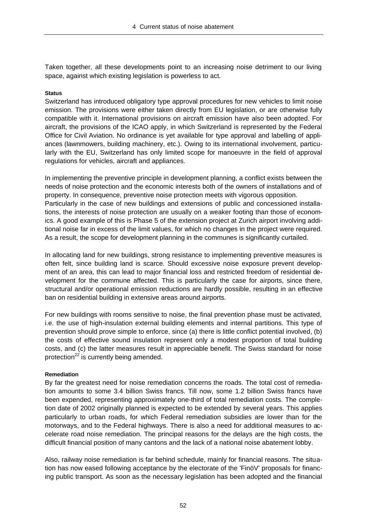Taken together, all these developments point to an increasing noise detriment to our living space, against which existing legislation is powerless to act.

#### **Status**

Switzerland has introduced obligatory type approval procedures for new vehicles to limit noise emission. The provisions were either taken directly from EU legislation, or are otherwise fully compatible with it. International provisions on aircraft emission have also been adopted. For aircraft, the provisions of the ICAO apply, in which Switzerland is represented by the Federal Office for Civil Aviation. No ordinance is yet available for type approval and labelling of appliances (lawnmowers, building machinery, etc.). Owing to its international involvement, particularly with the EU, Switzerland has only limited scope for manoeuvre in the field of approval regulations for vehicles, aircraft and appliances.

In implementing the preventive principle in development planning, a conflict exists between the needs of noise protection and the economic interests both of the owners of installations and of property. In consequence, preventive noise protection meets with vigorous opposition. Particularly in the case of new buildings and extensions of public and concessioned installations, the interests of noise protection are usually on a weaker footing than those of economics. A good example of this is Phase 5 of the extension project at Zurich airport involving additional noise far in excess of the limit values, for which no changes in the project were required. As a result, the scope for development planning in the communes is significantly curtailed.

In allocating land for new buildings, strong resistance to implementing preventive measures is often felt, since building land is scarce. Should excessive noise exposure prevent development of an area, this can lead to major financial loss and restricted freedom of residential development for the commune affected. This is particularly the case for airports, since there, structural and/or operational emission reductions are hardly possible, resulting in an effective ban on residential building in extensive areas around airports.

For new buildings with rooms sensitive to noise, the final prevention phase must be activated, i.e. the use of high-insulation external building elements and internal partitions. This type of prevention should prove simple to enforce, since (a) there is little conflict potential involved, (b) the costs of effective sound insulation represent only a modest proportion of total building costs, and (c) the latter measures result in appreciable benefit. The Swiss standard for noise protection<sup>22</sup> is currently being amended.

#### **Remediation**

By far the greatest need for noise remediation concerns the roads. The total cost of remediation amounts to some 3.4 billion Swiss francs. Till now, some 1.2 billion Swiss francs have been expended, representing approximately one-third of total remediation costs. The completion date of 2002 originally planned is expected to be extended by several years. This applies particularly to urban roads, for which Federal remediation subsidies are lower than for the motorways, and to the Federal highways. There is also a need for additional measures to accelerate road noise remediation. The principal reasons for the delays are the high costs, the difficult financial position of many cantons and the lack of a national noise abatement lobby.

Also, railway noise remediation is far behind schedule, mainly for financial reasons. The situation has now eased following acceptance by the electorate of the 'FinöV' proposals for financing public transport. As soon as the necessary legislation has been adopted and the financial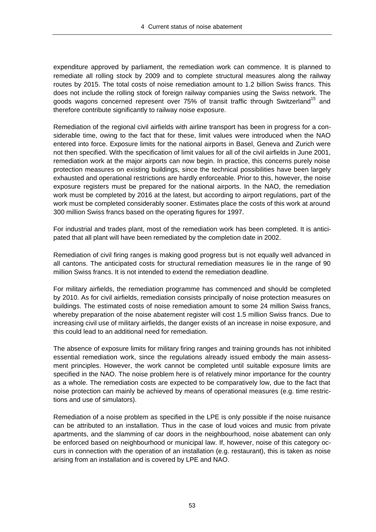expenditure approved by parliament, the remediation work can commence. It is planned to remediate all rolling stock by 2009 and to complete structural measures along the railway routes by 2015. The total costs of noise remediation amount to 1.2 billion Swiss francs. This does not include the rolling stock of foreign railway companies using the Swiss network. The goods wagons concerned represent over 75% of transit traffic through Switzerland<sup>15</sup> and therefore contribute significantly to railway noise exposure.

Remediation of the regional civil airfields with airline transport has been in progress for a considerable time, owing to the fact that for these, limit values were introduced when the NAO entered into force. Exposure limits for the national airports in Basel, Geneva and Zurich were not then specified. With the specification of limit values for all of the civil airfields in June 2001, remediation work at the major airports can now begin. In practice, this concerns purely noise protection measures on existing buildings, since the technical possibilities have been largely exhausted and operational restrictions are hardly enforceable. Prior to this, however, the noise exposure registers must be prepared for the national airports. In the NAO, the remediation work must be completed by 2016 at the latest, but according to airport regulations, part of the work must be completed considerably sooner. Estimates place the costs of this work at around 300 million Swiss francs based on the operating figures for 1997.

For industrial and trades plant, most of the remediation work has been completed. It is anticipated that all plant will have been remediated by the completion date in 2002.

Remediation of civil firing ranges is making good progress but is not equally well advanced in all cantons. The anticipated costs for structural remediation measures lie in the range of 90 million Swiss francs. It is not intended to extend the remediation deadline.

For military airfields, the remediation programme has commenced and should be completed by 2010. As for civil airfields, remediation consists principally of noise protection measures on buildings. The estimated costs of noise remediation amount to some 24 million Swiss francs, whereby preparation of the noise abatement register will cost 1.5 million Swiss francs. Due to increasing civil use of military airfields, the danger exists of an increase in noise exposure, and this could lead to an additional need for remediation.

The absence of exposure limits for military firing ranges and training grounds has not inhibited essential remediation work, since the regulations already issued embody the main assessment principles. However, the work cannot be completed until suitable exposure limits are specified in the NAO. The noise problem here is of relatively minor importance for the country as a whole. The remediation costs are expected to be comparatively low, due to the fact that noise protection can mainly be achieved by means of operational measures (e.g. time restrictions and use of simulators).

Remediation of a noise problem as specified in the LPE is only possible if the noise nuisance can be attributed to an installation. Thus in the case of loud voices and music from private apartments, and the slamming of car doors in the neighbourhood, noise abatement can only be enforced based on neighbourhood or municipal law. If, however, noise of this category occurs in connection with the operation of an installation (e.g. restaurant), this is taken as noise arising from an installation and is covered by LPE and NAO.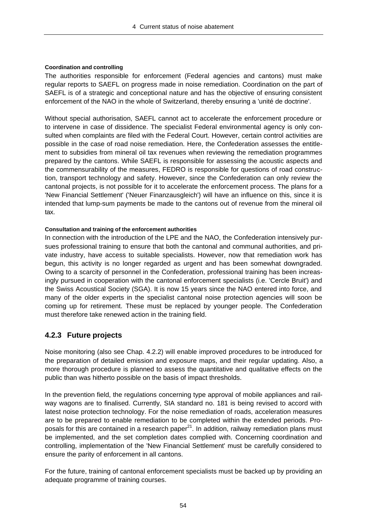#### **Coordination and controlling**

The authorities responsible for enforcement (Federal agencies and cantons) must make regular reports to SAEFL on progress made in noise remediation. Coordination on the part of SAEFL is of a strategic and conceptional nature and has the objective of ensuring consistent enforcement of the NAO in the whole of Switzerland, thereby ensuring a 'unité de doctrine'.

Without special authorisation, SAEFL cannot act to accelerate the enforcement procedure or to intervene in case of dissidence. The specialist Federal environmental agency is only consulted when complaints are filed with the Federal Court. However, certain control activities are possible in the case of road noise remediation. Here, the Confederation assesses the entitlement to subsidies from mineral oil tax revenues when reviewing the remediation programmes prepared by the cantons. While SAEFL is responsible for assessing the acoustic aspects and the commensurability of the measures, FEDRO is responsible for questions of road construction, transport technology and safety. However, since the Confederation can only review the cantonal projects, is not possible for it to accelerate the enforcement process. The plans for a 'New Financial Settlement' ('Neuer Finanzausgleich') will have an influence on this, since it is intended that lump-sum payments be made to the cantons out of revenue from the mineral oil tax.

#### **Consultation and training of the enforcement authorities**

In connection with the introduction of the LPE and the NAO, the Confederation intensively pursues professional training to ensure that both the cantonal and communal authorities, and private industry, have access to suitable specialists. However, now that remediation work has begun, this activity is no longer regarded as urgent and has been somewhat downgraded. Owing to a scarcity of personnel in the Confederation, professional training has been increasingly pursued in cooperation with the cantonal enforcement specialists (i.e. 'Cercle Bruit') and the Swiss Acoustical Society (SGA). It is now 15 years since the NAO entered into force, and many of the older experts in the specialist cantonal noise protection agencies will soon be coming up for retirement. These must be replaced by younger people. The Confederation must therefore take renewed action in the training field.

## **4.2.3 Future projects**

Noise monitoring (also see Chap. 4.2.2) will enable improved procedures to be introduced for the preparation of detailed emission and exposure maps, and their regular updating. Also, a more thorough procedure is planned to assess the quantitative and qualitative effects on the public than was hitherto possible on the basis of impact thresholds.

In the prevention field, the regulations concerning type approval of mobile appliances and railway wagons are to finalised. Currently, SIA standard no. 181 is being revised to accord with latest noise protection technology. For the noise remediation of roads, acceleration measures are to be prepared to enable remediation to be completed within the extended periods. Proposals for this are contained in a research paper $^{21}$ . In addition, railway remediation plans must be implemented, and the set completion dates complied with. Concerning coordination and controlling, implementation of the 'New Financial Settlement' must be carefully considered to ensure the parity of enforcement in all cantons.

For the future, training of cantonal enforcement specialists must be backed up by providing an adequate programme of training courses.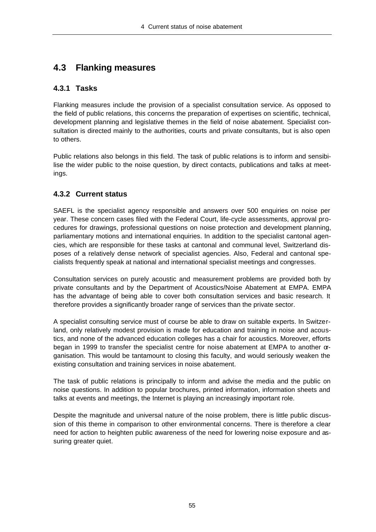## **4.3 Flanking measures**

#### **4.3.1 Tasks**

Flanking measures include the provision of a specialist consultation service. As opposed to the field of public relations, this concerns the preparation of expertises on scientific, technical, development planning and legislative themes in the field of noise abatement. Specialist consultation is directed mainly to the authorities, courts and private consultants, but is also open to others.

Public relations also belongs in this field. The task of public relations is to inform and sensibilise the wider public to the noise question, by direct contacts, publications and talks at meetings.

## **4.3.2 Current status**

SAEFL is the specialist agency responsible and answers over 500 enquiries on noise per year. These concern cases filed with the Federal Court, life-cycle assessments, approval procedures for drawings, professional questions on noise protection and development planning, parliamentary motions and international enquiries. In addition to the specialist cantonal agencies, which are responsible for these tasks at cantonal and communal level, Switzerland disposes of a relatively dense network of specialist agencies. Also, Federal and cantonal specialists frequently speak at national and international specialist meetings and congresses.

Consultation services on purely acoustic and measurement problems are provided both by private consultants and by the Department of Acoustics/Noise Abatement at EMPA. EMPA has the advantage of being able to cover both consultation services and basic research. It therefore provides a significantly broader range of services than the private sector.

A specialist consulting service must of course be able to draw on suitable experts. In Switzerland, only relatively modest provision is made for education and training in noise and acoustics, and none of the advanced education colleges has a chair for acoustics. Moreover, efforts began in 1999 to transfer the specialist centre for noise abatement at EMPA to another organisation. This would be tantamount to closing this faculty, and would seriously weaken the existing consultation and training services in noise abatement.

The task of public relations is principally to inform and advise the media and the public on noise questions. In addition to popular brochures, printed information, information sheets and talks at events and meetings, the Internet is playing an increasingly important role.

Despite the magnitude and universal nature of the noise problem, there is little public discussion of this theme in comparison to other environmental concerns. There is therefore a clear need for action to heighten public awareness of the need for lowering noise exposure and assuring greater quiet.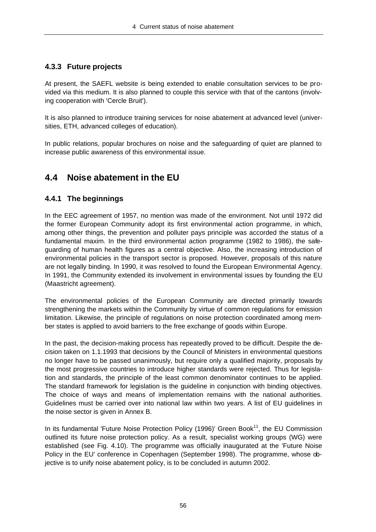### **4.3.3 Future projects**

At present, the SAEFL website is being extended to enable consultation services to be provided via this medium. It is also planned to couple this service with that of the cantons (involving cooperation with 'Cercle Bruit').

It is also planned to introduce training services for noise abatement at advanced level (universities, ETH, advanced colleges of education).

In public relations, popular brochures on noise and the safeguarding of quiet are planned to increase public awareness of this environmental issue.

## **4.4 Noise abatement in the EU**

#### **4.4.1 The beginnings**

In the EEC agreement of 1957, no mention was made of the environment. Not until 1972 did the former European Community adopt its first environmental action programme, in which, among other things, the prevention and polluter pays principle was accorded the status of a fundamental maxim. In the third environmental action programme (1982 to 1986), the safeguarding of human health figures as a central objective. Also, the increasing introduction of environmental policies in the transport sector is proposed. However, proposals of this nature are not legally binding. In 1990, it was resolved to found the European Environmental Agency. In 1991, the Community extended its involvement in environmental issues by founding the EU (Maastricht agreement).

The environmental policies of the European Community are directed primarily towards strengthening the markets within the Community by virtue of common regulations for emission limitation. Likewise, the principle of regulations on noise protection coordinated among member states is applied to avoid barriers to the free exchange of goods within Europe.

In the past, the decision-making process has repeatedly proved to be difficult. Despite the decision taken on 1.1.1993 that decisions by the Council of Ministers in environmental questions no longer have to be passed unanimously, but require only a qualified majority, proposals by the most progressive countries to introduce higher standards were rejected. Thus for legislation and standards, the principle of the least common denominator continues to be applied. The standard framework for legislation is the guideline in conjunction with binding objectives. The choice of ways and means of implementation remains with the national authorities. Guidelines must be carried over into national law within two years. A list of EU guidelines in the noise sector is given in Annex B.

In its fundamental 'Future Noise Protection Policy (1996)' Green Book<sup>11</sup>, the EU Commission outlined its future noise protection policy. As a result, specialist working groups (WG) were established (see Fig. 4.10). The programme was officially inaugurated at the 'Future Noise Policy in the EU' conference in Copenhagen (September 1998). The programme, whose objective is to unify noise abatement policy, is to be concluded in autumn 2002.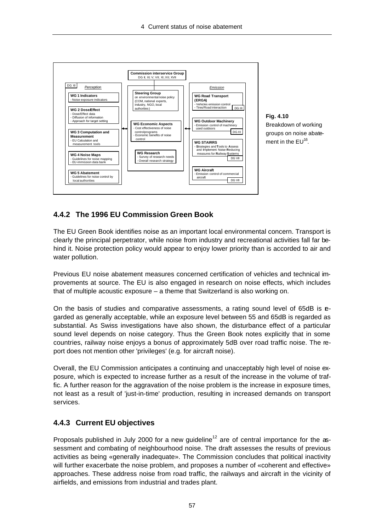

## **4.4.2 The 1996 EU Commission Green Book**

The EU Green Book identifies noise as an important local environmental concern. Transport is clearly the principal perpetrator, while noise from industry and recreational activities fall far behind it. Noise protection policy would appear to enjoy lower priority than is accorded to air and water pollution.

Previous EU noise abatement measures concerned certification of vehicles and technical improvements at source. The EU is also engaged in research on noise effects, which includes that of multiple acoustic exposure – a theme that Switzerland is also working on.

On the basis of studies and comparative assessments, a rating sound level of 65dB is regarded as generally acceptable, while an exposure level between 55 and 65dB is regarded as substantial. As Swiss investigations have also shown, the disturbance effect of a particular sound level depends on noise category. Thus the Green Book notes explicitly that in some countries, railway noise enjoys a bonus of approximately 5dB over road traffic noise. The report does not mention other 'privileges' (e.g. for aircraft noise).

Overall, the EU Commission anticipates a continuing and unacceptably high level of noise exposure, which is expected to increase further as a result of the increase in the volume of traffic. A further reason for the aggravation of the noise problem is the increase in exposure times, not least as a result of 'just-in-time' production, resulting in increased demands on transport services.

## **4.4.3 Current EU objectives**

Proposals published in July 2000 for a new quideline<sup>12</sup> are of central importance for the assessment and combating of neighbourhood noise. The draft assesses the results of previous activities as being «generally inadequate». The Commission concludes that political inactivity will further exacerbate the noise problem, and proposes a number of «coherent and effective» approaches. These address noise from road traffic, the railways and aircraft in the vicinity of airfields, and emissions from industrial and trades plant.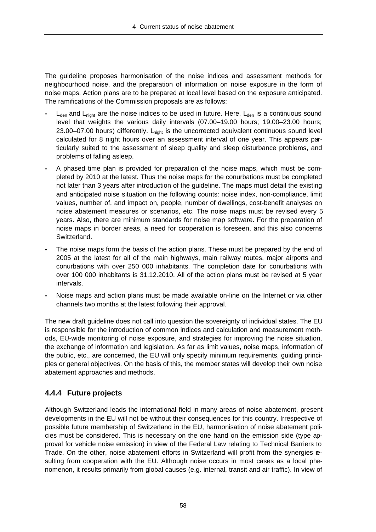The guideline proposes harmonisation of the noise indices and assessment methods for neighbourhood noise, and the preparation of information on noise exposure in the form of noise maps. Action plans are to be prepared at local level based on the exposure anticipated. The ramifications of the Commission proposals are as follows:

- L<sub>den</sub> and L<sub>night</sub> are the noise indices to be used in future. Here, L<sub>den</sub> is a continuous sound level that weights the various daily intervals (07.00–19.00 hours; 19.00–23.00 hours; 23.00–07.00 hours) differently.  $L_{night}$  is the uncorrected equivalent continuous sound level calculated for 8 night hours over an assessment interval of one year. This appears particularly suited to the assessment of sleep quality and sleep disturbance problems, and problems of falling asleep.
- **-** A phased time plan is provided for preparation of the noise maps, which must be completed by 2010 at the latest. Thus the noise maps for the conurbations must be completed not later than 3 years after introduction of the guideline. The maps must detail the existing and anticipated noise situation on the following counts: noise index, non-compliance, limit values, number of, and impact on, people, number of dwellings, cost-benefit analyses on noise abatement measures or scenarios, etc. The noise maps must be revised every 5 years. Also, there are minimum standards for noise map software. For the preparation of noise maps in border areas, a need for cooperation is foreseen, and this also concerns Switzerland.
- **-** The noise maps form the basis of the action plans. These must be prepared by the end of 2005 at the latest for all of the main highways, main railway routes, major airports and conurbations with over 250 000 inhabitants. The completion date for conurbations with over 100 000 inhabitants is 31.12.2010. All of the action plans must be revised at 5 year intervals.
- **-** Noise maps and action plans must be made available on-line on the Internet or via other channels two months at the latest following their approval.

The new draft guideline does not call into question the sovereignty of individual states. The EU is responsible for the introduction of common indices and calculation and measurement methods, EU-wide monitoring of noise exposure, and strategies for improving the noise situation, the exchange of information and legislation. As far as limit values, noise maps, information of the public, etc., are concerned, the EU will only specify minimum requirements, guiding principles or general objectives. On the basis of this, the member states will develop their own noise abatement approaches and methods.

## **4.4.4 Future projects**

Although Switzerland leads the international field in many areas of noise abatement, present developments in the EU will not be without their consequences for this country. Irrespective of possible future membership of Switzerland in the EU, harmonisation of noise abatement policies must be considered. This is necessary on the one hand on the emission side (type approval for vehicle noise emission) in view of the Federal Law relating to Technical Barriers to Trade. On the other, noise abatement efforts in Switzerland will profit from the synergies resulting from cooperation with the EU. Although noise occurs in most cases as a local phenomenon, it results primarily from global causes (e.g. internal, transit and air traffic). In view of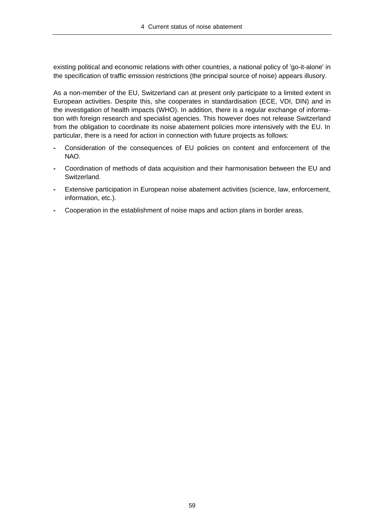existing political and economic relations with other countries, a national policy of 'go-it-alone' in the specification of traffic emission restrictions (the principal source of noise) appears illusory.

As a non-member of the EU, Switzerland can at present only participate to a limited extent in European activities. Despite this, she cooperates in standardisation (ECE, VDI, DIN) and in the investigation of health impacts (WHO). In addition, there is a regular exchange of information with foreign research and specialist agencies. This however does not release Switzerland from the obligation to coordinate its noise abatement policies more intensively with the EU. In particular, there is a need for action in connection with future projects as follows:

- **-** Consideration of the consequences of EU policies on content and enforcement of the NAO.
- **-** Coordination of methods of data acquisition and their harmonisation between the EU and Switzerland.
- **-** Extensive participation in European noise abatement activities (science, law, enforcement, information, etc.).
- **-** Cooperation in the establishment of noise maps and action plans in border areas.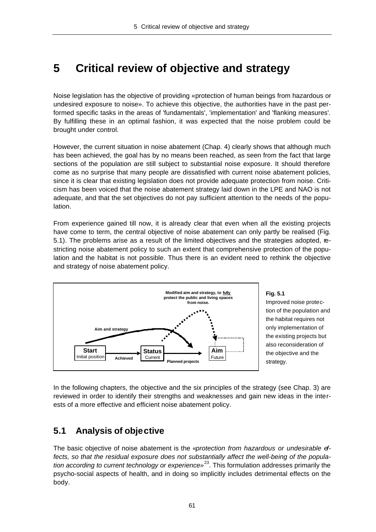# **5 Critical review of objective and strategy**

Noise legislation has the objective of providing «protection of human beings from hazardous or undesired exposure to noise». To achieve this objective, the authorities have in the past performed specific tasks in the areas of 'fundamentals', 'implementation' and 'flanking measures'. By fulfilling these in an optimal fashion, it was expected that the noise problem could be brought under control.

However, the current situation in noise abatement (Chap. 4) clearly shows that although much has been achieved, the goal has by no means been reached, as seen from the fact that large sections of the population are still subject to substantial noise exposure. It should therefore come as no surprise that many people are dissatisfied with current noise abatement policies, since it is clear that existing legislation does not provide adequate protection from noise. Criticism has been voiced that the noise abatement strategy laid down in the LPE and NAO is not adequate, and that the set objectives do not pay sufficient attention to the needs of the population.

From experience gained till now, it is already clear that even when all the existing projects have come to term, the central objective of noise abatement can only partly be realised (Fig. 5.1). The problems arise as a result of the limited objectives and the strategies adopted, restricting noise abatement policy to such an extent that comprehensive protection of the population and the habitat is not possible. Thus there is an evident need to rethink the objective and strategy of noise abatement policy.



**Fig. 5.1** Improved noise protection of the population and the habitat requires not only implementation of the existing projects but also reconsideration of the objective and the strategy.

In the following chapters, the objective and the six principles of the strategy (see Chap. 3) are reviewed in order to identify their strengths and weaknesses and gain new ideas in the interests of a more effective and efficient noise abatement policy.

## **5.1 Analysis of objective**

The basic objective of noise abatement is the «*protection from hazardous or undesirable effects, so that the residual exposure does not substantially affect the well-being of the population according to current technology or experience»*<sup>23</sup>. This formulation addresses primarily the psycho-social aspects of health, and in doing so implicitly includes detrimental effects on the body.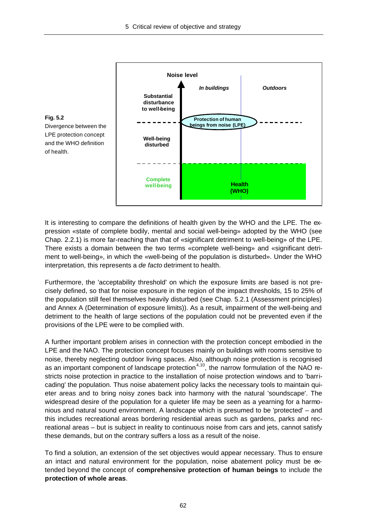

It is interesting to compare the definitions of health given by the WHO and the LPE. The expression «state of complete bodily, mental and social well-being» adopted by the WHO (see Chap. 2.2.1) is more far-reaching than that of «significant detriment to well-being» of the LPE. There exists a domain between the two terms «complete well-being» and «significant detriment to well-being», in which the «well-being of the population is disturbed». Under the WHO interpretation, this represents a *de facto* detriment to health.

Furthermore, the 'acceptability threshold' on which the exposure limits are based is not precisely defined, so that for noise exposure in the region of the impact thresholds, 15 to 25% of the population still feel themselves heavily disturbed (see Chap. 5.2.1 (Assessment principles) and Annex A (Determination of exposure limits)). As a result, impairment of the well-being and detriment to the health of large sections of the population could not be prevented even if the provisions of the LPE were to be complied with.

A further important problem arises in connection with the protection concept embodied in the LPE and the NAO. The protection concept focuses mainly on buildings with rooms sensitive to noise, thereby neglecting outdoor living spaces. Also, although noise protection is recognised as an important component of landscape protection<sup>4,10</sup>, the narrow formulation of the NAO restricts noise protection in practice to the installation of noise protection windows and to 'barricading' the population. Thus noise abatement policy lacks the necessary tools to maintain quieter areas and to bring noisy zones back into harmony with the natural 'soundscape'. The widespread desire of the population for a quieter life may be seen as a yearning for a harmonious and natural sound environment. A landscape which is presumed to be 'protected' – and this includes recreational areas bordering residential areas such as gardens, parks and recreational areas – but is subject in reality to continuous noise from cars and jets, cannot satisfy these demands, but on the contrary suffers a loss as a result of the noise.

To find a solution, an extension of the set objectives would appear necessary. Thus to ensure an intact and natural environment for the population, noise abatement policy must be extended beyond the concept of **comprehensive protection of human beings** to include the **protection of whole areas**.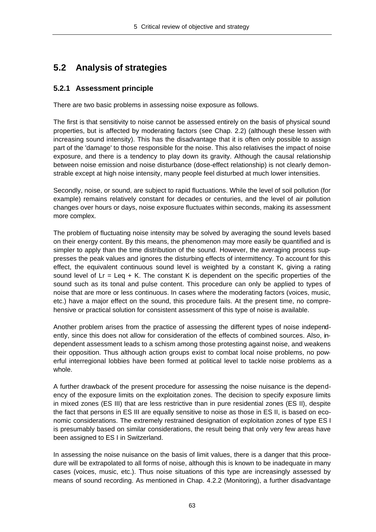## **5.2 Analysis of strategies**

### **5.2.1 Assessment principle**

There are two basic problems in assessing noise exposure as follows.

The first is that sensitivity to noise cannot be assessed entirely on the basis of physical sound properties, but is affected by moderating factors (see Chap. 2.2) (although these lessen with increasing sound intensity). This has the disadvantage that it is often only possible to assign part of the 'damage' to those responsible for the noise. This also relativises the impact of noise exposure, and there is a tendency to play down its gravity. Although the causal relationship between noise emission and noise disturbance (dose-effect relationship) is not clearly demonstrable except at high noise intensity, many people feel disturbed at much lower intensities.

Secondly, noise, or sound, are subject to rapid fluctuations. While the level of soil pollution (for example) remains relatively constant for decades or centuries, and the level of air pollution changes over hours or days, noise exposure fluctuates within seconds, making its assessment more complex.

The problem of fluctuating noise intensity may be solved by averaging the sound levels based on their energy content. By this means, the phenomenon may more easily be quantified and is simpler to apply than the time distribution of the sound. However, the averaging process suppresses the peak values and ignores the disturbing effects of intermittency. To account for this effect, the equivalent continuous sound level is weighted by a constant K, giving a rating sound level of  $Lr = Leq + K$ . The constant K is dependent on the specific properties of the sound such as its tonal and pulse content. This procedure can only be applied to types of noise that are more or less continuous. In cases where the moderating factors (voices, music, etc.) have a major effect on the sound, this procedure fails. At the present time, no comprehensive or practical solution for consistent assessment of this type of noise is available.

Another problem arises from the practice of assessing the different types of noise independently, since this does not allow for consideration of the effects of combined sources. Also, independent assessment leads to a schism among those protesting against noise, and weakens their opposition. Thus although action groups exist to combat local noise problems, no powerful interregional lobbies have been formed at political level to tackle noise problems as a whole.

A further drawback of the present procedure for assessing the noise nuisance is the dependency of the exposure limits on the exploitation zones. The decision to specify exposure limits in mixed zones (ES III) that are less restrictive than in pure residential zones (ES II), despite the fact that persons in ES III are equally sensitive to noise as those in ES II, is based on economic considerations. The extremely restrained designation of exploitation zones of type ES I is presumably based on similar considerations, the result being that only very few areas have been assigned to ES I in Switzerland.

In assessing the noise nuisance on the basis of limit values, there is a danger that this procedure will be extrapolated to all forms of noise, although this is known to be inadequate in many cases (voices, music, etc.). Thus noise situations of this type are increasingly assessed by means of sound recording. As mentioned in Chap. 4.2.2 (Monitoring), a further disadvantage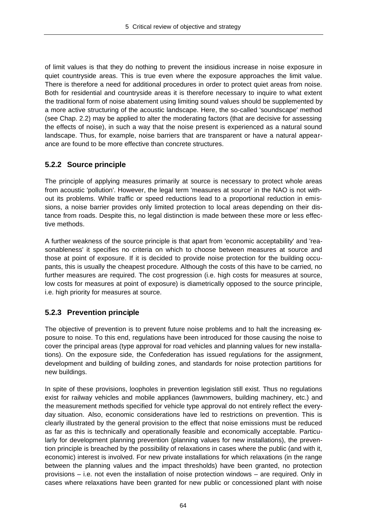of limit values is that they do nothing to prevent the insidious increase in noise exposure in quiet countryside areas. This is true even where the exposure approaches the limit value. There is therefore a need for additional procedures in order to protect quiet areas from noise. Both for residential and countryside areas it is therefore necessary to inquire to what extent the traditional form of noise abatement using limiting sound values should be supplemented by a more active structuring of the acoustic landscape. Here, the so-called 'soundscape' method (see Chap. 2.2) may be applied to alter the moderating factors (that are decisive for assessing the effects of noise), in such a way that the noise present is experienced as a natural sound landscape. Thus, for example, noise barriers that are transparent or have a natural appearance are found to be more effective than concrete structures.

#### **5.2.2 Source principle**

The principle of applying measures primarily at source is necessary to protect whole areas from acoustic 'pollution'. However, the legal term 'measures at source' in the NAO is not without its problems. While traffic or speed reductions lead to a proportional reduction in emissions, a noise barrier provides only limited protection to local areas depending on their distance from roads. Despite this, no legal distinction is made between these more or less effective methods.

A further weakness of the source principle is that apart from 'economic acceptability' and 'reasonableness' it specifies no criteria on which to choose between measures at source and those at point of exposure. If it is decided to provide noise protection for the building occupants, this is usually the cheapest procedure. Although the costs of this have to be carried, no further measures are required. The cost progression (i.e. high costs for measures at source, low costs for measures at point of exposure) is diametrically opposed to the source principle, i.e. high priority for measures at source.

## **5.2.3 Prevention principle**

The objective of prevention is to prevent future noise problems and to halt the increasing exposure to noise. To this end, regulations have been introduced for those causing the noise to cover the principal areas (type approval for road vehicles and planning values for new installations). On the exposure side, the Confederation has issued regulations for the assignment, development and building of building zones, and standards for noise protection partitions for new buildings.

In spite of these provisions, loopholes in prevention legislation still exist. Thus no regulations exist for railway vehicles and mobile appliances (lawnmowers, building machinery, etc.) and the measurement methods specified for vehicle type approval do not entirely reflect the everyday situation. Also, economic considerations have led to restrictions on prevention. This is clearly illustrated by the general provision to the effect that noise emissions must be reduced as far as this is technically and operationally feasible and economically acceptable. Particularly for development planning prevention (planning values for new installations), the prevention principle is breached by the possibility of relaxations in cases where the public (and with it, economic) interest is involved. For new private installations for which relaxations (in the range between the planning values and the impact thresholds) have been granted, no protection provisions – i.e. not even the installation of noise protection windows – are required. Only in cases where relaxations have been granted for new public or concessioned plant with noise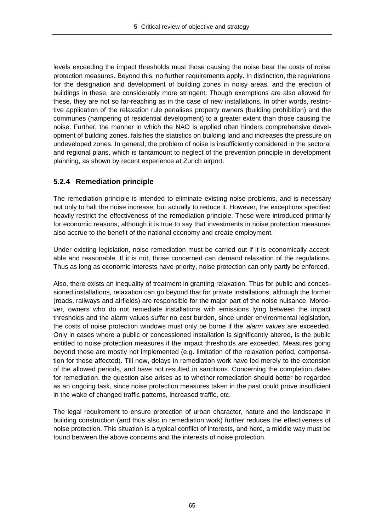levels exceeding the impact thresholds must those causing the noise bear the costs of noise protection measures. Beyond this, no further requirements apply. In distinction, the regulations for the designation and development of building zones in noisy areas, and the erection of buildings in these, are considerably more stringent. Though exemptions are also allowed for these, they are not so far-reaching as in the case of new installations. In other words, restrictive application of the relaxation rule penalises property owners (building prohibition) and the communes (hampering of residential development) to a greater extent than those causing the noise. Further, the manner in which the NAO is applied often hinders comprehensive development of building zones, falsifies the statistics on building land and increases the pressure on undeveloped zones. In general, the problem of noise is insufficiently considered in the sectoral and regional plans, which is tantamount to neglect of the prevention principle in development planning, as shown by recent experience at Zurich airport.

## **5.2.4 Remediation principle**

The remediation principle is intended to eliminate existing noise problems, and is necessary not only to halt the noise increase, but actually to reduce it. However, the exceptions specified heavily restrict the effectiveness of the remediation principle. These were introduced primarily for economic reasons, although it is true to say that investments in noise protection measures also accrue to the benefit of the national economy and create employment.

Under existing legislation, noise remediation must be carried out if it is economically acceptable and reasonable. If it is not, those concerned can demand relaxation of the regulations. Thus as long as economic interests have priority, noise protection can only partly be enforced.

Also, there exists an inequality of treatment in granting relaxation. Thus for public and concessioned installations, relaxation can go beyond that for private installations, although the former (roads, railways and airfields) are responsible for the major part of the noise nuisance. Moreover, owners who do not remediate installations with emissions lying between the impact thresholds and the alarm values suffer no cost burden, since under environmental legislation, the costs of noise protection windows must only be borne if the *alarm values* are exceeded. Only in cases where a public or concessioned installation is significantly altered, is the public entitled to noise protection measures if the impact thresholds are exceeded. Measures going beyond these are mostly not implemented (e.g. limitation of the relaxation period, compensation for those affected). Till now, delays in remediation work have led merely to the extension of the allowed periods, and have not resulted in sanctions. Concerning the completion dates for remediation, the question also arises as to whether remediation should better be regarded as an ongoing task, since noise protection measures taken in the past could prove insufficient in the wake of changed traffic patterns, increased traffic, etc.

The legal requirement to ensure protection of urban character, nature and the landscape in building construction (and thus also in remediation work) further reduces the effectiveness of noise protection. This situation is a typical conflict of interests, and here, a middle way must be found between the above concerns and the interests of noise protection.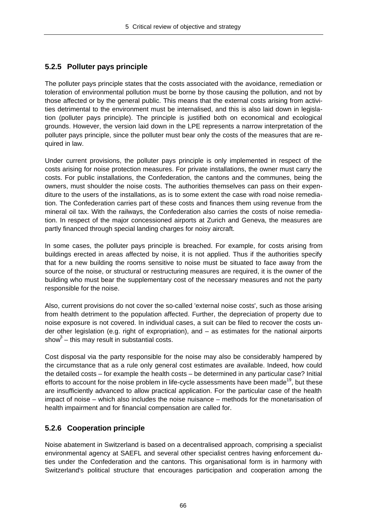## **5.2.5 Polluter pays principle**

The polluter pays principle states that the costs associated with the avoidance, remediation or toleration of environmental pollution must be borne by those causing the pollution, and not by those affected or by the general public. This means that the external costs arising from activities detrimental to the environment must be internalised, and this is also laid down in legislation (polluter pays principle). The principle is justified both on economical and ecological grounds. However, the version laid down in the LPE represents a narrow interpretation of the polluter pays principle, since the polluter must bear only the costs of the measures that are required in law.

Under current provisions, the polluter pays principle is only implemented in respect of the costs arising for noise protection measures. For private installations, the owner must carry the costs. For public installations, the Confederation, the cantons and the communes, being the owners, must shoulder the noise costs. The authorities themselves can pass on their expenditure to the users of the installations, as is to some extent the case with road noise remediation. The Confederation carries part of these costs and finances them using revenue from the mineral oil tax. With the railways, the Confederation also carries the costs of noise remediation. In respect of the major concessioned airports at Zurich and Geneva, the measures are partly financed through special landing charges for noisy aircraft.

In some cases, the polluter pays principle is breached. For example, for costs arising from buildings erected in areas affected by noise, it is not applied. Thus if the authorities specify that for a new building the rooms sensitive to noise must be situated to face away from the source of the noise, or structural or restructuring measures are required, it is the owner of the building who must bear the supplementary cost of the necessary measures and not the party responsible for the noise.

Also, current provisions do not cover the so-called 'external noise costs', such as those arising from health detriment to the population affected. Further, the depreciation of property due to noise exposure is not covered. In individual cases, a suit can be filed to recover the costs under other legislation (e.g. right of expropriation), and – as estimates for the national airports show $^3$  – this may result in substantial costs.

Cost disposal via the party responsible for the noise may also be considerably hampered by the circumstance that as a rule only general cost estimates are available. Indeed, how could the detailed costs – for example the health costs – be determined in any particular case? Initial efforts to account for the noise problem in life-cycle assessments have been made<sup>19</sup>, but these are insufficiently advanced to allow practical application. For the particular case of the health impact of noise – which also includes the noise nuisance – methods for the monetarisation of health impairment and for financial compensation are called for.

## **5.2.6 Cooperation principle**

Noise abatement in Switzerland is based on a decentralised approach, comprising a specialist environmental agency at SAEFL and several other specialist centres having enforcement duties under the Confederation and the cantons. This organisational form is in harmony with Switzerland's political structure that encourages participation and cooperation among the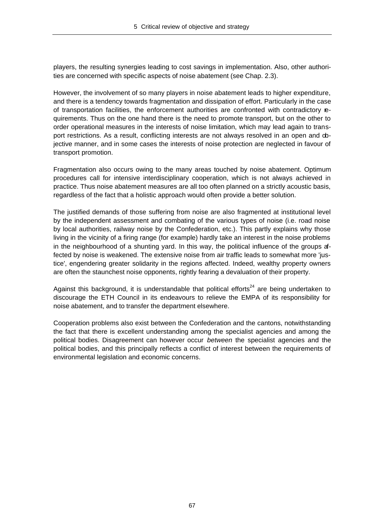players, the resulting synergies leading to cost savings in implementation. Also, other authorities are concerned with specific aspects of noise abatement (see Chap. 2.3).

However, the involvement of so many players in noise abatement leads to higher expenditure, and there is a tendency towards fragmentation and dissipation of effort. Particularly in the case of transportation facilities, the enforcement authorities are confronted with contradictory requirements. Thus on the one hand there is the need to promote transport, but on the other to order operational measures in the interests of noise limitation, which may lead again to transport restrictions. As a result, conflicting interests are not always resolved in an open and objective manner, and in some cases the interests of noise protection are neglected in favour of transport promotion.

Fragmentation also occurs owing to the many areas touched by noise abatement. Optimum procedures call for intensive interdisciplinary cooperation, which is not always achieved in practice. Thus noise abatement measures are all too often planned on a strictly acoustic basis, regardless of the fact that a holistic approach would often provide a better solution.

The justified demands of those suffering from noise are also fragmented at institutional level by the independent assessment and combating of the various types of noise (i.e. road noise by local authorities, railway noise by the Confederation, etc.). This partly explains why those living in the vicinity of a firing range (for example) hardly take an interest in the noise problems in the neighbourhood of a shunting yard. In this way, the political influence of the groups affected by noise is weakened. The extensive noise from air traffic leads to somewhat more 'justice', engendering greater solidarity in the regions affected. Indeed, wealthy property owners are often the staunchest noise opponents, rightly fearing a devaluation of their property.

Against this background, it is understandable that political efforts<sup>24</sup> are being undertaken to discourage the ETH Council in its endeavours to relieve the EMPA of its responsibility for noise abatement, and to transfer the department elsewhere.

Cooperation problems also exist between the Confederation and the cantons, notwithstanding the fact that there is excellent understanding among the specialist agencies and among the political bodies. Disagreement can however occur *between* the specialist agencies and the political bodies, and this principally reflects a conflict of interest between the requirements of environmental legislation and economic concerns.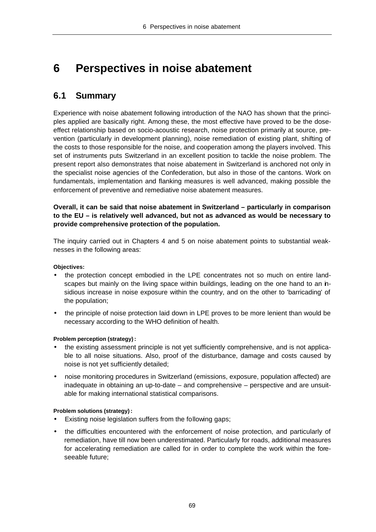# **6 Perspectives in noise abatement**

## **6.1 Summary**

Experience with noise abatement following introduction of the NAO has shown that the principles applied are basically right. Among these, the most effective have proved to be the doseeffect relationship based on socio-acoustic research, noise protection primarily at source, prevention (particularly in development planning), noise remediation of existing plant, shifting of the costs to those responsible for the noise, and cooperation among the players involved. This set of instruments puts Switzerland in an excellent position to tackle the noise problem. The present report also demonstrates that noise abatement in Switzerland is anchored not only in the specialist noise agencies of the Confederation, but also in those of the cantons. Work on fundamentals, implementation and flanking measures is well advanced, making possible the enforcement of preventive and remediative noise abatement measures.

**Overall, it can be said that noise abatement in Switzerland – particularly in comparison to the EU – is relatively well advanced, but not as advanced as would be necessary to provide comprehensive protection of the population.**

The inquiry carried out in Chapters 4 and 5 on noise abatement points to substantial weaknesses in the following areas:

**Objectives:**

- the protection concept embodied in the LPE concentrates not so much on entire landscapes but mainly on the living space within buildings, leading on the one hand to an insidious increase in noise exposure within the country, and on the other to 'barricading' of the population;
- the principle of noise protection laid down in LPE proves to be more lenient than would be necessary according to the WHO definition of health.

#### **Problem perception (strategy):**

- the existing assessment principle is not yet sufficiently comprehensive, and is not applicable to all noise situations. Also, proof of the disturbance, damage and costs caused by noise is not yet sufficiently detailed;
- noise monitoring procedures in Switzerland (emissions, exposure, population affected) are inadequate in obtaining an up-to-date – and comprehensive – perspective and are unsuitable for making international statistical comparisons.

#### **Problem solutions (strategy):**

- Existing noise legislation suffers from the following gaps;
- the difficulties encountered with the enforcement of noise protection, and particularly of remediation, have till now been underestimated. Particularly for roads, additional measures for accelerating remediation are called for in order to complete the work within the foreseeable future;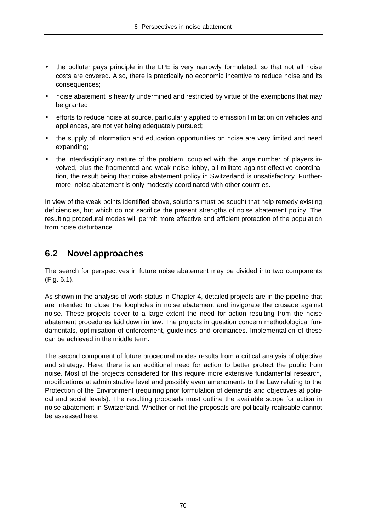- the polluter pays principle in the LPE is very narrowly formulated, so that not all noise costs are covered. Also, there is practically no economic incentive to reduce noise and its consequences;
- noise abatement is heavily undermined and restricted by virtue of the exemptions that may be granted;
- efforts to reduce noise at source, particularly applied to emission limitation on vehicles and appliances, are not yet being adequately pursued;
- the supply of information and education opportunities on noise are very limited and need expanding;
- the interdisciplinary nature of the problem, coupled with the large number of players involved, plus the fragmented and weak noise lobby, all militate against effective coordination, the result being that noise abatement policy in Switzerland is unsatisfactory. Furthermore, noise abatement is only modestly coordinated with other countries.

In view of the weak points identified above, solutions must be sought that help remedy existing deficiencies, but which do not sacrifice the present strengths of noise abatement policy. The resulting procedural modes will permit more effective and efficient protection of the population from noise disturbance.

## **6.2 Novel approaches**

The search for perspectives in future noise abatement may be divided into two components (Fig. 6.1).

As shown in the analysis of work status in Chapter 4, detailed projects are in the pipeline that are intended to close the loopholes in noise abatement and invigorate the crusade against noise. These projects cover to a large extent the need for action resulting from the noise abatement procedures laid down in law. The projects in question concern methodological fundamentals, optimisation of enforcement, guidelines and ordinances. Implementation of these can be achieved in the middle term.

The second component of future procedural modes results from a critical analysis of objective and strategy. Here, there is an additional need for action to better protect the public from noise. Most of the projects considered for this require more extensive fundamental research, modifications at administrative level and possibly even amendments to the Law relating to the Protection of the Environment (requiring prior formulation of demands and objectives at political and social levels). The resulting proposals must outline the available scope for action in noise abatement in Switzerland. Whether or not the proposals are politically realisable cannot be assessed here.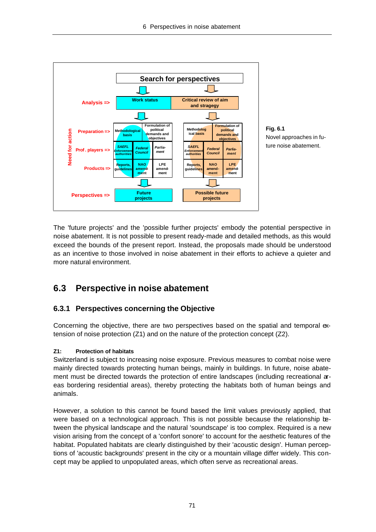

The 'future projects' and the 'possible further projects' embody the potential perspective in noise abatement. It is not possible to present ready-made and detailed methods, as this would exceed the bounds of the present report. Instead, the proposals made should be understood as an incentive to those involved in noise abatement in their efforts to achieve a quieter and more natural environment.

## **6.3 Perspective in noise abatement**

## **6.3.1 Perspectives concerning the Objective**

Concerning the objective, there are two perspectives based on the spatial and temporal extension of noise protection (Z1) and on the nature of the protection concept (Z2).

## **Z1: Protection of habitats**

Switzerland is subject to increasing noise exposure. Previous measures to combat noise were mainly directed towards protecting human beings, mainly in buildings. In future, noise abatement must be directed towards the protection of entire landscapes (including recreational areas bordering residential areas), thereby protecting the habitats both of human beings and animals.

However, a solution to this cannot be found based the limit values previously applied, that were based on a technological approach. This is not possible because the relationship between the physical landscape and the natural 'soundscape' is too complex. Required is a new vision arising from the concept of a 'confort sonore' to account for the aesthetic features of the habitat. Populated habitats are clearly distinguished by their 'acoustic design'. Human perceptions of 'acoustic backgrounds' present in the city or a mountain village differ widely. This concept may be applied to unpopulated areas, which often serve as recreational areas.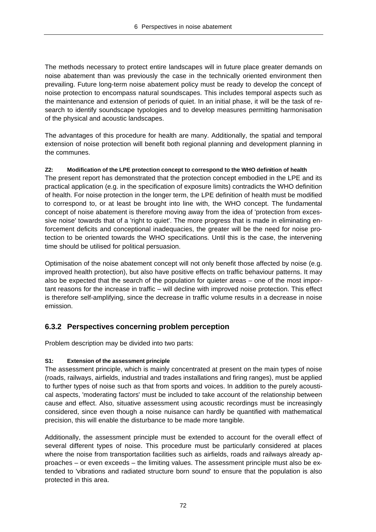The methods necessary to protect entire landscapes will in future place greater demands on noise abatement than was previously the case in the technically oriented environment then prevailing. Future long-term noise abatement policy must be ready to develop the concept of noise protection to encompass natural soundscapes. This includes temporal aspects such as the maintenance and extension of periods of quiet. In an initial phase, it will be the task of research to identify soundscape typologies and to develop measures permitting harmonisation of the physical and acoustic landscapes.

The advantages of this procedure for health are many. Additionally, the spatial and temporal extension of noise protection will benefit both regional planning and development planning in the communes.

## **Z2: Modification of the LPE protection concept to correspond to the WHO definition of health**

The present report has demonstrated that the protection concept embodied in the LPE and its practical application (e.g. in the specification of exposure limits) contradicts the WHO definition of health. For noise protection in the longer term, the LPE definition of health must be modified to correspond to, or at least be brought into line with, the WHO concept. The fundamental concept of noise abatement is therefore moving away from the idea of 'protection from excessive noise' towards that of a 'right to quiet'. The more progress that is made in eliminating enforcement deficits and conceptional inadequacies, the greater will be the need for noise protection to be oriented towards the WHO specifications. Until this is the case, the intervening time should be utilised for political persuasion.

Optimisation of the noise abatement concept will not only benefit those affected by noise (e.g. improved health protection), but also have positive effects on traffic behaviour patterns. It may also be expected that the search of the population for quieter areas – one of the most important reasons for the increase in traffic – will decline with improved noise protection. This effect is therefore self-amplifying, since the decrease in traffic volume results in a decrease in noise emission.

## **6.3.2 Perspectives concerning problem perception**

Problem description may be divided into two parts:

## **S1: Extension of the assessment principle**

The assessment principle, which is mainly concentrated at present on the main types of noise (roads, railways, airfields, industrial and trades installations and firing ranges), must be applied to further types of noise such as that from sports and voices. In addition to the purely acoustical aspects, 'moderating factors' must be included to take account of the relationship between cause and effect. Also, situative assessment using acoustic recordings must be increasingly considered, since even though a noise nuisance can hardly be quantified with mathematical precision, this will enable the disturbance to be made more tangible.

Additionally, the assessment principle must be extended to account for the overall effect of several different types of noise. This procedure must be particularly considered at places where the noise from transportation facilities such as airfields, roads and railways already approaches – or even exceeds – the limiting values. The assessment principle must also be extended to 'vibrations and radiated structure born sound' to ensure that the population is also protected in this area.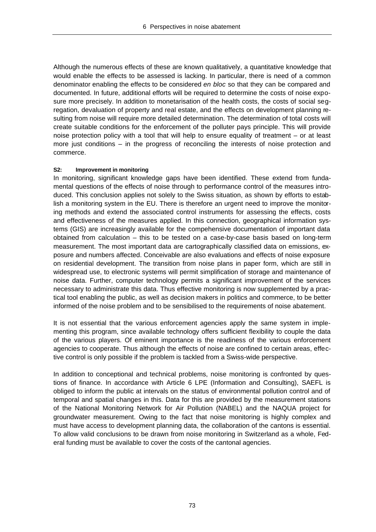Although the numerous effects of these are known qualitatively, a quantitative knowledge that would enable the effects to be assessed is lacking. In particular, there is need of a common denominator enabling the effects to be considered *en bloc* so that they can be compared and documented. In future, additional efforts will be required to determine the costs of noise exposure more precisely. In addition to monetarisation of the health costs, the costs of social segregation, devaluation of property and real estate, and the effects on development planning resulting from noise will require more detailed determination. The determination of total costs will create suitable conditions for the enforcement of the polluter pays principle. This will provide noise protection policy with a tool that will help to ensure equality of treatment – or at least more just conditions – in the progress of reconciling the interests of noise protection and commerce.

#### **S2: Improvement in monitoring**

In monitoring, significant knowledge gaps have been identified. These extend from fundamental questions of the effects of noise through to performance control of the measures introduced. This conclusion applies not solely to the Swiss situation, as shown by efforts to establish a monitoring system in the EU. There is therefore an urgent need to improve the monitoring methods and extend the associated control instruments for assessing the effects, costs and effectiveness of the measures applied. In this connection, geographical information systems (GIS) are increasingly available for the compehensive documentation of important data obtained from calculation – this to be tested on a case-by-case basis based on long-term measurement. The most important data are cartographically classified data on emissions, exposure and numbers affected. Conceivable are also evaluations and effects of noise exposure on residential development. The transition from noise plans in paper form, which are still in widespread use, to electronic systems will permit simplification of storage and maintenance of noise data. Further, computer technology permits a significant improvement of the services necessary to administrate this data. Thus effective monitoring is now supplemented by a practical tool enabling the public, as well as decision makers in politics and commerce, to be better informed of the noise problem and to be sensibilised to the requirements of noise abatement.

It is not essential that the various enforcement agencies apply the same system in implementing this program, since available technology offers sufficient flexibility to couple the data of the various players. Of eminent importance is the readiness of the various enforcement agencies to cooperate. Thus although the effects of noise are confined to certain areas, effective control is only possible if the problem is tackled from a Swiss-wide perspective.

In addition to conceptional and technical problems, noise monitoring is confronted by questions of finance. In accordance with Article 6 LPE (Information and Consulting), SAEFL is obliged to inform the public at intervals on the status of environmental pollution control and of temporal and spatial changes in this. Data for this are provided by the measurement stations of the National Monitoring Network for Air Pollution (NABEL) and the NAQUA project for groundwater measurement. Owing to the fact that noise monitoring is highly complex and must have access to development planning data, the collaboration of the cantons is essential. To allow valid conclusions to be drawn from noise monitoring in Switzerland as a whole, Federal funding must be available to cover the costs of the cantonal agencies.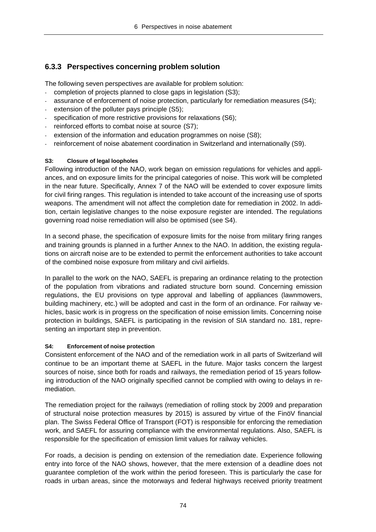## **6.3.3 Perspectives concerning problem solution**

The following seven perspectives are available for problem solution:

- completion of projects planned to close gaps in legislation (S3);
- assurance of enforcement of noise protection, particularly for remediation measures (S4);
- extension of the polluter pays principle (S5);
- specification of more restrictive provisions for relaxations (S6);
- reinforced efforts to combat noise at source (S7);
- extension of the information and education programmes on noise (S8);
- reinforcement of noise abatement coordination in Switzerland and internationally (S9).

#### **S3: Closure of legal loopholes**

Following introduction of the NAO, work began on emission regulations for vehicles and appliances, and on exposure limits for the principal categories of noise. This work will be completed in the near future. Specifically, Annex 7 of the NAO will be extended to cover exposure limits for civil firing ranges. This regulation is intended to take account of the increasing use of sports weapons. The amendment will not affect the completion date for remediation in 2002. In addition, certain legislative changes to the noise exposure register are intended. The regulations governing road noise remediation will also be optimised (see S4).

In a second phase, the specification of exposure limits for the noise from military firing ranges and training grounds is planned in a further Annex to the NAO. In addition, the existing regulations on aircraft noise are to be extended to permit the enforcement authorities to take account of the combined noise exposure from military and civil airfields.

In parallel to the work on the NAO, SAEFL is preparing an ordinance relating to the protection of the population from vibrations and radiated structure born sound. Concerning emission regulations, the EU provisions on type approval and labelling of appliances (lawnmowers, building machinery, etc.) will be adopted and cast in the form of an ordinance. For railway vehicles, basic work is in progress on the specification of noise emission limits. Concerning noise protection in buildings, SAEFL is participating in the revision of SIA standard no. 181, representing an important step in prevention.

## **S4: Enforcement of noise protection**

Consistent enforcement of the NAO and of the remediation work in all parts of Switzerland will continue to be an important theme at SAEFL in the future. Major tasks concern the largest sources of noise, since both for roads and railways, the remediation period of 15 years following introduction of the NAO originally specified cannot be complied with owing to delays in remediation.

The remediation project for the railways (remediation of rolling stock by 2009 and preparation of structural noise protection measures by 2015) is assured by virtue of the FinöV financial plan. The Swiss Federal Office of Transport (FOT) is responsible for enforcing the remediation work, and SAEFL for assuring compliance with the environmental regulations. Also, SAEFL is responsible for the specification of emission limit values for railway vehicles.

For roads, a decision is pending on extension of the remediation date. Experience following entry into force of the NAO shows, however, that the mere extension of a deadline does not guarantee completion of the work within the period foreseen. This is particularly the case for roads in urban areas, since the motorways and federal highways received priority treatment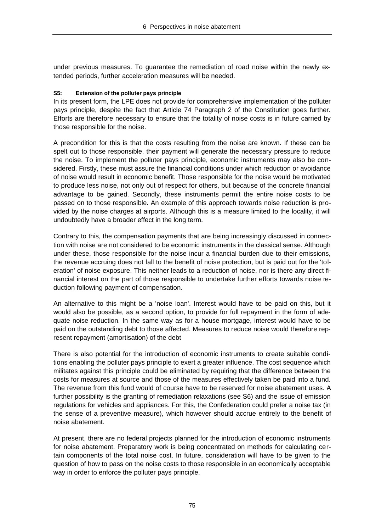under previous measures. To guarantee the remediation of road noise within the newly extended periods, further acceleration measures will be needed.

### **S5: Extension of the polluter pays principle**

In its present form, the LPE does not provide for comprehensive implementation of the polluter pays principle, despite the fact that Article 74 Paragraph 2 of the Constitution goes further. Efforts are therefore necessary to ensure that the totality of noise costs is in future carried by those responsible for the noise.

A precondition for this is that the costs resulting from the noise are known. If these can be spelt out to those responsible, their payment will generate the necessary pressure to reduce the noise. To implement the polluter pays principle, economic instruments may also be considered. Firstly, these must assure the financial conditions under which reduction or avoidance of noise would result in economic benefit. Those responsible for the noise would be motivated to produce less noise, not only out of respect for others, but because of the concrete financial advantage to be gained. Secondly, these instruments permit the entire noise costs to be passed on to those responsible. An example of this approach towards noise reduction is provided by the noise charges at airports. Although this is a measure limited to the locality, it will undoubtedly have a broader effect in the long term.

Contrary to this, the compensation payments that are being increasingly discussed in connection with noise are not considered to be economic instruments in the classical sense. Although under these, those responsible for the noise incur a financial burden due to their emissions, the revenue accruing does not fall to the benefit of noise protection, but is paid out for the 'toleration' of noise exposure. This neither leads to a reduction of noise, nor is there any direct financial interest on the part of those responsible to undertake further efforts towards noise reduction following payment of compensation.

An alternative to this might be a 'noise loan'. Interest would have to be paid on this, but it would also be possible, as a second option, to provide for full repayment in the form of adequate noise reduction. In the same way as for a house mortgage, interest would have to be paid on the outstanding debt to those affected. Measures to reduce noise would therefore represent repayment (amortisation) of the debt

There is also potential for the introduction of economic instruments to create suitable conditions enabling the polluter pays principle to exert a greater influence. The cost sequence which militates against this principle could be eliminated by requiring that the difference between the costs for measures at source and those of the measures effectively taken be paid into a fund. The revenue from this fund would of course have to be reserved for noise abatement uses. A further possibility is the granting of remediation relaxations (see S6) and the issue of emission regulations for vehicles and appliances. For this, the Confederation could prefer a noise tax (in the sense of a preventive measure), which however should accrue entirely to the benefit of noise abatement.

At present, there are no federal projects planned for the introduction of economic instruments for noise abatement. Preparatory work is being concentrated on methods for calculating certain components of the total noise cost. In future, consideration will have to be given to the question of how to pass on the noise costs to those responsible in an economically acceptable way in order to enforce the polluter pays principle.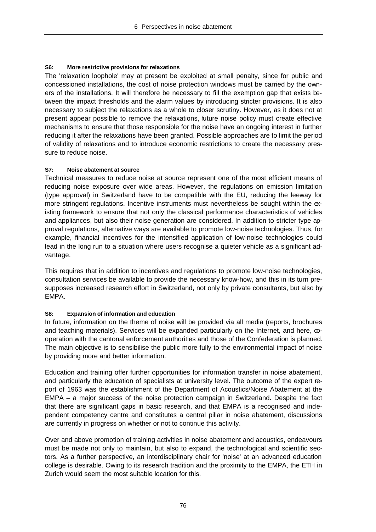### **S6: More restrictive provisions for relaxations**

The 'relaxation loophole' may at present be exploited at small penalty, since for public and concessioned installations, the cost of noise protection windows must be carried by the owners of the installations. It will therefore be necessary to fill the exemption gap that exists between the impact thresholds and the alarm values by introducing stricter provisions. It is also necessary to subject the relaxations as a whole to closer scrutiny. However, as it does not at present appear possible to remove the relaxations, future noise policy must create effective mechanisms to ensure that those responsible for the noise have an ongoing interest in further reducing it after the relaxations have been granted. Possible approaches are to limit the period of validity of relaxations and to introduce economic restrictions to create the necessary pressure to reduce noise.

#### **S7: Noise abatement at source**

Technical measures to reduce noise at source represent one of the most efficient means of reducing noise exposure over wide areas. However, the regulations on emission limitation (type approval) in Switzerland have to be compatible with the EU, reducing the leeway for more stringent regulations. Incentive instruments must nevertheless be sought within the existing framework to ensure that not only the classical performance characteristics of vehicles and appliances, but also their noise generation are considered. In addition to stricter type approval regulations, alternative ways are available to promote low-noise technologies. Thus, for example, financial incentives for the intensified application of low-noise technologies could lead in the long run to a situation where users recognise a quieter vehicle as a significant advantage.

This requires that in addition to incentives and regulations to promote low-noise technologies, consultation services be available to provide the necessary know-how, and this in its turn presupposes increased research effort in Switzerland, not only by private consultants, but also by EMPA.

#### **S8: Expansion of information and education**

In future, information on the theme of noise will be provided via all media (reports, brochures and teaching materials). Services will be expanded particularly on the Internet, and here,  $\infty$ operation with the cantonal enforcement authorities and those of the Confederation is planned. The main objective is to sensibilise the public more fully to the environmental impact of noise by providing more and better information.

Education and training offer further opportunities for information transfer in noise abatement, and particularly the education of specialists at university level. The outcome of the expert report of 1963 was the establishment of the Department of Acoustics/Noise Abatement at the EMPA – a major success of the noise protection campaign in Switzerland. Despite the fact that there are significant gaps in basic research, and that EMPA is a recognised and independent competency centre and constitutes a central pillar in noise abatement, discussions are currently in progress on whether or not to continue this activity.

Over and above promotion of training activities in noise abatement and acoustics, endeavours must be made not only to maintain, but also to expand, the technological and scientific sectors. As a further perspective, an interdisciplinary chair for 'noise' at an advanced education college is desirable. Owing to its research tradition and the proximity to the EMPA, the ETH in Zurich would seem the most suitable location for this.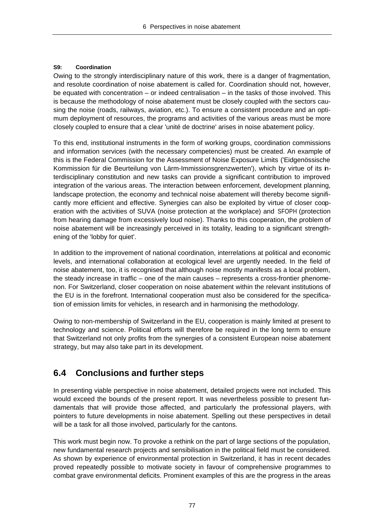## **S9: Coordination**

Owing to the strongly interdisciplinary nature of this work, there is a danger of fragmentation, and resolute coordination of noise abatement is called for. Coordination should not, however, be equated with concentration – or indeed centralisation – in the tasks of those involved. This is because the methodology of noise abatement must be closely coupled with the sectors causing the noise (roads, railways, aviation, etc.). To ensure a consistent procedure and an optimum deployment of resources, the programs and activities of the various areas must be more closely coupled to ensure that a clear 'unité de doctrine' arises in noise abatement policy.

To this end, institutional instruments in the form of working groups, coordination commissions and information services (with the necessary competencies) must be created. An example of this is the Federal Commission for the Assessment of Noise Exposure Limits ('Eidgenössische Kommission für die Beurteilung von Lärm-Immissionsgrenzwerten'), which by virtue of its interdisciplinary constitution and new tasks can provide a significant contribution to improved integration of the various areas. The interaction between enforcement, development planning, landscape protection, the economy and technical noise abatement will thereby become significantly more efficient and effective. Synergies can also be exploited by virtue of closer cooperation with the activities of SUVA (noise protection at the workplace) and SFOPH (protection from hearing damage from excessively loud noise). Thanks to this cooperation, the problem of noise abatement will be increasingly perceived in its totality, leading to a significant strengthening of the 'lobby for quiet'.

In addition to the improvement of national coordination, interrelations at political and economic levels, and international collaboration at ecological level are urgently needed. In the field of noise abatement, too, it is recognised that although noise mostly manifests as a local problem, the steady increase in traffic – one of the main causes – represents a cross-frontier phenomenon. For Switzerland, closer cooperation on noise abatement within the relevant institutions of the EU is in the forefront. International cooperation must also be considered for the specification of emission limits for vehicles, in research and in harmonising the methodology.

Owing to non-membership of Switzerland in the EU, cooperation is mainly limited at present to technology and science. Political efforts will therefore be required in the long term to ensure that Switzerland not only profits from the synergies of a consistent European noise abatement strategy, but may also take part in its development.

## **6.4 Conclusions and further steps**

In presenting viable perspective in noise abatement, detailed projects were not included. This would exceed the bounds of the present report. It was nevertheless possible to present fundamentals that will provide those affected, and particularly the professional players, with pointers to future developments in noise abatement. Spelling out these perspectives in detail will be a task for all those involved, particularly for the cantons.

This work must begin now. To provoke a rethink on the part of large sections of the population, new fundamental research projects and sensibilisation in the political field must be considered. As shown by experience of environmental protection in Switzerland, it has in recent decades proved repeatedly possible to motivate society in favour of comprehensive programmes to combat grave environmental deficits. Prominent examples of this are the progress in the areas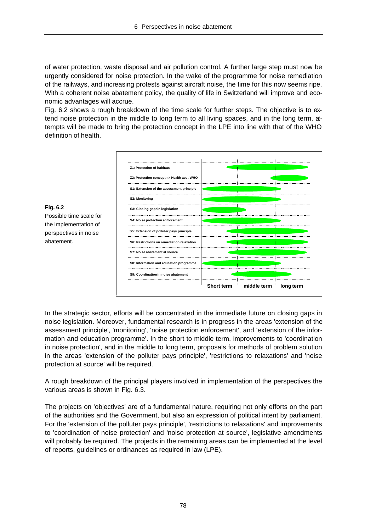of water protection, waste disposal and air pollution control. A further large step must now be urgently considered for noise protection. In the wake of the programme for noise remediation of the railways, and increasing protests against aircraft noise, the time for this now seems ripe. With a coherent noise abatement policy, the quality of life in Switzerland will improve and economic advantages will accrue.

Fig. 6.2 shows a rough breakdown of the time scale for further steps. The objective is to extend noise protection in the middle to long term to all living spaces, and in the long term, attempts will be made to bring the protection concept in the LPE into line with that of the WHO definition of health.



**Fig. 6.2** Possible time scale for the implementation of perspectives in noise abatement.

In the strategic sector, efforts will be concentrated in the immediate future on closing gaps in noise legislation. Moreover, fundamental research is in progress in the areas 'extension of the assessment principle', 'monitoring', 'noise protection enforcement', and 'extension of the information and education programme'. In the short to middle term, improvements to 'coordination in noise protection', and in the middle to long term, proposals for methods of problem solution in the areas 'extension of the polluter pays principle', 'restrictions to relaxations' and 'noise protection at source' will be required.

A rough breakdown of the principal players involved in implementation of the perspectives the various areas is shown in Fig. 6.3.

The projects on 'objectives' are of a fundamental nature, requiring not only efforts on the part of the authorities and the Government, but also an expression of political intent by parliament. For the 'extension of the polluter pays principle', 'restrictions to relaxations' and improvements to 'coordination of noise protection' and 'noise protection at source', legislative amendments will probably be required. The projects in the remaining areas can be implemented at the level of reports, guidelines or ordinances as required in law (LPE).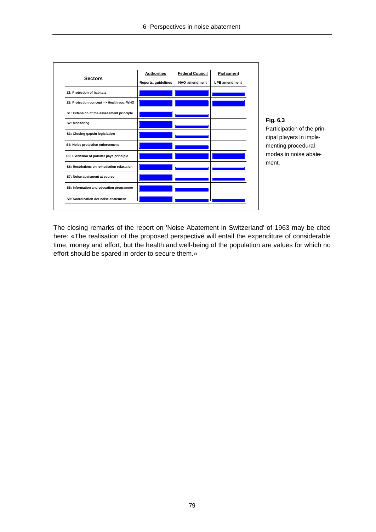|                                            | <b>Authorities</b>  | <b>Federal Council</b> | Parliament           |
|--------------------------------------------|---------------------|------------------------|----------------------|
| <b>Sectors</b>                             | Reports, guidelines | NAO amendment          | <b>LPE</b> amendment |
| Z1: Protection of habitats                 |                     |                        |                      |
| Z2: Protection concept => Health acc. WHO  |                     |                        |                      |
| S1: Extension of the assessment principle  |                     |                        |                      |
| S2: Monitoring                             |                     |                        |                      |
| S3: Closing gapsin legislation             |                     |                        |                      |
| S4: Noise protection enforcement           |                     |                        |                      |
| S5: Extension of polluter pays principle   |                     |                        |                      |
| S6: Restrictions on remediation relaxation |                     |                        |                      |
| S7: Noise abatement at source              |                     |                        |                      |
| S8: Information and education programme    |                     |                        |                      |
| S9: Koordination der noise abatement       |                     |                        |                      |

## **Fig. 6.3**

Participation of the principal players in implementing procedural modes in noise abatement.

The closing remarks of the report on 'Noise Abatement in Switzerland' of 1963 may be cited here: «The realisation of the proposed perspective will entail the expenditure of considerable time, money and effort, but the health and well-being of the population are values for which no effort should be spared in order to secure them.»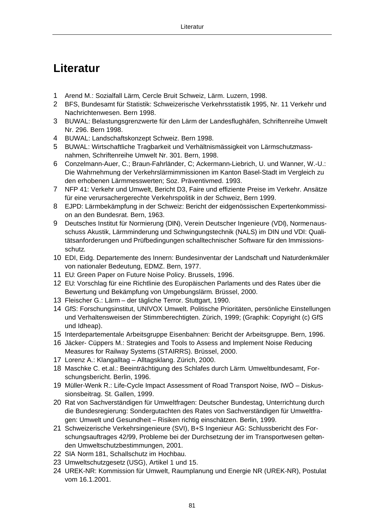# **Literatur**

- 1 Arend M.: Sozialfall Lärm, Cercle Bruit Schweiz, Lärm. Luzern, 1998.
- 2 BFS, Bundesamt für Statistik: Schweizerische Verkehrsstatistik 1995, Nr. 11 Verkehr und Nachrichtenwesen. Bern 1998.
- 3 BUWAL: Belastungsgrenzwerte für den Lärm der Landesflughäfen, Schriftenreihe Umwelt Nr. 296. Bern 1998.
- 4 BUWAL: Landschaftskonzept Schweiz. Bern 1998.
- 5 BUWAL: Wirtschaftliche Tragbarkeit und Verhältnismässigkeit von Lärmschutzmassnahmen, Schriftenreihe Umwelt Nr. 301. Bern, 1998.
- 6 Conzelmann-Auer, C.; Braun-Fahrländer, C; Ackermann-Liebrich, U. und Wanner, W.-U.: Die Wahrnehmung der Verkehrslärmimmissionen im Kanton Basel-Stadt im Vergleich zu den erhobenen Lärmmesswerten; Soz. Präventivmed. 1993.
- 7 NFP 41: Verkehr und Umwelt, Bericht D3, Faire und effiziente Preise im Verkehr. Ansätze für eine verursachergerechte Verkehrspolitik in der Schweiz, Bern 1999.
- 8 EJPD: Lärmbekämpfung in der Schweiz: Bericht der eidgenössischen Expertenkommission an den Bundesrat. Bern, 1963.
- 9 Deutsches Institut für Normierung (DIN), Verein Deutscher Ingenieure (VDI), Normenausschuss Akustik, Lärmminderung und Schwingungstechnik (NALS) im DIN und VDI: Qualitätsanforderungen und Prüfbedingungen schalltechnischer Software für den Immissionsschutz.
- 10 EDI, Eidg. Departemente des Innern: Bundesinventar der Landschaft und Naturdenkmäler von nationaler Bedeutung, EDMZ. Bern, 1977.
- 11 EU: Green Paper on Future Noise Policy. Brussels, 1996.
- 12 EU: Vorschlag für eine Richtlinie des Europäischen Parlaments und des Rates über die Bewertung und Bekämpfung von Umgebungslärm. Brüssel, 2000.
- 13 Fleischer G.: Lärm der tägliche Terror. Stuttgart, 1990.
- 14 GfS: Forschungsinstitut, UNIVOX Umwelt. Politische Prioritäten, persönliche Einstellungen und Verhaltensweisen der Stimmberechtigten. Zürich, 1999; (Graphik: Copyright (c) GfS und Idheap).
- 15 Interdepartementale Arbeitsgruppe Eisenbahnen: Bericht der Arbeitsgruppe. Bern, 1996.
- 16 Jäcker- Cüppers M.: Strategies and Tools to Assess and Implement Noise Reducing Measures for Railway Systems (STAIRRS). Brüssel, 2000.
- 17 Lorenz A.: Klangalltag Alltagsklang. Zürich, 2000.
- 18 Maschke C. et.al.: Beeinträchtigung des Schlafes durch Lärm. Umweltbundesamt, Forschungsbericht. Berlin, 1996.
- 19 Müller-Wenk R.: Life-Cycle Impact Assessment of Road Transport Noise, IWÖ Diskussionsbeitrag. St. Gallen, 1999.
- 20 Rat von Sachverständigen für Umweltfragen: Deutscher Bundestag, Unterrichtung durch die Bundesregierung: Sondergutachten des Rates von Sachverständigen für Umweltfragen: Umwelt und Gesundheit – Risiken richtig einschätzen. Berlin, 1999.
- 21 Schweizerische Verkehrsingenieure (SVI), B+S Ingenieur AG: Schlussbericht des Forschungsauftrages 42/99, Probleme bei der Durchsetzung der im Transportwesen geltenden Umweltschutzbestimmungen, 2001.
- 22 SIA Norm 181, Schallschutz im Hochbau.
- 23 Umweltschutzgesetz (USG), Artikel 1 und 15.
- 24 UREK-NR: Kommission für Umwelt, Raumplanung und Energie NR (UREK-NR), Postulat vom 16.1.2001.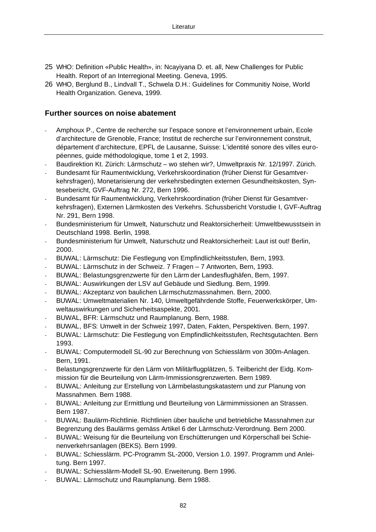- 25 WHO: Definition «Public Health», in: Ncayiyana D. et. all, New Challenges for Public Health. Report of an Interregional Meeting. Geneva, 1995.
- 26 WHO, Berglund B., Lindvall T., Schwela D.H.: Guidelines for Communitiy Noise, World Health Organization. Geneva, 1999.

## **Further sources on noise abatement**

- Amphoux P., Centre de recherche sur l'espace sonore et l'environnement urbain, Ecole d'architecture de Grenoble, France; Institut de recherche sur l'environnement construit, département d'architecture, EPFL de Lausanne, Suisse: L'identité sonore des villes européennes, guide méthodologique, tome 1 et 2, 1993.
- Baudirektion Kt. Zürich: Lärmschutz wo stehen wir?, Umweltpraxis Nr. 12/1997. Zürich.
- Bundesamt für Raumentwicklung, Verkehrskoordination (früher Dienst für Gesamtverkehrsfragen), Monetarisierung der verkehrsbedingten externen Gesundheitskosten, Syntesebericht, GVF-Auftrag Nr. 272, Bern 1996.
- Bundesamt für Raumentwicklung, Verkehrskoordination (früher Dienst für Gesamtverkehrsfragen), Externen Lärmkosten des Verkehrs. Schussbericht Vorstudie I, GVF-Auftrag Nr. 291, Bern 1998.
- Bundesministerium für Umwelt, Naturschutz und Reaktorsicherheit: Umweltbewusstsein in Deutschland 1998. Berlin, 1998.
- Bundesministerium für Umwelt, Naturschutz und Reaktorsicherheit: Laut ist out! Berlin, 2000.
- BUWAL: Lärmschutz: Die Festlegung von Empfindlichkeitsstufen, Bern, 1993.
- BUWAL: Lärmschutz in der Schweiz. 7 Fragen 7 Antworten, Bern, 1993.
- BUWAL: Belastungsgrenzwerte für den Lärm der Landesflughäfen, Bern, 1997.
- BUWAL: Auswirkungen der LSV auf Gebäude und Siedlung. Bern, 1999.
- BUWAL: Akzeptanz von baulichen Lärmschutzmassnahmen. Bern, 2000.
- BUWAL: Umweltmaterialien Nr. 140, Umweltgefährdende Stoffe, Feuerwerkskörper, Umweltauswirkungen und Sicherheitsaspekte, 2001.
- BUWAL, BFR: Lärmschutz und Raumplanung. Bern, 1988.
- BUWAL, BFS: Umwelt in der Schweiz 1997, Daten, Fakten, Perspektiven. Bern, 1997.
- BUWAL: Lärmschutz: Die Festlegung von Empfindlichkeitsstufen, Rechtsgutachten. Bern 1993.
- BUWAL: Computermodell SL-90 zur Berechnung von Schiesslärm von 300m-Anlagen. Bern, 1991.
- Belastungsgrenzwerte für den Lärm von Militärflugplätzen, 5. Teilbericht der Eidg. Kommission für die Beurteilung von Lärm-Immissionsgrenzwerten. Bern 1989.
- BUWAL: Anleitung zur Erstellung von Lärmbelastungskatastern und zur Planung von Massnahmen. Bern 1988.
- BUWAL: Anleitung zur Ermittlung und Beurteilung von Lärmimmissionen an Strassen. Bern 1987.
- BUWAL: Baulärm-Richtlinie. Richtlinien über bauliche und betriebliche Massnahmen zur Begrenzung des Baulärms gemäss Artikel 6 der Lärmschutz-Verordnung. Bern 2000.
- BUWAL: Weisung für die Beurteilung von Erschütterungen und Körperschall bei Schienenverkehrsanlagen (BEKS). Bern 1999.
- BUWAL: Schiesslärm. PC-Programm SL-2000, Version 1.0. 1997. Programm und Anleitung. Bern 1997.
- BUWAL: Schiesslärm-Modell SL-90. Erweiterung. Bern 1996.
- BUWAL: Lärmschutz und Raumplanung. Bern 1988.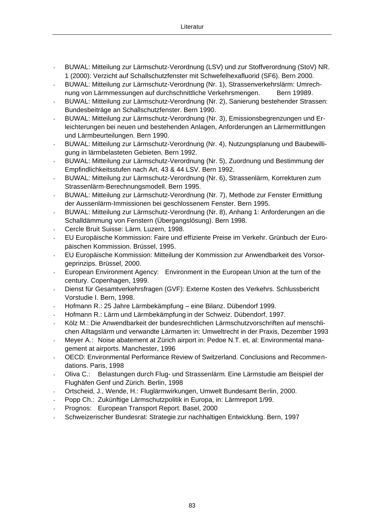- BUWAL: Mitteilung zur Lärmschutz-Verordnung (LSV) und zur Stoffverordnung (StoV) NR. 1 (2000): Verzicht auf Schallschutzfenster mit Schwefelhexafluorid (SF6). Bern 2000.
- BUWAL: Mitteilung zur Lärmschutz-Verordnung (Nr. 1), Strassenverkehrslärm: Umrechnung von Lärmmessungen auf durchschnittliche Verkehrsmengen. Bern 19989.
- BUWAL: Mitteilung zur Lärmschutz-Verordnung (Nr. 2), Sanierung bestehender Strassen: Bundesbeiträge an Schallschutzfenster. Bern 1990.
- BUWAL: Mitteilung zur Lärmschutz-Verordnung (Nr. 3), Emissionsbegrenzungen und Erleichterungen bei neuen und bestehenden Anlagen, Anforderungen an Lärmermittlungen und Lärmbeurteilungen. Bern 1990.
- BUWAL: Mitteilung zur Lärmschutz-Verordnung (Nr. 4), Nutzungsplanung und Baubewilligung in lärmbelasteten Gebieten. Bern 1992.
- BUWAL: Mitteilung zur Lärmschutz-Verordnung (Nr. 5), Zuordnung und Bestimmung der Empfindlichkeitsstufen nach Art. 43 & 44 LSV. Bern 1992.
- BUWAL: Mitteilung zur Lärmschutz-Verordnung (Nr. 6), Strassenlärm, Korrekturen zum Strassenlärm-Berechnungsmodell. Bern 1995.
- BUWAL: Mitteilung zur Lärmschutz-Verordnung (Nr. 7), Methode zur Fenster Ermittlung der Aussenlärm-Immissionen bei geschlossenem Fenster. Bern 1995.
- BUWAL: Mitteilung zur Lärmschutz-Verordnung (Nr. 8), Anhang 1: Anforderungen an die Schalldämmung von Fenstern (Übergangslösung). Bern 1998.
- Cercle Bruit Suisse: Lärm. Luzern, 1998.
- EU Europäische Kommission: Faire und effiziente Preise im Verkehr. Grünbuch der Europäischen Kommission. Brüssel, 1995.
- EU Europäische Kommission: Mitteilung der Kommission zur Anwendbarkeit des Vorsorgeprinzips. Brüssel, 2000.
- European Environment Agency: Environment in the European Union at the turn of the century. Copenhagen, 1999.
- Dienst für Gesamtverkehrsfragen (GVF): Externe Kosten des Verkehrs. Schlussbericht Vorstudie I. Bern, 1998.
- Hofmann R.: 25 Jahre Lärmbekämpfung eine Bilanz. Dübendorf 1999.
- Hofmann R.: Lärm und Lärmbekämpfung in der Schweiz. Dübendorf, 1997.
- Kölz M.: Die Anwendbarkeit der bundesrechtlichen Lärmschutzvorschriften auf menschlichen Alltagslärm und verwandte Lärmarten in: Umweltrecht in der Praxis, Dezember 1993
- Meyer A.: Noise abatement at Zürich airport in: Pedoe N.T. et, al: Environmental management at airports. Manchester, 1996
- OECD: Environmental Performance Review of Switzerland. Conclusions and Recommendations. Paris, 1998
- Oliva C.: Belastungen durch Flug- und Strassenlärm. Eine Lärmstudie am Beispiel der Flughäfen Genf und Zürich. Berlin, 1998
- Ortscheid, J., Wende, H.: Fluglärmwirkungen, Umwelt Bundesamt Berlin, 2000.
- Popp Ch.: Zukünftige Lärmschutzpolitik in Europa, in: Lärmreport 1/99.
- Prognos: European Transport Report. Basel, 2000
- Schweizerischer Bundesrat: Strategie zur nachhaltigen Entwicklung. Bern, 1997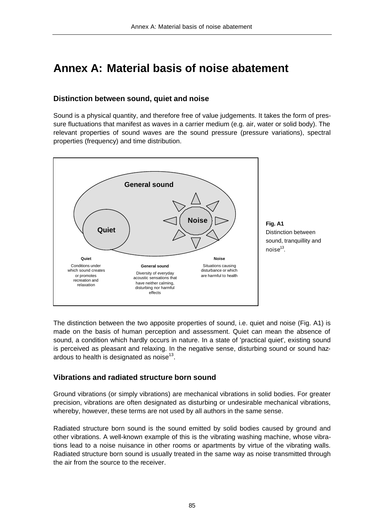# **Annex A: Material basis of noise abatement**

## **Distinction between sound, quiet and noise**

Sound is a physical quantity, and therefore free of value judgements. It takes the form of pressure fluctuations that manifest as waves in a carrier medium (e.g. air, water or solid body). The relevant properties of sound waves are the sound pressure (pressure variations), spectral properties (frequency) and time distribution.



The distinction between the two apposite properties of sound, i.e. quiet and noise (Fig. A1) is made on the basis of human perception and assessment. Quiet can mean the absence of sound, a condition which hardly occurs in nature. In a state of 'practical quiet', existing sound is perceived as pleasant and relaxing. In the negative sense, disturbing sound or sound hazardous to health is designated as noise $^{13}$ .

## **Vibrations and radiated structure born sound**

Ground vibrations (or simply vibrations) are mechanical vibrations in solid bodies. For greater precision, vibrations are often designated as disturbing or undesirable mechanical vibrations, whereby, however, these terms are not used by all authors in the same sense.

Radiated structure born sound is the sound emitted by solid bodies caused by ground and other vibrations. A well-known example of this is the vibrating washing machine, whose vibrations lead to a noise nuisance in other rooms or apartments by virtue of the vibrating walls. Radiated structure born sound is usually treated in the same way as noise transmitted through the air from the source to the receiver.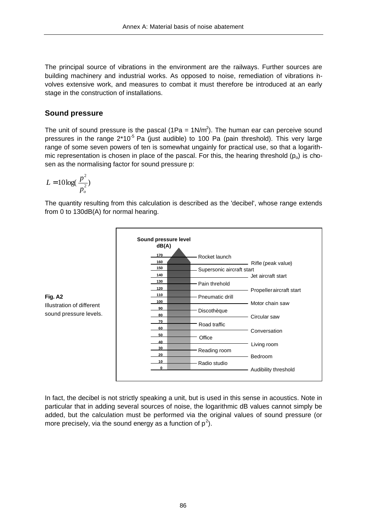The principal source of vibrations in the environment are the railways. Further sources are building machinery and industrial works. As opposed to noise, remediation of vibrations involves extensive work, and measures to combat it must therefore be introduced at an early stage in the construction of installations.

## **Sound pressure**

The unit of sound pressure is the pascal (1Pa =  $1N/m^2$ ). The human ear can perceive sound pressures in the range  $2*10^{-5}$  Pa (just audible) to 100 Pa (pain threshold). This very large range of some seven powers of ten is somewhat ungainly for practical use, so that a logarithmic representation is chosen in place of the pascal. For this, the hearing threshold  $(p_0)$  is chosen as the normalising factor for sound pressure p:

$$
L = 10 \log(\frac{p^2}{p_o^2})
$$

The quantity resulting from this calculation is described as the 'decibel', whose range extends from 0 to 130dB(A) for normal hearing.



**Fig. A2** Illustration of different sound pressure levels.

In fact, the decibel is not strictly speaking a unit, but is used in this sense in acoustics. Note in particular that in adding several sources of noise, the logarithmic dB values cannot simply be added, but the calculation must be performed via the original values of sound pressure (or more precisely, via the sound energy as a function of  $p^2$ ).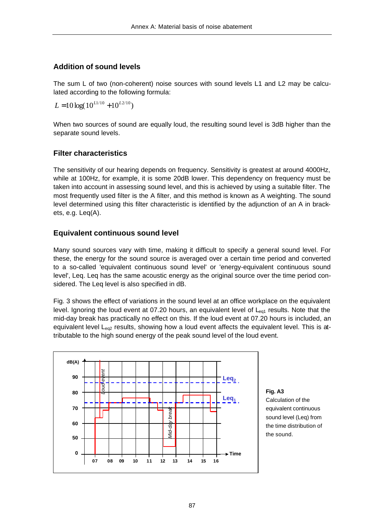## **Addition of sound levels**

The sum L of two (non-coherent) noise sources with sound levels L1 and L2 may be calculated according to the following formula:

 $L = 10 \log(10^{L1/10} + 10^{L2/10})$ 

When two sources of sound are equally loud, the resulting sound level is 3dB higher than the separate sound levels.

## **Filter characteristics**

The sensitivity of our hearing depends on frequency. Sensitivity is greatest at around 4000Hz, while at 100Hz, for example, it is some 20dB lower. This dependency on frequency must be taken into account in assessing sound level, and this is achieved by using a suitable filter. The most frequently used filter is the A filter, and this method is known as A weighting. The sound level determined using this filter characteristic is identified by the adjunction of an A in brackets, e.g. Leq(A).

## **Equivalent continuous sound level**

Many sound sources vary with time, making it difficult to specify a general sound level. For these, the energy for the sound source is averaged over a certain time period and converted to a so-called 'equivalent continuous sound level' or 'energy-equivalent continuous sound level', Leq. Leq has the same acoustic energy as the original source over the time period considered. The Leq level is also specified in dB.

Fig. 3 shows the effect of variations in the sound level at an office workplace on the equivalent level. Ignoring the loud event at 07.20 hours, an equivalent level of  $L_{eq1}$  results. Note that the mid-day break has practically no effect on this. If the loud event at 07.20 hours is included, an equivalent level  $L_{eq2}$  results, showing how a loud event affects the equivalent level. This is attributable to the high sound energy of the peak sound level of the loud event.



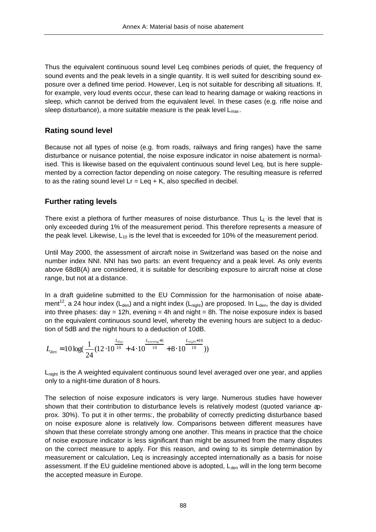Thus the equivalent continuous sound level Leq combines periods of quiet, the frequency of sound events and the peak levels in a single quantity. It is well suited for describing sound exposure over a defined time period. However, Leq is not suitable for describing all situations. If, for example, very loud events occur, these can lead to hearing damage or waking reactions in sleep, which cannot be derived from the equivalent level. In these cases (e.g. rifle noise and sleep disturbance), a more suitable measure is the peak level  $L_{\text{max}}$ .

## **Rating sound level**

Because not all types of noise (e.g. from roads, railways and firing ranges) have the same disturbance or nuisance potential, the noise exposure indicator in noise abatement is normalised. This is likewise based on the equivalent continuous sound level Leq, but is here supplemented by a correction factor depending on noise category. The resulting measure is referred to as the rating sound level  $Lr = Leq + K$ , also specified in decibel.

## **Further rating levels**

There exist a plethora of further measures of noise disturbance. Thus  $L_1$  is the level that is only exceeded during 1% of the measurement period. This therefore represents a measure of the peak level. Likewise,  $L_{10}$  is the level that is exceeded for 10% of the measurement period.

Until May 2000, the assessment of aircraft noise in Switzerland was based on the noise and number index NNI. NNI has two parts: an event frequency and a peak level. As only events above 68dB(A) are considered, it is suitable for describing exposure to aircraft noise at close range, but not at a distance.

In a draft guideline submitted to the EU Commission for the harmonisation of noise abatement<sup>12</sup>, a 24 hour index (L<sub>den</sub>) and a night index (L<sub>night</sub>) are proposed. In L<sub>den</sub>, the day is divided into three phases: day = 12h, evening = 4h and night = 8h. The noise exposure index is based on the equivalent continuous sound level, whereby the evening hours are subject to a deduction of 5dB and the night hours to a deduction of 10dB.

$$
L_{den}=10\log(\frac{1}{24}(12\cdot10^{\frac{L_{day}}{10}}+4\cdot10^{\frac{L_{evening}+5}{10}}+8\cdot10^{\frac{L_{night}+10}{10}}))
$$

L<sub>night</sub> is the A weighted equivalent continuous sound level averaged over one year, and applies only to a night-time duration of 8 hours.

The selection of noise exposure indicators is very large. Numerous studies have however shown that their contribution to disturbance levels is relatively modest (quoted variance approx. 30%). To put it in other terms:, the probability of correctly predicting disturbance based on noise exposure alone is relatively low. Comparisons between different measures have shown that these correlate strongly among one another. This means in practice that the choice of noise exposure indicator is less significant than might be assumed from the many disputes on the correct measure to apply. For this reason, and owing to its simple determination by measurement or calculation, Leq is increasingly accepted internationally as a basis for noise assessment. If the EU guideline mentioned above is adopted,  $L_{den}$  will in the long term become the accepted measure in Europe.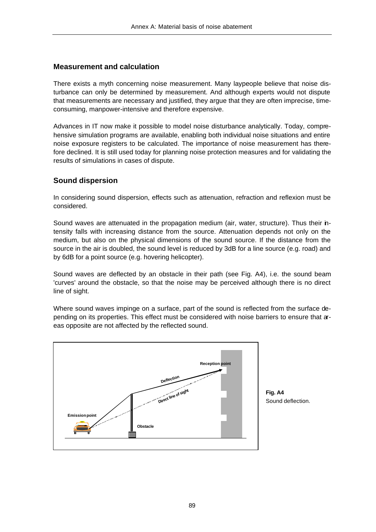## **Measurement and calculation**

There exists a myth concerning noise measurement. Many laypeople believe that noise disturbance can only be determined by measurement. And although experts would not dispute that measurements are necessary and justified, they argue that they are often imprecise, timeconsuming, manpower-intensive and therefore expensive.

Advances in IT now make it possible to model noise disturbance analytically. Today, comprehensive simulation programs are available, enabling both individual noise situations and entire noise exposure registers to be calculated. The importance of noise measurement has therefore declined. It is still used today for planning noise protection measures and for validating the results of simulations in cases of dispute.

## **Sound dispersion**

In considering sound dispersion, effects such as attenuation, refraction and reflexion must be considered.

Sound waves are attenuated in the propagation medium (air, water, structure). Thus their intensity falls with increasing distance from the source. Attenuation depends not only on the medium, but also on the physical dimensions of the sound source. If the distance from the source in the air is doubled, the sound level is reduced by 3dB for a line source (e.g. road) and by 6dB for a point source (e.g. hovering helicopter).

Sound waves are deflected by an obstacle in their path (see Fig. A4), i.e. the sound beam 'curves' around the obstacle, so that the noise may be perceived although there is no direct line of sight.

Where sound waves impinge on a surface, part of the sound is reflected from the surface depending on its properties. This effect must be considered with noise barriers to ensure that areas opposite are not affected by the reflected sound.



**Fig. A4** Sound deflection.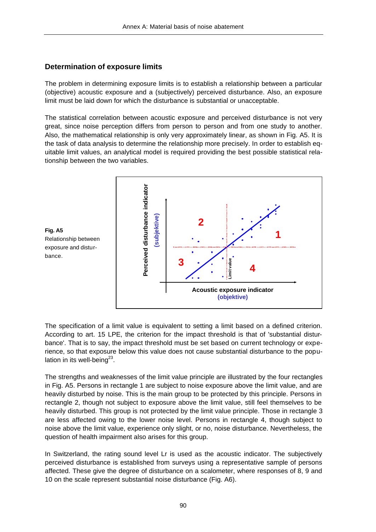## **Determination of exposure limits**

The problem in determining exposure limits is to establish a relationship between a particular (objective) acoustic exposure and a (subjectively) perceived disturbance. Also, an exposure limit must be laid down for which the disturbance is substantial or unacceptable.

The statistical correlation between acoustic exposure and perceived disturbance is not very great, since noise perception differs from person to person and from one study to another. Also, the mathematical relationship is only very approximately linear, as shown in Fig. A5. It is the task of data analysis to determine the relationship more precisely. In order to establish equitable limit values, an analytical model is required providing the best possible statistical relationship between the two variables.





The specification of a limit value is equivalent to setting a limit based on a defined criterion. According to art. 15 LPE, the criterion for the impact threshold is that of 'substantial disturbance'. That is to say, the impact threshold must be set based on current technology or experience, so that exposure below this value does not cause substantial disturbance to the population in its well-being $^{23}$ .

The strengths and weaknesses of the limit value principle are illustrated by the four rectangles in Fig. A5. Persons in rectangle 1 are subject to noise exposure above the limit value, and are heavily disturbed by noise. This is the main group to be protected by this principle. Persons in rectangle 2, though not subject to exposure above the limit value, still feel themselves to be heavily disturbed. This group is not protected by the limit value principle. Those in rectangle 3 are less affected owing to the lower noise level. Persons in rectangle 4, though subject to noise above the limit value, experience only slight, or no, noise disturbance. Nevertheless, the question of health impairment also arises for this group.

In Switzerland, the rating sound level Lr is used as the acoustic indicator. The subjectively perceived disturbance is established from surveys using a representative sample of persons affected. These give the degree of disturbance on a scalometer, where responses of 8, 9 and 10 on the scale represent substantial noise disturbance (Fig. A6).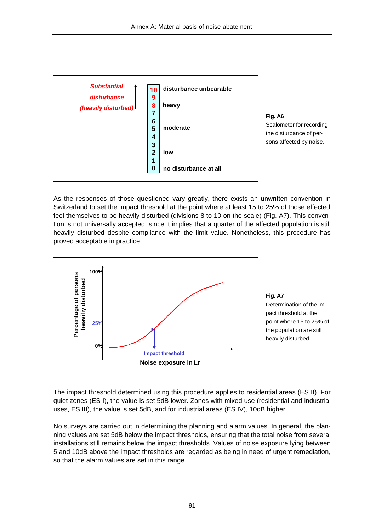

**Fig. A6** Scalometer for recording the disturbance of persons affected by noise.

As the responses of those questioned vary greatly, there exists an unwritten convention in Switzerland to set the impact threshold at the point where at least 15 to 25% of those effected feel themselves to be heavily disturbed (divisions 8 to 10 on the scale) (Fig. A7). This convention is not universally accepted, since it implies that a quarter of the affected population is still heavily disturbed despite compliance with the limit value. Nonetheless, this procedure has proved acceptable in practice.





The impact threshold determined using this procedure applies to residential areas (ES II). For quiet zones (ES I), the value is set 5dB lower. Zones with mixed use (residential and industrial uses, ES III), the value is set 5dB, and for industrial areas (ES IV), 10dB higher.

No surveys are carried out in determining the planning and alarm values. In general, the planning values are set 5dB below the impact thresholds, ensuring that the total noise from several installations still remains below the impact thresholds. Values of noise exposure lying between 5 and 10dB above the impact thresholds are regarded as being in need of urgent remediation, so that the alarm values are set in this range.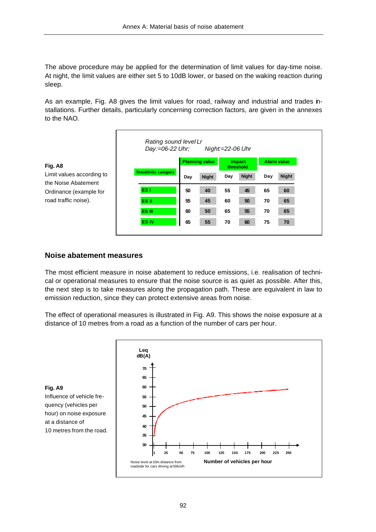The above procedure may be applied for the determination of limit values for day-time noise. At night, the limit values are either set 5 to 10dB lower, or based on the waking reaction during sleep.

As an example, Fig. A8 gives the limit values for road, railway and industrial and trades installations. Further details, particularly concerning correction factors, are given in the annexes to the NAO.

|                                                  | Rating sound level Lr<br>Day:=06-22 Uhr; |                       |              | Night:=22-06 Uhr           |              |                    |              |
|--------------------------------------------------|------------------------------------------|-----------------------|--------------|----------------------------|--------------|--------------------|--------------|
| Fig. A8                                          |                                          | <b>Planning value</b> |              | <b>Impact</b><br>threshold |              | <b>Alarm value</b> |              |
| Limit values according to<br>the Noise Abatement | <b>Sensitivity category</b>              | Day                   | <b>Night</b> | Day                        | <b>Night</b> | Day                | <b>Night</b> |
| Ordinance (example for                           | ES <sub>1</sub>                          | 50                    | 40           | 55                         | 45           | 65                 | 60           |
| road traffic noise).                             | ES II                                    | 55                    | 45           | 60                         | 50           | 70                 | 65           |
|                                                  | ES III                                   | 60                    | 50           | 65                         | 55           | 70                 | 65           |
|                                                  | <b>ES IV</b>                             | 65                    | 55           | 70                         | 60           | 75                 | 70           |
|                                                  |                                          |                       |              |                            |              |                    |              |

## **Noise abatement measures**

The most efficient measure in noise abatement to reduce emissions, i.e. realisation of technical or operational measures to ensure that the noise source is as quiet as possible. After this, the next step is to take measures along the propagation path. These are equivalent in law to emission reduction, since they can protect extensive areas from noise.

The effect of operational measures is illustrated in Fig. A9. This shows the noise exposure at a distance of 10 metres from a road as a function of the number of cars per hour.



**Fig. A9** Influence of vehicle frequency (vehicles per hour) on noise exposure at a distance of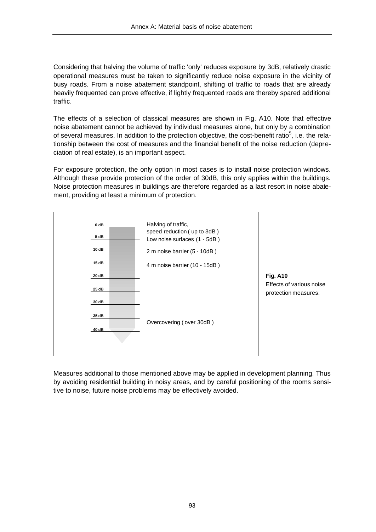Considering that halving the volume of traffic 'only' reduces exposure by 3dB, relatively drastic operational measures must be taken to significantly reduce noise exposure in the vicinity of busy roads. From a noise abatement standpoint, shifting of traffic to roads that are already heavily frequented can prove effective, if lightly frequented roads are thereby spared additional traffic.

The effects of a selection of classical measures are shown in Fig. A10. Note that effective noise abatement cannot be achieved by individual measures alone, but only by a combination of several measures. In addition to the protection objective, the cost-benefit ratio<sup>5</sup>, i.e. the relationship between the cost of measures and the financial benefit of the noise reduction (depreciation of real estate), is an important aspect.

For exposure protection, the only option in most cases is to install noise protection windows. Although these provide protection of the order of 30dB, this only applies within the buildings. Noise protection measures in buildings are therefore regarded as a last resort in noise abatement, providing at least a minimum of protection.



**Fig. A10** Effects of various noise protection measures.

Measures additional to those mentioned above may be applied in development planning. Thus by avoiding residential building in noisy areas, and by careful positioning of the rooms sensitive to noise, future noise problems may be effectively avoided.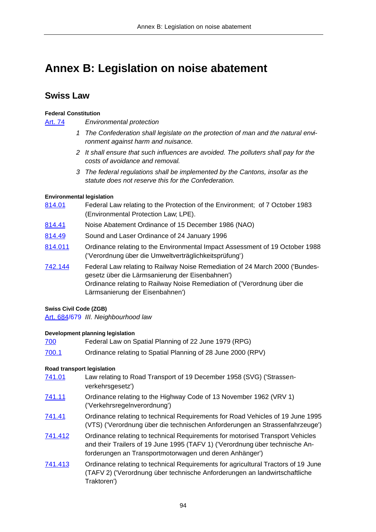# **Annex B: Legislation on noise abatement**

## **Swiss Law**

#### **Federal Constitution**

Art. 74 *Environmental protection*

- *1 The Confederation shall legislate on the protection of man and the natural environment against harm and nuisance.*
- *2 It shall ensure that such influences are avoided. The polluters shall pay for the costs of avoidance and removal.*
- *3 The federal regulations shall be implemented by the Cantons, insofar as the statute does not reserve this for the Confederation.*

#### **Environmental legislation**

- 814.01 Federal Law relating to the Protection of the Environment; of 7 October 1983 (Environmental Protection Law; LPE).
- 814.41 Noise Abatement Ordinance of 15 December 1986 (NAO)
- 814.49 Sound and Laser Ordinance of 24 January 1996
- 814.011 Ordinance relating to the Environmental Impact Assessment of 19 October 1988 ('Verordnung über die Umweltverträglichkeitsprüfung')
- 742.144 Federal Law relating to Railway Noise Remediation of 24 March 2000 ('Bundesgesetz über die Lärmsanierung der Eisenbahnen') Ordinance relating to Railway Noise Remediation of ('Verordnung über die Lärmsanierung der Eisenbahnen')

#### **Swiss Civil Code (ZGB)**

Art. 684/679 *III. Neighbourhood law*

#### **Development planning legislation**

700 Federal Law on Spatial Planning of 22 June 1979 (RPG) 700.1 Ordinance relating to Spatial Planning of 28 June 2000 (RPV)

#### **Road transport legislation**

- 741.01 Law relating to Road Transport of 19 December 1958 (SVG) ('Strassenverkehrsgesetz')
- 741.11 Ordinance relating to the Highway Code of 13 November 1962 (VRV 1) ('Verkehrsregelnverordnung')
- 741.41 Ordinance relating to technical Requirements for Road Vehicles of 19 June 1995 (VTS) ('Verordnung über die technischen Anforderungen an Strassenfahrzeuge')
- 741.412 Crdinance relating to technical Requirements for motorised Transport Vehicles and their Trailers of 19 June 1995 (TAFV 1) ('Verordnung über technische Anforderungen an Transportmotorwagen und deren Anhänger')
- 741.413 Ordinance relating to technical Requirements for agricultural Tractors of 19 June (TAFV 2) ('Verordnung über technische Anforderungen an landwirtschaftliche Traktoren')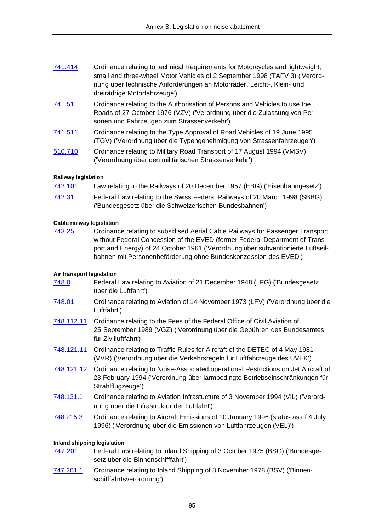| 741.414 | Ordinance relating to technical Requirements for Motorcycles and lightweight, |
|---------|-------------------------------------------------------------------------------|
|         | small and three-wheel Motor Vehicles of 2 September 1998 (TAFV 3) ('Verord-   |
|         | nung über technische Anforderungen an Motorräder, Leicht-, Klein- und         |
|         | dreirädrige Motorfahrzeuge')                                                  |

- 741.51 Ordinance relating to the Authorisation of Persons and Vehicles to use the Roads of 27 October 1976 (VZV) ('Verordnung über die Zulassung von Personen und Fahrzeugen zum Strassenverkehr')
- 741.511 Ordinance relating to the Type Approval of Road Vehicles of 19 June 1995 (TGV) ('Verordnung über die Typengenehmigung von Strassenfahrzeugen')
- 510.710 Ordinance relating to Military Road Transport of 17 August 1994 (VMSV) ('Verordnung über den militärischen Strassenverkehr')

#### **Railway legislation**

| <u>742.101</u> | Law relating to the Railways of 20 December 1957 (EBG) ('Eisenbahngesetz') |
|----------------|----------------------------------------------------------------------------|
| <u>742.31</u>  | Federal Law relating to the Swiss Federal Railways of 20 March 1998 (SBBG) |
|                | ('Bundesgesetz über die Schweizerischen Bundesbahnen')                     |

#### **Cable railway legislation**

743.25 Ordinance relating to subsidised Aerial Cable Railways for Passenger Transport without Federal Concession of the EVED (former Federal Department of Transport and Energy) of 24 October 1961 ('Verordnung über subventionierte Luftseilbahnen mit Personenbeförderung ohne Bundeskonzession des EVED')

## **Air transport legislation**

- 748.0 Federal Law relating to Aviation of 21 December 1948 (LFG) ('Bundesgesetz über die Luftfahrt')
- 748.01 Ordinance relating to Aviation of 14 November 1973 (LFV) ('Verordnung über die Luftfahrt')
- 748.112.11 Ordinance relating to the Fees of the Federal Office of Civil Aviation of 25 September 1989 (VGZ) ('Verordnung über die Gebühren des Bundesamtes für Zivilluftfahrt')
- 748.121.11 Ordinance relating to Traffic Rules for Aircraft of the DETEC of 4 May 1981 (VVR) ('Verordnung über die Verkehrsregeln für Luftfahrzeuge des UVEK')
- 748.121.12 Ordinance relating to Noise-Associated operational Restrictions on Jet Aircraft of 23 February 1994 ('Verordnung über lärmbedingte Betriebseinschränkungen für Strahlflugzeuge')
- 748.131.1 Ordinance relating to Aviation Infrastucture of 3 November 1994 (VIL) ('Verordnung über die Infrastruktur der Luftfahrt')
- 748.215.3 Ordinance relating to Aircraft Emissions of 10 January 1996 (status as of 4 July 1996) ('Verordnung über die Emissionen von Luftfahrzeugen (VEL)')

#### **Inland shipping legislation**

- 747.201 Federal Law relating to Inland Shipping of 3 October 1975 (BSG) ('Bundesgesetz über die Binnenschifffahrt')
- 747.201.1 Ordinance relating to Inland Shipping of 8 November 1978 (BSV) ('Binnenschifffahrtsverordnung')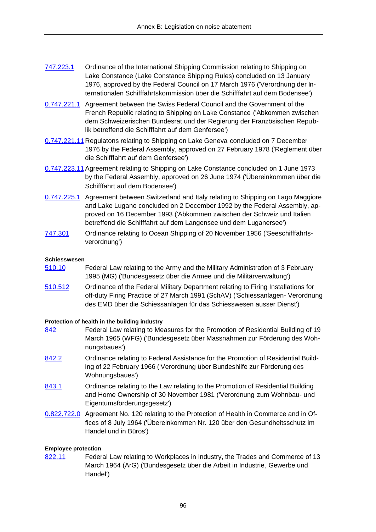- 747.223.1 Ordinance of the International Shipping Commission relating to Shipping on Lake Constance (Lake Constance Shipping Rules) concluded on 13 January 1976, approved by the Federal Council on 17 March 1976 ('Verordnung der Internationalen Schifffahrtskommission über die Schifffahrt auf dem Bodensee')
- 0.747.221.1 Agreement between the Swiss Federal Council and the Government of the French Republic relating to Shipping on Lake Constance ('Abkommen zwischen dem Schweizerischen Bundesrat und der Regierung der Französischen Republik betreffend die Schifffahrt auf dem Genfersee')
- 0.747.221.11 Regulatons relating to Shipping on Lake Geneva concluded on 7 December 1976 by the Federal Assembly, approved on 27 February 1978 ('Reglement über die Schifffahrt auf dem Genfersee')
- 0.747.223.11 Agreement relating to Shipping on Lake Constance concluded on 1 June 1973 by the Federal Assembly, approved on 26 June 1974 ('Übereinkommen über die Schifffahrt auf dem Bodensee')
- 0.747.225.1 Agreement between Switzerland and Italy relating to Shipping on Lago Maggiore and Lake Lugano concluded on 2 December 1992 by the Federal Assembly, approved on 16 December 1993 ('Abkommen zwischen der Schweiz und Italien betreffend die Schifffahrt auf dem Langensee und dem Luganersee')
- 747.301 Ordinance relating to Ocean Shipping of 20 November 1956 ('Seeschifffahrtsverordnung')

#### **Schiesswesen**

- 510.10 Federal Law relating to the Army and the Military Administration of 3 February 1995 (MG) ('Bundesgesetz über die Armee und die Militärverwaltung')
- 510.512 Ordinance of the Federal Military Department relating to Firing Installations for off-duty Firing Practice of 27 March 1991 (SchAV) ('Schiessanlagen- Verordnung des EMD über die Schiessanlagen für das Schiesswesen ausser Dienst')

#### **Protection of health in the building industry**

- 842 Federal Law relating to Measures for the Promotion of Residential Building of 19 March 1965 (WFG) ('Bundesgesetz über Massnahmen zur Förderung des Wohnungsbaues')
- 842.2 **Crainance relating to Federal Assistance for the Promotion of Residential Build**ing of 22 February 1966 ('Verordnung über Bundeshilfe zur Förderung des Wohnungsbaues')
- 843.1 **Combinance relating to the Law relating to the Promotion of Residential Building** and Home Ownership of 30 November 1981 ('Verordnung zum Wohnbau- und Eigentumsförderungsgesetz')
- 0.822.722.0 Agreement No. 120 relating to the Protection of Health in Commerce and in Offices of 8 July 1964 ('Übereinkommen Nr. 120 über den Gesundheitsschutz im Handel und in Büros')

#### **Employee protection**

822.11 Federal Law relating to Workplaces in Industry, the Trades and Commerce of 13 March 1964 (ArG) ('Bundesgesetz über die Arbeit in Industrie, Gewerbe und Handel')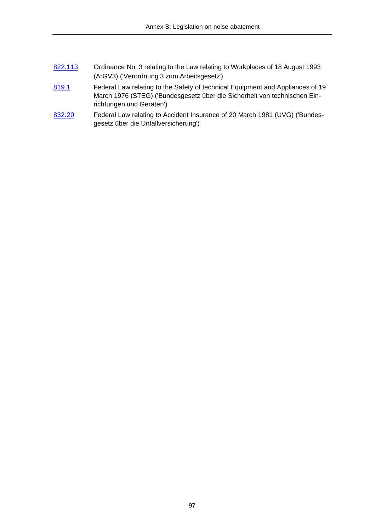- 822.113 Ordinance No. 3 relating to the Law relating to Workplaces of 18 August 1993 (ArGV3) ('Verordnung 3 zum Arbeitsgesetz')
- 819.1 Federal Law relating to the Safety of technical Equipment and Appliances of 19 March 1976 (STEG) ('Bundesgesetz über die Sicherheit von technischen Einrichtungen und Geräten')
- 832.20 Federal Law relating to Accident Insurance of 20 March 1981 (UVG) ('Bundesgesetz über die Unfallversicherung')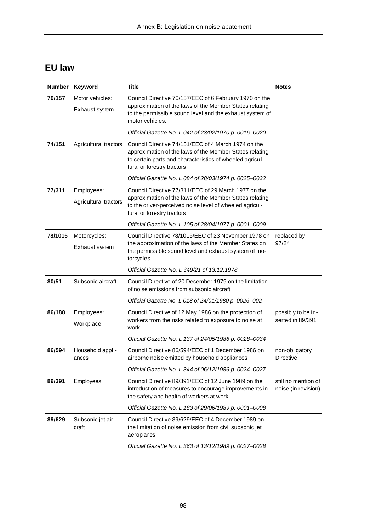## **EU law**

| <b>Number</b> | Keyword                             | <b>Title</b>                                                                                                                                                                                             | <b>Notes</b>                               |
|---------------|-------------------------------------|----------------------------------------------------------------------------------------------------------------------------------------------------------------------------------------------------------|--------------------------------------------|
| 70/157        | Motor vehicles:<br>Exhaust system   | Council Directive 70/157/EEC of 6 February 1970 on the<br>approximation of the laws of the Member States relating<br>to the permissible sound level and the exhaust system of<br>motor vehicles.         |                                            |
|               |                                     | Official Gazette No. L 042 of 23/02/1970 p. 0016-0020                                                                                                                                                    |                                            |
| 74/151        | Agricultural tractors               | Council Directive 74/151/EEC of 4 March 1974 on the<br>approximation of the laws of the Member States relating<br>to certain parts and characteristics of wheeled agricul-<br>tural or forestry tractors |                                            |
|               |                                     | Official Gazette No. L 084 of 28/03/1974 p. 0025-0032                                                                                                                                                    |                                            |
| 77/311        | Employees:<br>Agricultural tractors | Council Directive 77/311/EEC of 29 March 1977 on the<br>approximation of the laws of the Member States relating<br>to the driver-perceived noise level of wheeled agricul-<br>tural or forestry tractors |                                            |
|               |                                     | Official Gazette No. L 105 of 28/04/1977 p. 0001-0009                                                                                                                                                    |                                            |
| 78/1015       | Motorcycles:<br>Exhaust system      | Council Directive 78/1015/EEC of 23 November 1978 on<br>the approximation of the laws of the Member States on<br>the permissible sound level and exhaust system of mo-<br>torcycles.                     | replaced by<br>97/24                       |
|               |                                     | Official Gazette No. L 349/21 of 13, 12, 1978                                                                                                                                                            |                                            |
| 80/51         | Subsonic aircraft                   | Council Directive of 20 December 1979 on the limitation<br>of noise emissions from subsonic aircraft                                                                                                     |                                            |
|               |                                     | Official Gazette No. L 018 of 24/01/1980 p. 0026-002                                                                                                                                                     |                                            |
| 86/188        | Employees:<br>Workplace             | Council Directive of 12 May 1986 on the protection of<br>workers from the risks related to exposure to noise at<br>work                                                                                  | possibly to be in-<br>serted in 89/391     |
|               |                                     | Official Gazette No. L 137 of 24/05/1986 p. 0028-0034                                                                                                                                                    |                                            |
| 86/594        | Household appli-<br>ances           | Council Directive 86/594/EEC of 1 December 1986 on<br>airborne noise emitted by household appliances                                                                                                     | non-obligatory<br><b>Directive</b>         |
|               |                                     | Official Gazette No. L 344 of 06/12/1986 p. 0024-0027                                                                                                                                                    |                                            |
| 89/391        | Employees                           | Council Directive 89/391/EEC of 12 June 1989 on the<br>introduction of measures to encourage improvements in<br>the safety and health of workers at work                                                 | still no mention of<br>noise (in revision) |
|               |                                     | Official Gazette No. L 183 of 29/06/1989 p. 0001-0008                                                                                                                                                    |                                            |
| 89/629        | Subsonic jet air-<br>craft          | Council Directive 89/629/EEC of 4 December 1989 on<br>the limitation of noise emission from civil subsonic jet<br>aeroplanes                                                                             |                                            |
|               |                                     | Official Gazette No. L 363 of 13/12/1989 p. 0027-0028                                                                                                                                                    |                                            |